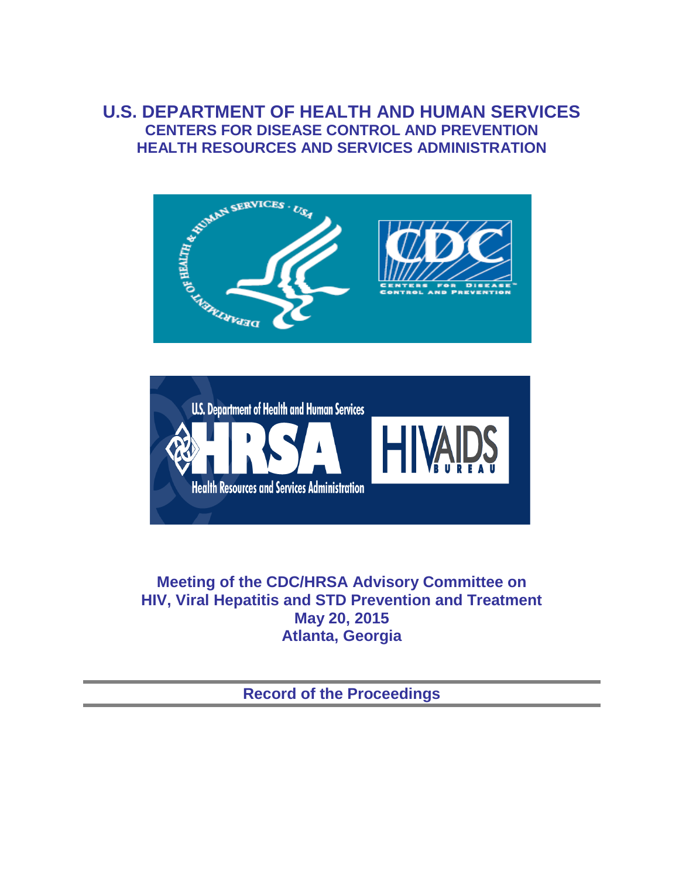# **U.S. DEPARTMENT OF HEALTH AND HUMAN SERVICES CENTERS FOR DISEASE CONTROL AND PREVENTION HEALTH RESOURCES AND SERVICES ADMINISTRATION**





**Meeting of the CDC/HRSA Advisory Committee on HIV, Viral Hepatitis and STD Prevention and Treatment May 20, 2015 Atlanta, Georgia** 

**Record of the Proceedings**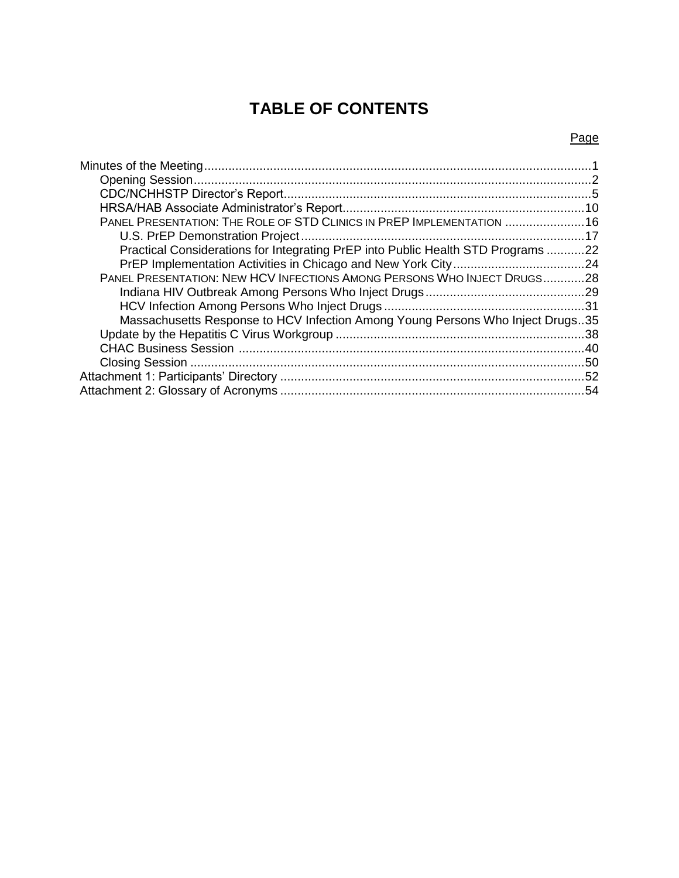# **TABLE OF CONTENTS**

# Page

| PANEL PRESENTATION: THE ROLE OF STD CLINICS IN PREP IMPLEMENTATION  16           |  |
|----------------------------------------------------------------------------------|--|
|                                                                                  |  |
| Practical Considerations for Integrating PrEP into Public Health STD Programs 22 |  |
|                                                                                  |  |
| PANEL PRESENTATION: NEW HCV INFECTIONS AMONG PERSONS WHO INJECT DRUGS28          |  |
|                                                                                  |  |
|                                                                                  |  |
| Massachusetts Response to HCV Infection Among Young Persons Who Inject Drugs35   |  |
|                                                                                  |  |
|                                                                                  |  |
|                                                                                  |  |
|                                                                                  |  |
|                                                                                  |  |
|                                                                                  |  |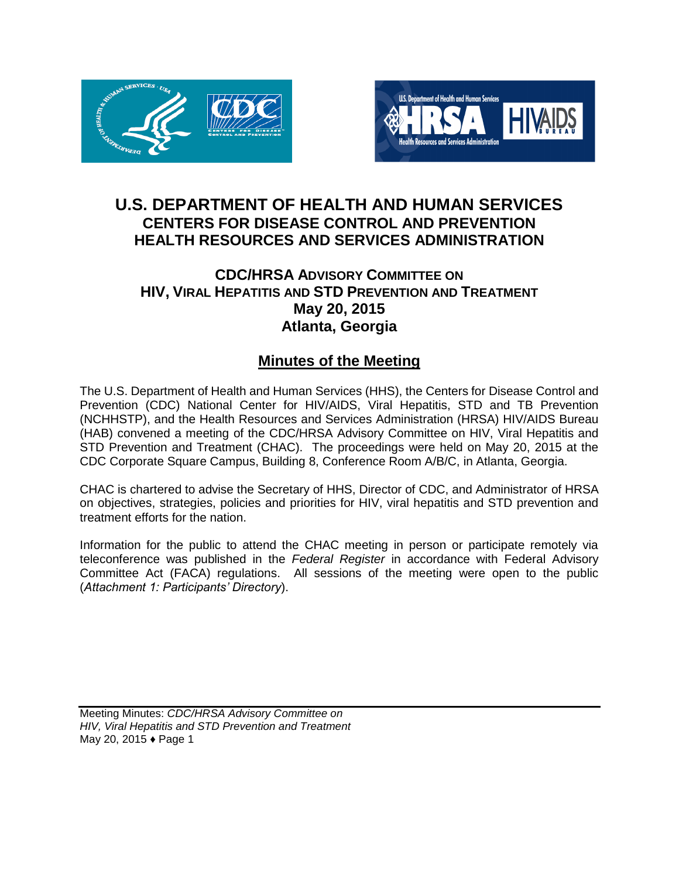



# **U.S. DEPARTMENT OF HEALTH AND HUMAN SERVICES CENTERS FOR DISEASE CONTROL AND PREVENTION HEALTH RESOURCES AND SERVICES ADMINISTRATION**

# **CDC/HRSA ADVISORY COMMITTEE ON HIV, VIRAL HEPATITIS AND STD PREVENTION AND TREATMENT May 20, 2015 Atlanta, Georgia**

# **Minutes of the Meeting**

The U.S. Department of Health and Human Services (HHS), the Centers for Disease Control and Prevention (CDC) National Center for HIV/AIDS, Viral Hepatitis, STD and TB Prevention (NCHHSTP), and the Health Resources and Services Administration (HRSA) HIV/AIDS Bureau (HAB) convened a meeting of the CDC/HRSA Advisory Committee on HIV, Viral Hepatitis and STD Prevention and Treatment (CHAC). The proceedings were held on May 20, 2015 at the CDC Corporate Square Campus, Building 8, Conference Room A/B/C, in Atlanta, Georgia.

CHAC is chartered to advise the Secretary of HHS, Director of CDC, and Administrator of HRSA on objectives, strategies, policies and priorities for HIV, viral hepatitis and STD prevention and treatment efforts for the nation.

Information for the public to attend the CHAC meeting in person or participate remotely via teleconference was published in the *Federal Register* in accordance with Federal Advisory Committee Act (FACA) regulations. All sessions of the meeting were open to the public (*Attachment 1: Participants' Directory*).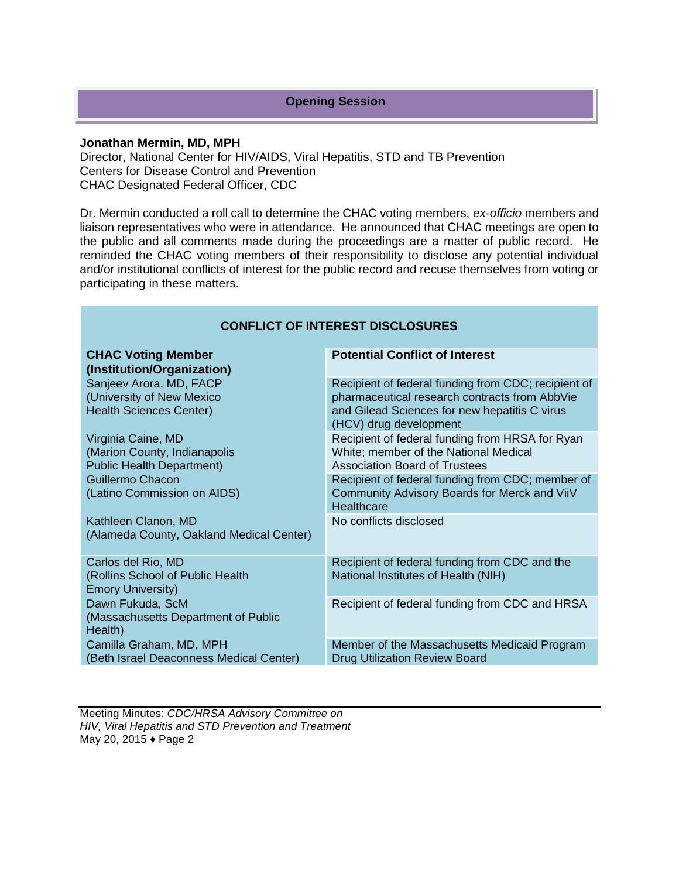# **Opening Session**

#### **Jonathan Mermin, MD, MPH**

Director, National Center for HIV/AIDS, Viral Hepatitis, STD and TB Prevention Centers for Disease Control and Prevention CHAC Designated Federal Officer, CDC

Dr. Mermin conducted a roll call to determine the CHAC voting members, *ex-officio* members and liaison representatives who were in attendance. He announced that CHAC meetings are open to the public and all comments made during the proceedings are a matter of public record. He reminded the CHAC voting members of their responsibility to disclose any potential individual and/or institutional conflicts of interest for the public record and recuse themselves from voting or participating in these matters.

| <b>CONFLICT OF INTEREST DISCLOSURES</b>                                                |                                                                                                                                                                                 |  |
|----------------------------------------------------------------------------------------|---------------------------------------------------------------------------------------------------------------------------------------------------------------------------------|--|
| <b>CHAC Voting Member</b><br>(Institution/Organization)                                | <b>Potential Conflict of Interest</b>                                                                                                                                           |  |
| Sanjeev Arora, MD, FACP<br>(University of New Mexico<br><b>Health Sciences Center)</b> | Recipient of federal funding from CDC; recipient of<br>pharmaceutical research contracts from AbbVie<br>and Gilead Sciences for new hepatitis C virus<br>(HCV) drug development |  |
| Virginia Caine, MD<br>(Marion County, Indianapolis<br><b>Public Health Department)</b> | Recipient of federal funding from HRSA for Ryan<br>White; member of the National Medical<br>Association Board of Trustees                                                       |  |
| Guillermo Chacon<br>(Latino Commission on AIDS)                                        | Recipient of federal funding from CDC; member of<br>Community Advisory Boards for Merck and ViiV<br>Healthcare                                                                  |  |
| Kathleen Clanon, MD<br>(Alameda County, Oakland Medical Center)                        | No conflicts disclosed                                                                                                                                                          |  |
| Carlos del Rio, MD<br>(Rollins School of Public Health<br><b>Emory University)</b>     | Recipient of federal funding from CDC and the<br>National Institutes of Health (NIH)                                                                                            |  |
| Dawn Fukuda, ScM<br>(Massachusetts Department of Public<br>Health)                     | Recipient of federal funding from CDC and HRSA                                                                                                                                  |  |
| Camilla Graham, MD, MPH<br>(Beth Israel Deaconness Medical Center)                     | Member of the Massachusetts Medicaid Program<br><b>Drug Utilization Review Board</b>                                                                                            |  |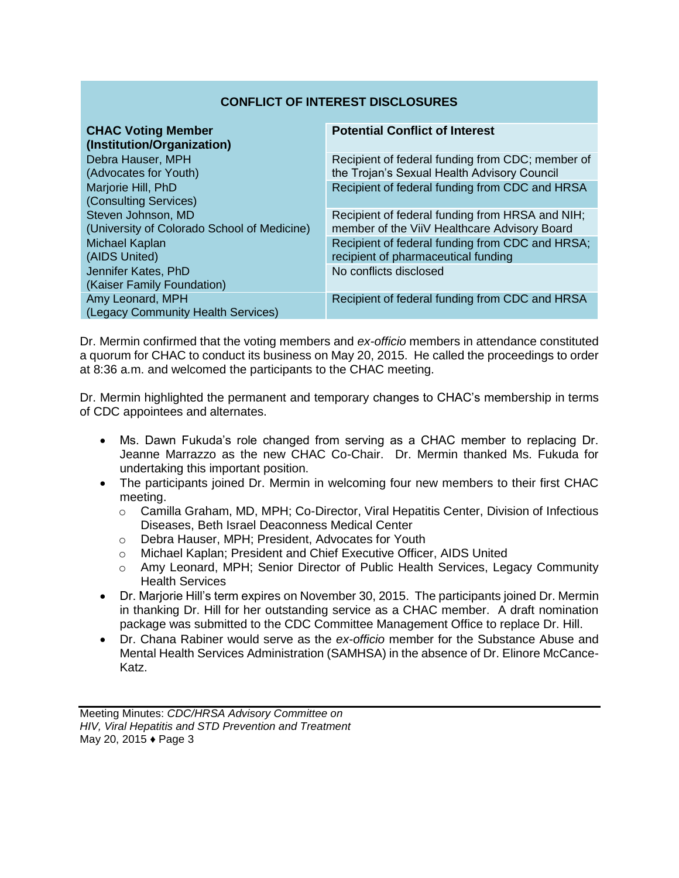# **CONFLICT OF INTEREST DISCLOSURES**

| <b>CHAC Voting Member</b><br>(Institution/Organization)           | <b>Potential Conflict of Interest</b>                                                           |
|-------------------------------------------------------------------|-------------------------------------------------------------------------------------------------|
| Debra Hauser, MPH<br>(Advocates for Youth)                        | Recipient of federal funding from CDC; member of<br>the Trojan's Sexual Health Advisory Council |
| Marjorie Hill, PhD<br>(Consulting Services)                       | Recipient of federal funding from CDC and HRSA                                                  |
| Steven Johnson, MD<br>(University of Colorado School of Medicine) | Recipient of federal funding from HRSA and NIH;<br>member of the ViiV Healthcare Advisory Board |
| Michael Kaplan<br>(AIDS United)                                   | Recipient of federal funding from CDC and HRSA;<br>recipient of pharmaceutical funding          |
| Jennifer Kates, PhD<br>(Kaiser Family Foundation)                 | No conflicts disclosed                                                                          |
| Amy Leonard, MPH<br>(Legacy Community Health Services)            | Recipient of federal funding from CDC and HRSA                                                  |

Dr. Mermin confirmed that the voting members and *ex-officio* members in attendance constituted a quorum for CHAC to conduct its business on May 20, 2015. He called the proceedings to order at 8:36 a.m. and welcomed the participants to the CHAC meeting.

Dr. Mermin highlighted the permanent and temporary changes to CHAC's membership in terms of CDC appointees and alternates.

- Ms. Dawn Fukuda's role changed from serving as a CHAC member to replacing Dr. Jeanne Marrazzo as the new CHAC Co-Chair. Dr. Mermin thanked Ms. Fukuda for undertaking this important position.
- The participants joined Dr. Mermin in welcoming four new members to their first CHAC meeting.
	- o Camilla Graham, MD, MPH; Co-Director, Viral Hepatitis Center, Division of Infectious Diseases, Beth Israel Deaconness Medical Center
	- o Debra Hauser, MPH; President, Advocates for Youth
	- o Michael Kaplan; President and Chief Executive Officer, AIDS United
	- o Amy Leonard, MPH; Senior Director of Public Health Services, Legacy Community Health Services
- Dr. Marjorie Hill's term expires on November 30, 2015. The participants joined Dr. Mermin in thanking Dr. Hill for her outstanding service as a CHAC member. A draft nomination package was submitted to the CDC Committee Management Office to replace Dr. Hill.
- Dr. Chana Rabiner would serve as the *ex-officio* member for the Substance Abuse and Mental Health Services Administration (SAMHSA) in the absence of Dr. Elinore McCance-Katz.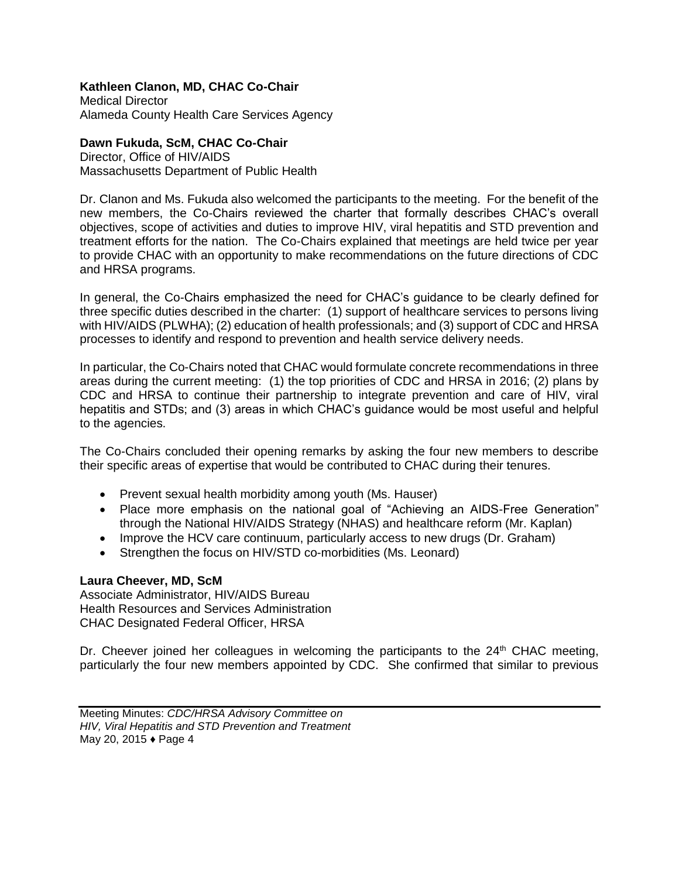# **Kathleen Clanon, MD, CHAC Co-Chair**

Medical Director Alameda County Health Care Services Agency

**Dawn Fukuda, ScM, CHAC Co-Chair**  Director, Office of HIV/AIDS

Massachusetts Department of Public Health

Dr. Clanon and Ms. Fukuda also welcomed the participants to the meeting. For the benefit of the new members, the Co-Chairs reviewed the charter that formally describes CHAC's overall objectives, scope of activities and duties to improve HIV, viral hepatitis and STD prevention and treatment efforts for the nation. The Co-Chairs explained that meetings are held twice per year to provide CHAC with an opportunity to make recommendations on the future directions of CDC and HRSA programs.

In general, the Co-Chairs emphasized the need for CHAC's guidance to be clearly defined for three specific duties described in the charter: (1) support of healthcare services to persons living with HIV/AIDS (PLWHA); (2) education of health professionals; and (3) support of CDC and HRSA processes to identify and respond to prevention and health service delivery needs.

In particular, the Co-Chairs noted that CHAC would formulate concrete recommendations in three areas during the current meeting: (1) the top priorities of CDC and HRSA in 2016; (2) plans by CDC and HRSA to continue their partnership to integrate prevention and care of HIV, viral hepatitis and STDs; and (3) areas in which CHAC's guidance would be most useful and helpful to the agencies.

The Co-Chairs concluded their opening remarks by asking the four new members to describe their specific areas of expertise that would be contributed to CHAC during their tenures.

- Prevent sexual health morbidity among youth (Ms. Hauser)
- Place more emphasis on the national goal of "Achieving an AIDS-Free Generation" through the National HIV/AIDS Strategy (NHAS) and healthcare reform (Mr. Kaplan)
- Improve the HCV care continuum, particularly access to new drugs (Dr. Graham)
- Strengthen the focus on HIV/STD co-morbidities (Ms. Leonard)

# **Laura Cheever, MD, ScM**

Associate Administrator, HIV/AIDS Bureau Health Resources and Services Administration CHAC Designated Federal Officer, HRSA

Dr. Cheever joined her colleagues in welcoming the participants to the  $24<sup>th</sup>$  CHAC meeting, particularly the four new members appointed by CDC. She confirmed that similar to previous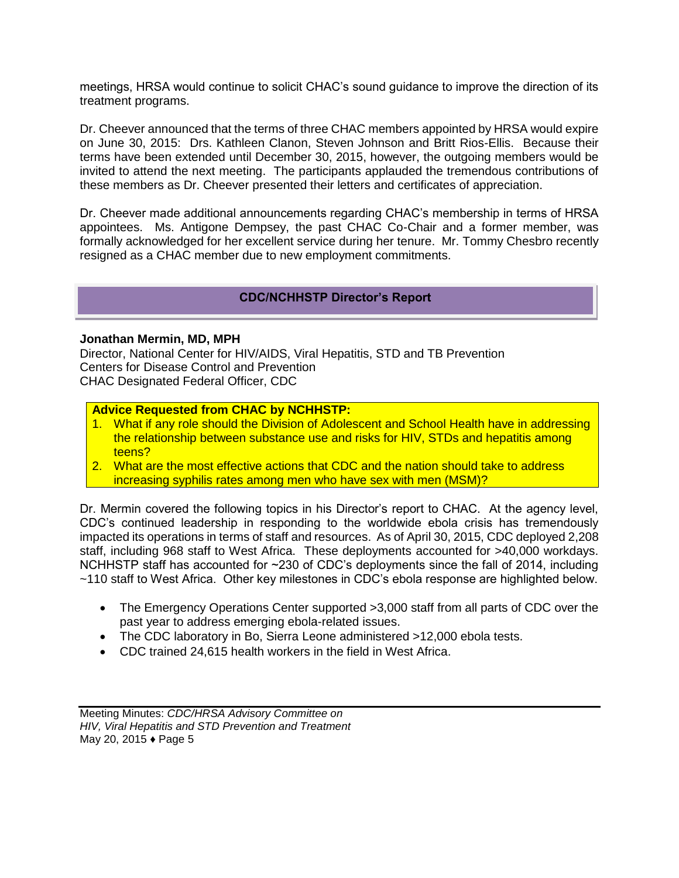meetings, HRSA would continue to solicit CHAC's sound guidance to improve the direction of its treatment programs.

Dr. Cheever announced that the terms of three CHAC members appointed by HRSA would expire on June 30, 2015: Drs. Kathleen Clanon, Steven Johnson and Britt Rios-Ellis. Because their terms have been extended until December 30, 2015, however, the outgoing members would be invited to attend the next meeting. The participants applauded the tremendous contributions of these members as Dr. Cheever presented their letters and certificates of appreciation.

Dr. Cheever made additional announcements regarding CHAC's membership in terms of HRSA appointees. Ms. Antigone Dempsey, the past CHAC Co-Chair and a former member, was formally acknowledged for her excellent service during her tenure. Mr. Tommy Chesbro recently resigned as a CHAC member due to new employment commitments.

# **CDC/NCHHSTP Director's Report**

#### **Jonathan Mermin, MD, MPH**

Director, National Center for HIV/AIDS, Viral Hepatitis, STD and TB Prevention Centers for Disease Control and Prevention CHAC Designated Federal Officer, CDC

#### **Advice Requested from CHAC by NCHHSTP:**

- 1. What if any role should the Division of Adolescent and School Health have in addressing the relationship between substance use and risks for HIV, STDs and hepatitis among teens?
- 2. What are the most effective actions that CDC and the nation should take to address increasing syphilis rates among men who have sex with men (MSM)?

Dr. Mermin covered the following topics in his Director's report to CHAC. At the agency level, CDC's continued leadership in responding to the worldwide ebola crisis has tremendously impacted its operations in terms of staff and resources. As of April 30, 2015, CDC deployed 2,208 staff, including 968 staff to West Africa. These deployments accounted for >40,000 workdays. NCHHSTP staff has accounted for ~230 of CDC's deployments since the fall of 2014, including ~110 staff to West Africa. Other key milestones in CDC's ebola response are highlighted below.

- The Emergency Operations Center supported >3,000 staff from all parts of CDC over the past year to address emerging ebola-related issues.
- The CDC laboratory in Bo, Sierra Leone administered >12,000 ebola tests.
- CDC trained 24,615 health workers in the field in West Africa.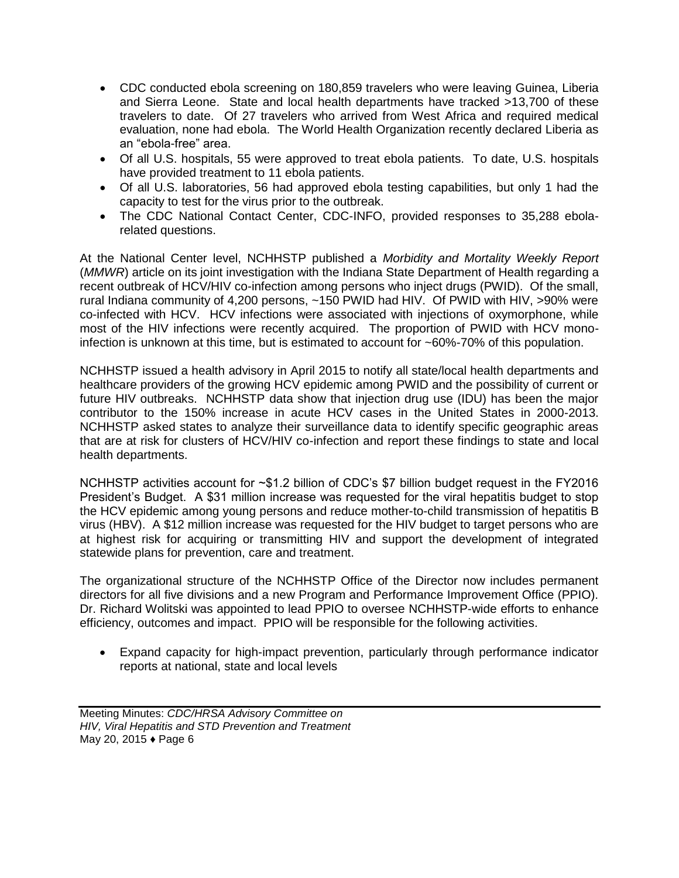- CDC conducted ebola screening on 180,859 travelers who were leaving Guinea, Liberia and Sierra Leone. State and local health departments have tracked >13,700 of these travelers to date. Of 27 travelers who arrived from West Africa and required medical evaluation, none had ebola. The World Health Organization recently declared Liberia as an "ebola-free" area.
- Of all U.S. hospitals, 55 were approved to treat ebola patients. To date, U.S. hospitals have provided treatment to 11 ebola patients.
- Of all U.S. laboratories, 56 had approved ebola testing capabilities, but only 1 had the capacity to test for the virus prior to the outbreak.
- The CDC National Contact Center, CDC-INFO, provided responses to 35,288 ebolarelated questions.

At the National Center level, NCHHSTP published a *Morbidity and Mortality Weekly Report* (*MMWR*) article on its joint investigation with the Indiana State Department of Health regarding a recent outbreak of HCV/HIV co-infection among persons who inject drugs (PWID). Of the small, rural Indiana community of 4,200 persons, ~150 PWID had HIV. Of PWID with HIV, >90% were co-infected with HCV. HCV infections were associated with injections of oxymorphone, while most of the HIV infections were recently acquired. The proportion of PWID with HCV monoinfection is unknown at this time, but is estimated to account for ~60%-70% of this population.

NCHHSTP issued a health advisory in April 2015 to notify all state/local health departments and healthcare providers of the growing HCV epidemic among PWID and the possibility of current or future HIV outbreaks. NCHHSTP data show that injection drug use (IDU) has been the major contributor to the 150% increase in acute HCV cases in the United States in 2000-2013. NCHHSTP asked states to analyze their surveillance data to identify specific geographic areas that are at risk for clusters of HCV/HIV co-infection and report these findings to state and local health departments.

NCHHSTP activities account for ~\$1.2 billion of CDC's \$7 billion budget request in the FY2016 President's Budget. A \$31 million increase was requested for the viral hepatitis budget to stop the HCV epidemic among young persons and reduce mother-to-child transmission of hepatitis B virus (HBV). A \$12 million increase was requested for the HIV budget to target persons who are at highest risk for acquiring or transmitting HIV and support the development of integrated statewide plans for prevention, care and treatment.

The organizational structure of the NCHHSTP Office of the Director now includes permanent directors for all five divisions and a new Program and Performance Improvement Office (PPIO). Dr. Richard Wolitski was appointed to lead PPIO to oversee NCHHSTP-wide efforts to enhance efficiency, outcomes and impact. PPIO will be responsible for the following activities.

 Expand capacity for high-impact prevention, particularly through performance indicator reports at national, state and local levels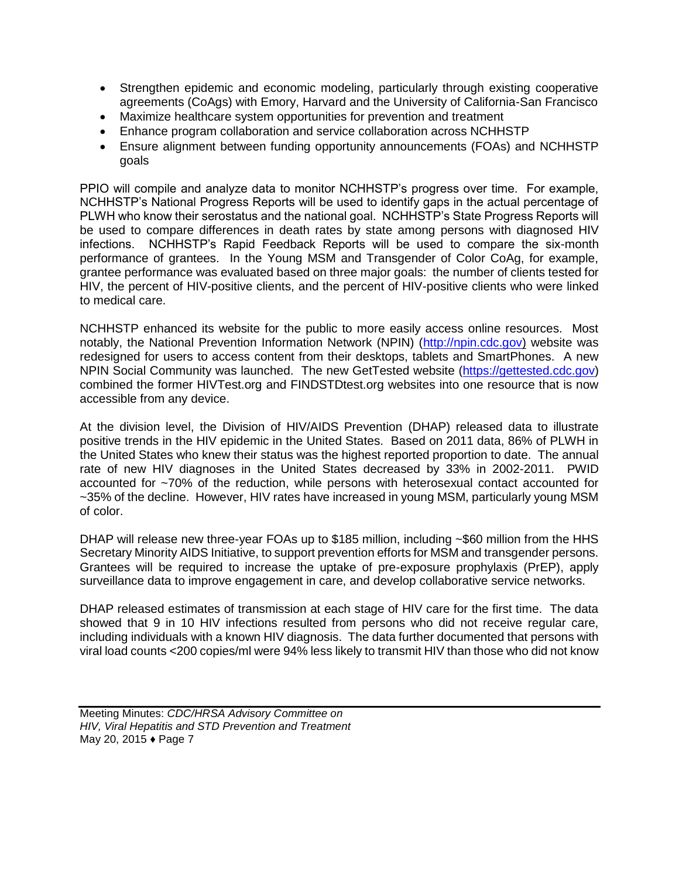- Strengthen epidemic and economic modeling, particularly through existing cooperative agreements (CoAgs) with Emory, Harvard and the University of California-San Francisco
- Maximize healthcare system opportunities for prevention and treatment
- Enhance program collaboration and service collaboration across NCHHSTP
- Ensure alignment between funding opportunity announcements (FOAs) and NCHHSTP goals

PPIO will compile and analyze data to monitor NCHHSTP's progress over time. For example, NCHHSTP's National Progress Reports will be used to identify gaps in the actual percentage of PLWH who know their serostatus and the national goal. NCHHSTP's State Progress Reports will be used to compare differences in death rates by state among persons with diagnosed HIV infections. NCHHSTP's Rapid Feedback Reports will be used to compare the six-month performance of grantees. In the Young MSM and Transgender of Color CoAg, for example, grantee performance was evaluated based on three major goals: the number of clients tested for HIV, the percent of HIV-positive clients, and the percent of HIV-positive clients who were linked to medical care.

NCHHSTP enhanced its website for the public to more easily access online resources. Most notably, the National Prevention Information Network (NPIN) [\(http://npin.cdc.gov\)](http://npin.cdc.gov/) website was redesigned for users to access content from their desktops, tablets and SmartPhones. A new NPIN Social Community was launched. The new GetTested website [\(https://gettested.cdc.gov\)](https://gettested.cdc.gov/) combined the former HIVTest.org and FINDSTDtest.org websites into one resource that is now accessible from any device.

At the division level, the Division of HIV/AIDS Prevention (DHAP) released data to illustrate positive trends in the HIV epidemic in the United States. Based on 2011 data, 86% of PLWH in the United States who knew their status was the highest reported proportion to date. The annual rate of new HIV diagnoses in the United States decreased by 33% in 2002-2011. PWID accounted for ~70% of the reduction, while persons with heterosexual contact accounted for ~35% of the decline. However, HIV rates have increased in young MSM, particularly young MSM of color.

DHAP will release new three-year FOAs up to \$185 million, including ~\$60 million from the HHS Secretary Minority AIDS Initiative, to support prevention efforts for MSM and transgender persons. Grantees will be required to increase the uptake of pre-exposure prophylaxis (PrEP), apply surveillance data to improve engagement in care, and develop collaborative service networks.

DHAP released estimates of transmission at each stage of HIV care for the first time. The data showed that 9 in 10 HIV infections resulted from persons who did not receive regular care, including individuals with a known HIV diagnosis. The data further documented that persons with viral load counts <200 copies/ml were 94% less likely to transmit HIV than those who did not know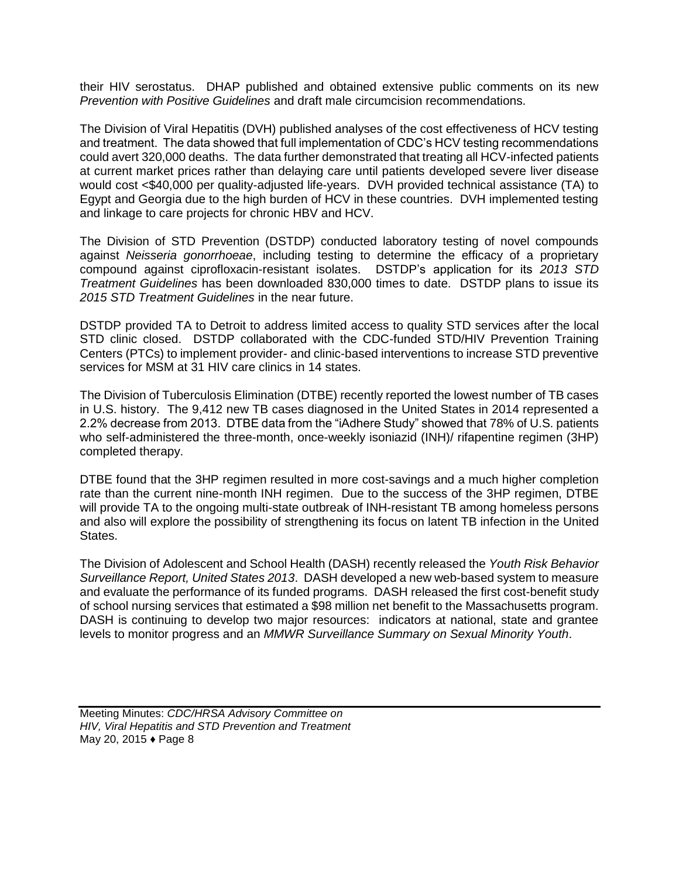their HIV serostatus. DHAP published and obtained extensive public comments on its new *Prevention with Positive Guidelines* and draft male circumcision recommendations.

The Division of Viral Hepatitis (DVH) published analyses of the cost effectiveness of HCV testing and treatment. The data showed that full implementation of CDC's HCV testing recommendations could avert 320,000 deaths. The data further demonstrated that treating all HCV-infected patients at current market prices rather than delaying care until patients developed severe liver disease would cost <\$40,000 per quality-adjusted life-years. DVH provided technical assistance (TA) to Egypt and Georgia due to the high burden of HCV in these countries. DVH implemented testing and linkage to care projects for chronic HBV and HCV.

The Division of STD Prevention (DSTDP) conducted laboratory testing of novel compounds against *Neisseria gonorrhoeae*, including testing to determine the efficacy of a proprietary compound against ciprofloxacin-resistant isolates. DSTDP's application for its *2013 STD Treatment Guidelines* has been downloaded 830,000 times to date. DSTDP plans to issue its *2015 STD Treatment Guidelines* in the near future.

DSTDP provided TA to Detroit to address limited access to quality STD services after the local STD clinic closed. DSTDP collaborated with the CDC-funded STD/HIV Prevention Training Centers (PTCs) to implement provider- and clinic-based interventions to increase STD preventive services for MSM at 31 HIV care clinics in 14 states.

The Division of Tuberculosis Elimination (DTBE) recently reported the lowest number of TB cases in U.S. history. The 9,412 new TB cases diagnosed in the United States in 2014 represented a 2.2% decrease from 2013. DTBE data from the "iAdhere Study" showed that 78% of U.S. patients who self-administered the three-month, once-weekly isoniazid (INH)/ rifapentine regimen (3HP) completed therapy.

DTBE found that the 3HP regimen resulted in more cost-savings and a much higher completion rate than the current nine-month INH regimen. Due to the success of the 3HP regimen, DTBE will provide TA to the ongoing multi-state outbreak of INH-resistant TB among homeless persons and also will explore the possibility of strengthening its focus on latent TB infection in the United States.

The Division of Adolescent and School Health (DASH) recently released the *Youth Risk Behavior Surveillance Report, United States 2013*. DASH developed a new web-based system to measure and evaluate the performance of its funded programs. DASH released the first cost-benefit study of school nursing services that estimated a \$98 million net benefit to the Massachusetts program. DASH is continuing to develop two major resources: indicators at national, state and grantee levels to monitor progress and an *MMWR Surveillance Summary on Sexual Minority Youth*.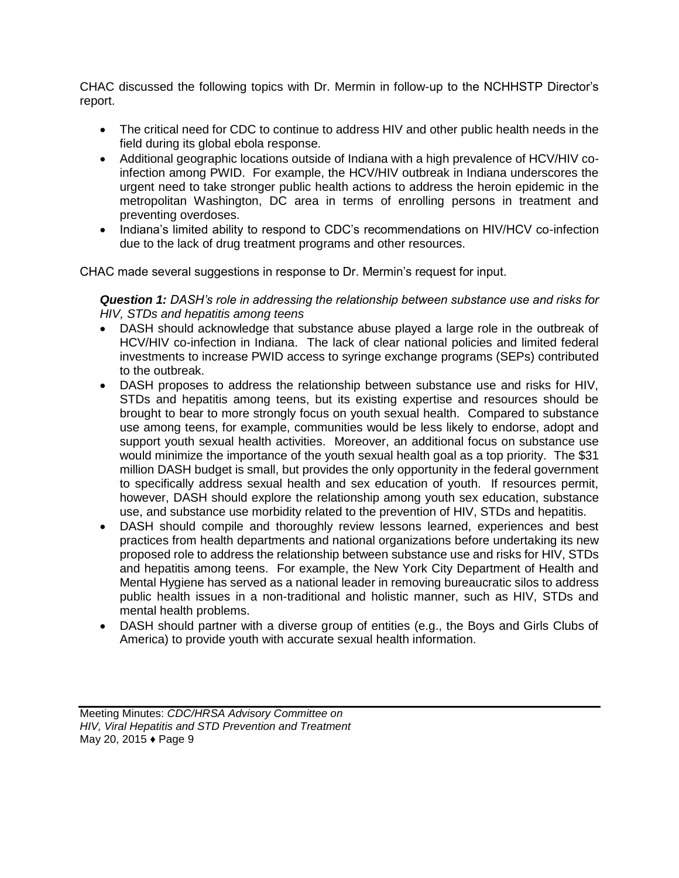CHAC discussed the following topics with Dr. Mermin in follow-up to the NCHHSTP Director's report.

- The critical need for CDC to continue to address HIV and other public health needs in the field during its global ebola response.
- Additional geographic locations outside of Indiana with a high prevalence of HCV/HIV coinfection among PWID. For example, the HCV/HIV outbreak in Indiana underscores the urgent need to take stronger public health actions to address the heroin epidemic in the metropolitan Washington, DC area in terms of enrolling persons in treatment and preventing overdoses.
- Indiana's limited ability to respond to CDC's recommendations on HIV/HCV co-infection due to the lack of drug treatment programs and other resources.

CHAC made several suggestions in response to Dr. Mermin's request for input.

*Question 1: DASH's role in addressing the relationship between substance use and risks for HIV, STDs and hepatitis among teens* 

- DASH should acknowledge that substance abuse played a large role in the outbreak of HCV/HIV co-infection in Indiana. The lack of clear national policies and limited federal investments to increase PWID access to syringe exchange programs (SEPs) contributed to the outbreak.
- DASH proposes to address the relationship between substance use and risks for HIV, STDs and hepatitis among teens, but its existing expertise and resources should be brought to bear to more strongly focus on youth sexual health. Compared to substance use among teens, for example, communities would be less likely to endorse, adopt and support youth sexual health activities. Moreover, an additional focus on substance use would minimize the importance of the youth sexual health goal as a top priority. The \$31 million DASH budget is small, but provides the only opportunity in the federal government to specifically address sexual health and sex education of youth. If resources permit, however, DASH should explore the relationship among youth sex education, substance use, and substance use morbidity related to the prevention of HIV, STDs and hepatitis.
- DASH should compile and thoroughly review lessons learned, experiences and best practices from health departments and national organizations before undertaking its new proposed role to address the relationship between substance use and risks for HIV, STDs and hepatitis among teens. For example, the New York City Department of Health and Mental Hygiene has served as a national leader in removing bureaucratic silos to address public health issues in a non-traditional and holistic manner, such as HIV, STDs and mental health problems.
- DASH should partner with a diverse group of entities (e.g., the Boys and Girls Clubs of America) to provide youth with accurate sexual health information.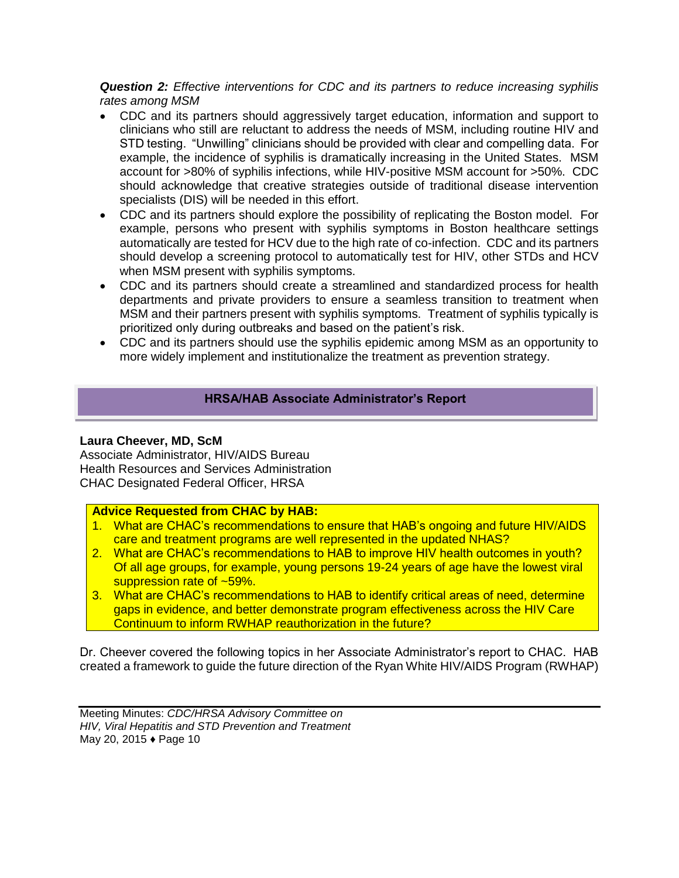*Question 2: Effective interventions for CDC and its partners to reduce increasing syphilis rates among MSM* 

- CDC and its partners should aggressively target education, information and support to clinicians who still are reluctant to address the needs of MSM, including routine HIV and STD testing. "Unwilling" clinicians should be provided with clear and compelling data. For example, the incidence of syphilis is dramatically increasing in the United States. MSM account for >80% of syphilis infections, while HIV-positive MSM account for >50%. CDC should acknowledge that creative strategies outside of traditional disease intervention specialists (DIS) will be needed in this effort.
- CDC and its partners should explore the possibility of replicating the Boston model. For example, persons who present with syphilis symptoms in Boston healthcare settings automatically are tested for HCV due to the high rate of co-infection. CDC and its partners should develop a screening protocol to automatically test for HIV, other STDs and HCV when MSM present with syphilis symptoms.
- CDC and its partners should create a streamlined and standardized process for health departments and private providers to ensure a seamless transition to treatment when MSM and their partners present with syphilis symptoms. Treatment of syphilis typically is prioritized only during outbreaks and based on the patient's risk.
- CDC and its partners should use the syphilis epidemic among MSM as an opportunity to more widely implement and institutionalize the treatment as prevention strategy.

# **HRSA/HAB Associate Administrator's Report**

# **Laura Cheever, MD, ScM**

Associate Administrator, HIV/AIDS Bureau Health Resources and Services Administration CHAC Designated Federal Officer, HRSA

# **Advice Requested from CHAC by HAB:**

- 1. What are CHAC's recommendations to ensure that HAB's ongoing and future HIV/AIDS care and treatment programs are well represented in the updated NHAS?
- 2. What are CHAC's recommendations to HAB to improve HIV health outcomes in youth? Of all age groups, for example, young persons 19-24 years of age have the lowest viral suppression rate of ~59%.
- 3. What are CHAC's recommendations to HAB to identify critical areas of need, determine gaps in evidence, and better demonstrate program effectiveness across the HIV Care Continuum to inform RWHAP reauthorization in the future?

Dr. Cheever covered the following topics in her Associate Administrator's report to CHAC. HAB created a framework to guide the future direction of the Ryan White HIV/AIDS Program (RWHAP)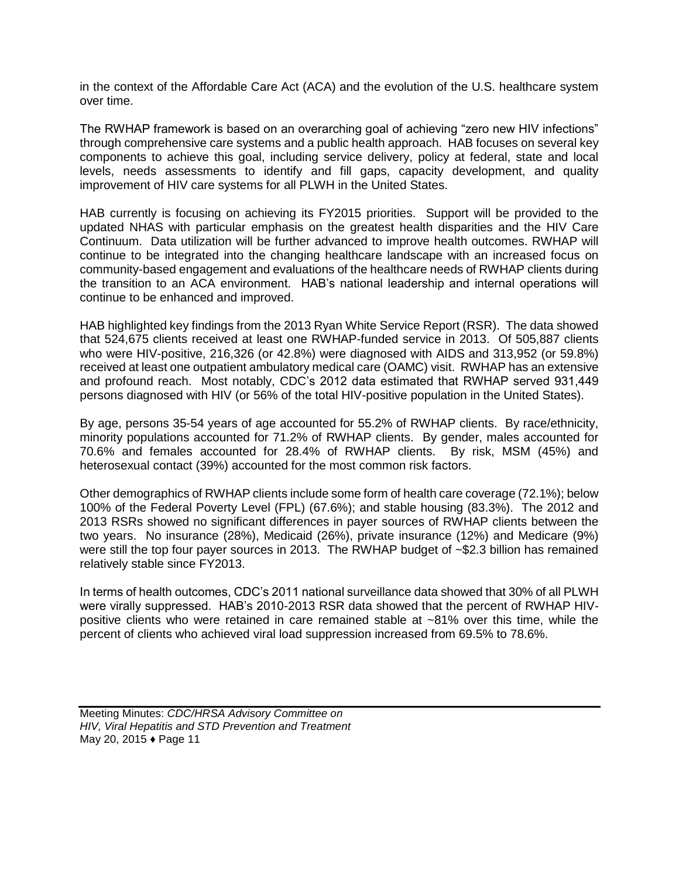in the context of the Affordable Care Act (ACA) and the evolution of the U.S. healthcare system over time.

The RWHAP framework is based on an overarching goal of achieving "zero new HIV infections" through comprehensive care systems and a public health approach. HAB focuses on several key components to achieve this goal, including service delivery, policy at federal, state and local levels, needs assessments to identify and fill gaps, capacity development, and quality improvement of HIV care systems for all PLWH in the United States.

HAB currently is focusing on achieving its FY2015 priorities. Support will be provided to the updated NHAS with particular emphasis on the greatest health disparities and the HIV Care Continuum. Data utilization will be further advanced to improve health outcomes. RWHAP will continue to be integrated into the changing healthcare landscape with an increased focus on community-based engagement and evaluations of the healthcare needs of RWHAP clients during the transition to an ACA environment. HAB's national leadership and internal operations will continue to be enhanced and improved.

HAB highlighted key findings from the 2013 Ryan White Service Report (RSR). The data showed that 524,675 clients received at least one RWHAP-funded service in 2013. Of 505,887 clients who were HIV-positive, 216,326 (or 42.8%) were diagnosed with AIDS and 313,952 (or 59.8%) received at least one outpatient ambulatory medical care (OAMC) visit. RWHAP has an extensive and profound reach. Most notably, CDC's 2012 data estimated that RWHAP served 931,449 persons diagnosed with HIV (or 56% of the total HIV-positive population in the United States).

By age, persons 35-54 years of age accounted for 55.2% of RWHAP clients. By race/ethnicity, minority populations accounted for 71.2% of RWHAP clients. By gender, males accounted for 70.6% and females accounted for 28.4% of RWHAP clients. By risk, MSM (45%) and heterosexual contact (39%) accounted for the most common risk factors.

Other demographics of RWHAP clients include some form of health care coverage (72.1%); below 100% of the Federal Poverty Level (FPL) (67.6%); and stable housing (83.3%). The 2012 and 2013 RSRs showed no significant differences in payer sources of RWHAP clients between the two years. No insurance (28%), Medicaid (26%), private insurance (12%) and Medicare (9%) were still the top four payer sources in 2013. The RWHAP budget of ~\$2.3 billion has remained relatively stable since FY2013.

In terms of health outcomes, CDC's 2011 national surveillance data showed that 30% of all PLWH were virally suppressed. HAB's 2010-2013 RSR data showed that the percent of RWHAP HIVpositive clients who were retained in care remained stable at ~81% over this time, while the percent of clients who achieved viral load suppression increased from 69.5% to 78.6%.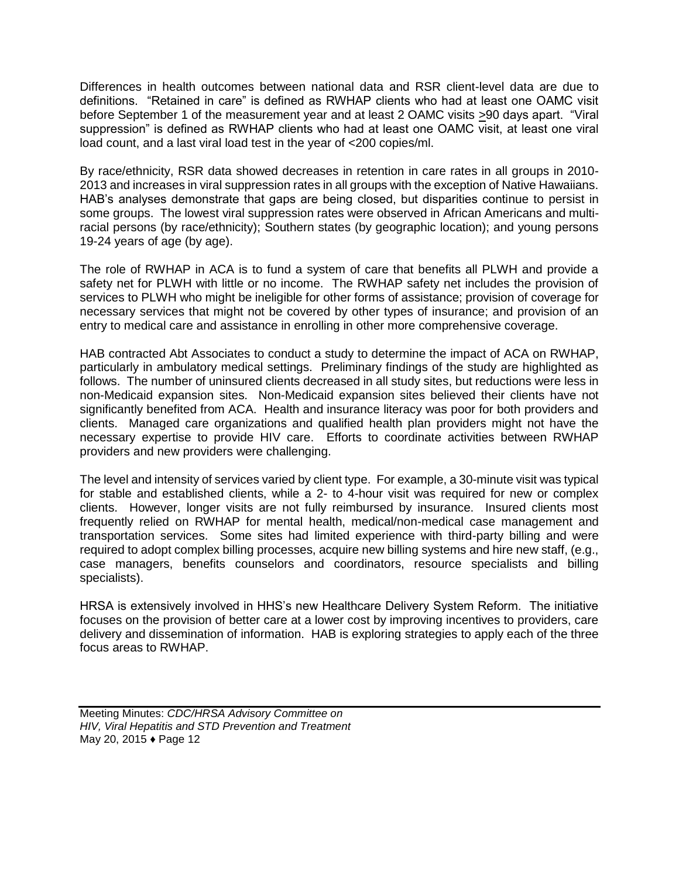Differences in health outcomes between national data and RSR client-level data are due to definitions. "Retained in care" is defined as RWHAP clients who had at least one OAMC visit before September 1 of the measurement year and at least 2 OAMC visits >90 days apart. "Viral suppression" is defined as RWHAP clients who had at least one OAMC visit, at least one viral load count, and a last viral load test in the year of <200 copies/ml.

By race/ethnicity, RSR data showed decreases in retention in care rates in all groups in 2010- 2013 and increases in viral suppression rates in all groups with the exception of Native Hawaiians. HAB's analyses demonstrate that gaps are being closed, but disparities continue to persist in some groups. The lowest viral suppression rates were observed in African Americans and multiracial persons (by race/ethnicity); Southern states (by geographic location); and young persons 19-24 years of age (by age).

The role of RWHAP in ACA is to fund a system of care that benefits all PLWH and provide a safety net for PLWH with little or no income. The RWHAP safety net includes the provision of services to PLWH who might be ineligible for other forms of assistance; provision of coverage for necessary services that might not be covered by other types of insurance; and provision of an entry to medical care and assistance in enrolling in other more comprehensive coverage.

HAB contracted Abt Associates to conduct a study to determine the impact of ACA on RWHAP, particularly in ambulatory medical settings. Preliminary findings of the study are highlighted as follows. The number of uninsured clients decreased in all study sites, but reductions were less in non-Medicaid expansion sites. Non-Medicaid expansion sites believed their clients have not significantly benefited from ACA. Health and insurance literacy was poor for both providers and clients. Managed care organizations and qualified health plan providers might not have the necessary expertise to provide HIV care. Efforts to coordinate activities between RWHAP providers and new providers were challenging.

The level and intensity of services varied by client type. For example, a 30-minute visit was typical for stable and established clients, while a 2- to 4-hour visit was required for new or complex clients. However, longer visits are not fully reimbursed by insurance. Insured clients most frequently relied on RWHAP for mental health, medical/non-medical case management and transportation services. Some sites had limited experience with third-party billing and were required to adopt complex billing processes, acquire new billing systems and hire new staff, (e.g., case managers, benefits counselors and coordinators, resource specialists and billing specialists).

HRSA is extensively involved in HHS's new Healthcare Delivery System Reform. The initiative focuses on the provision of better care at a lower cost by improving incentives to providers, care delivery and dissemination of information. HAB is exploring strategies to apply each of the three focus areas to RWHAP.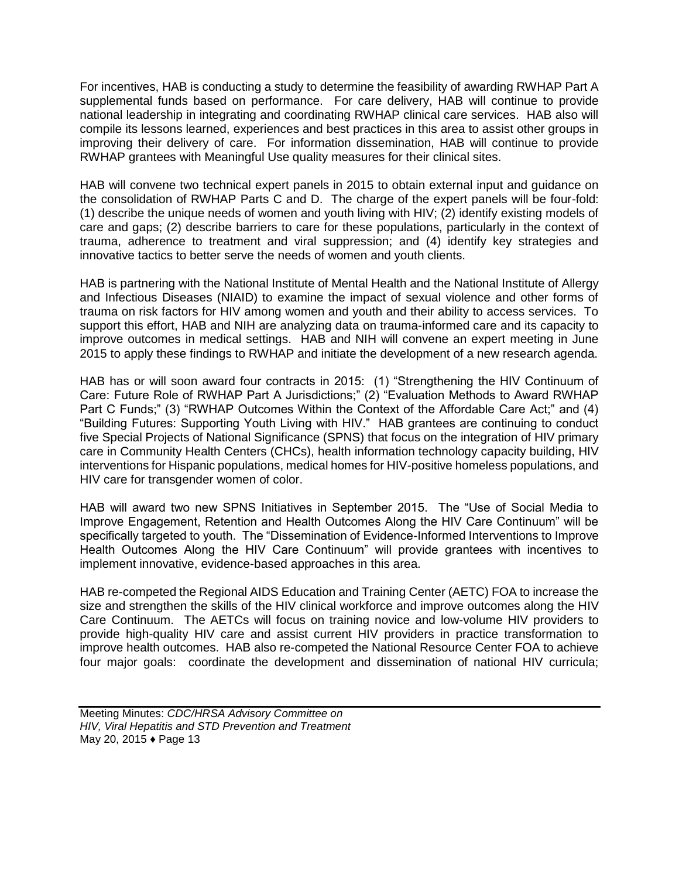For incentives, HAB is conducting a study to determine the feasibility of awarding RWHAP Part A supplemental funds based on performance. For care delivery, HAB will continue to provide national leadership in integrating and coordinating RWHAP clinical care services. HAB also will compile its lessons learned, experiences and best practices in this area to assist other groups in improving their delivery of care. For information dissemination, HAB will continue to provide RWHAP grantees with Meaningful Use quality measures for their clinical sites.

HAB will convene two technical expert panels in 2015 to obtain external input and guidance on the consolidation of RWHAP Parts C and D. The charge of the expert panels will be four-fold: (1) describe the unique needs of women and youth living with HIV; (2) identify existing models of care and gaps; (2) describe barriers to care for these populations, particularly in the context of trauma, adherence to treatment and viral suppression; and (4) identify key strategies and innovative tactics to better serve the needs of women and youth clients.

HAB is partnering with the National Institute of Mental Health and the National Institute of Allergy and Infectious Diseases (NIAID) to examine the impact of sexual violence and other forms of trauma on risk factors for HIV among women and youth and their ability to access services. To support this effort, HAB and NIH are analyzing data on trauma-informed care and its capacity to improve outcomes in medical settings. HAB and NIH will convene an expert meeting in June 2015 to apply these findings to RWHAP and initiate the development of a new research agenda.

HAB has or will soon award four contracts in 2015: (1) "Strengthening the HIV Continuum of Care: Future Role of RWHAP Part A Jurisdictions;" (2) "Evaluation Methods to Award RWHAP Part C Funds;" (3) "RWHAP Outcomes Within the Context of the Affordable Care Act;" and (4) "Building Futures: Supporting Youth Living with HIV." HAB grantees are continuing to conduct five Special Projects of National Significance (SPNS) that focus on the integration of HIV primary care in Community Health Centers (CHCs), health information technology capacity building, HIV interventions for Hispanic populations, medical homes for HIV-positive homeless populations, and HIV care for transgender women of color.

HAB will award two new SPNS Initiatives in September 2015. The "Use of Social Media to Improve Engagement, Retention and Health Outcomes Along the HIV Care Continuum" will be specifically targeted to youth. The "Dissemination of Evidence-Informed Interventions to Improve Health Outcomes Along the HIV Care Continuum" will provide grantees with incentives to implement innovative, evidence-based approaches in this area.

HAB re-competed the Regional AIDS Education and Training Center (AETC) FOA to increase the size and strengthen the skills of the HIV clinical workforce and improve outcomes along the HIV Care Continuum. The AETCs will focus on training novice and low-volume HIV providers to provide high-quality HIV care and assist current HIV providers in practice transformation to improve health outcomes. HAB also re-competed the National Resource Center FOA to achieve four major goals: coordinate the development and dissemination of national HIV curricula;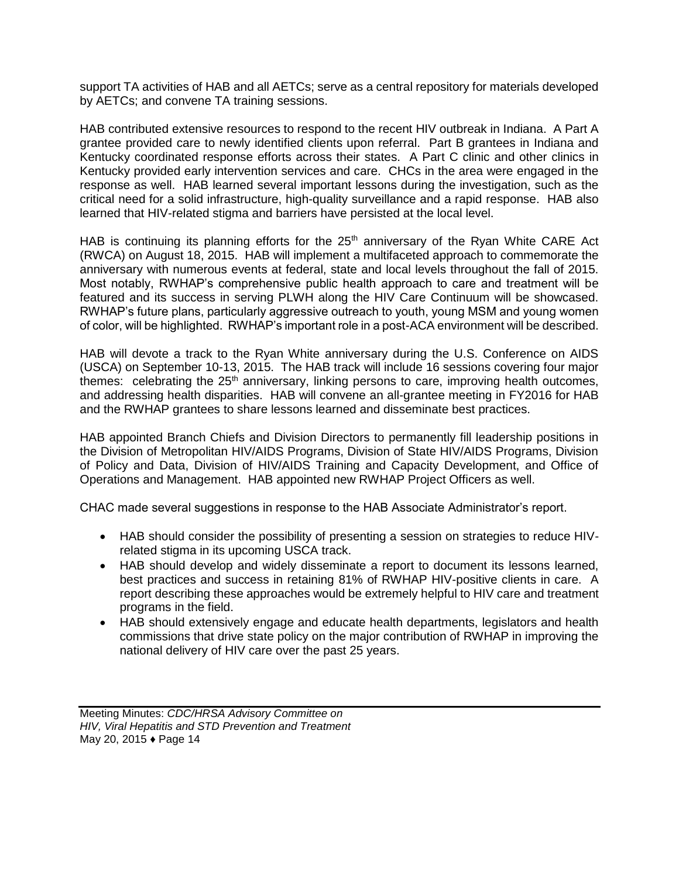support TA activities of HAB and all AETCs; serve as a central repository for materials developed by AETCs; and convene TA training sessions.

HAB contributed extensive resources to respond to the recent HIV outbreak in Indiana. A Part A grantee provided care to newly identified clients upon referral. Part B grantees in Indiana and Kentucky coordinated response efforts across their states. A Part C clinic and other clinics in Kentucky provided early intervention services and care. CHCs in the area were engaged in the response as well. HAB learned several important lessons during the investigation, such as the critical need for a solid infrastructure, high-quality surveillance and a rapid response. HAB also learned that HIV-related stigma and barriers have persisted at the local level.

HAB is continuing its planning efforts for the 25<sup>th</sup> anniversary of the Ryan White CARE Act (RWCA) on August 18, 2015. HAB will implement a multifaceted approach to commemorate the anniversary with numerous events at federal, state and local levels throughout the fall of 2015. Most notably, RWHAP's comprehensive public health approach to care and treatment will be featured and its success in serving PLWH along the HIV Care Continuum will be showcased. RWHAP's future plans, particularly aggressive outreach to youth, young MSM and young women of color, will be highlighted. RWHAP's important role in a post-ACA environment will be described.

HAB will devote a track to the Ryan White anniversary during the U.S. Conference on AIDS (USCA) on September 10-13, 2015. The HAB track will include 16 sessions covering four major themes: celebrating the  $25<sup>th</sup>$  anniversary, linking persons to care, improving health outcomes, and addressing health disparities. HAB will convene an all-grantee meeting in FY2016 for HAB and the RWHAP grantees to share lessons learned and disseminate best practices.

HAB appointed Branch Chiefs and Division Directors to permanently fill leadership positions in the Division of Metropolitan HIV/AIDS Programs, Division of State HIV/AIDS Programs, Division of Policy and Data, Division of HIV/AIDS Training and Capacity Development, and Office of Operations and Management. HAB appointed new RWHAP Project Officers as well.

CHAC made several suggestions in response to the HAB Associate Administrator's report.

- HAB should consider the possibility of presenting a session on strategies to reduce HIVrelated stigma in its upcoming USCA track.
- HAB should develop and widely disseminate a report to document its lessons learned, best practices and success in retaining 81% of RWHAP HIV-positive clients in care. A report describing these approaches would be extremely helpful to HIV care and treatment programs in the field.
- HAB should extensively engage and educate health departments, legislators and health commissions that drive state policy on the major contribution of RWHAP in improving the national delivery of HIV care over the past 25 years.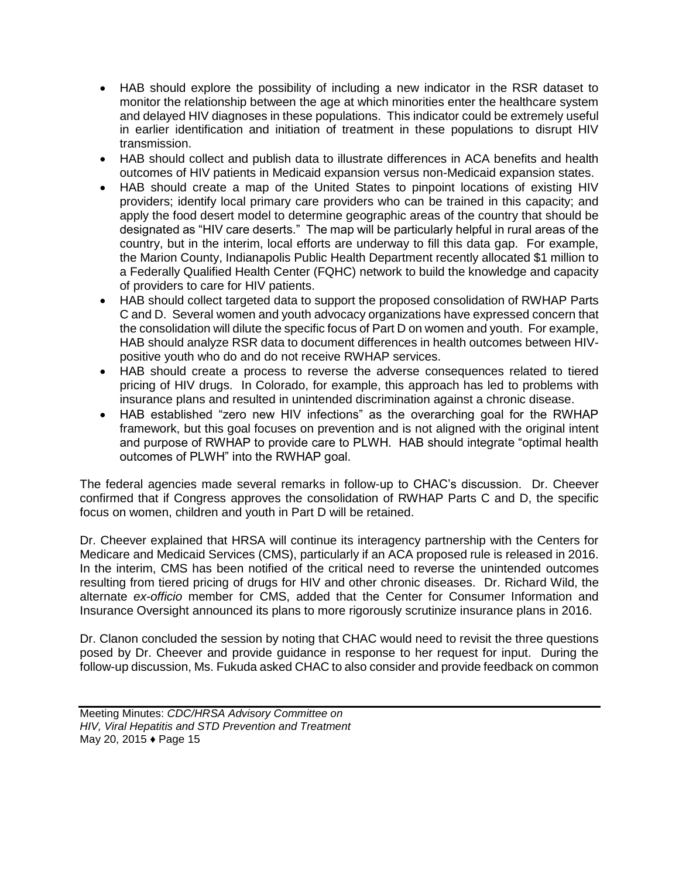- HAB should explore the possibility of including a new indicator in the RSR dataset to monitor the relationship between the age at which minorities enter the healthcare system and delayed HIV diagnoses in these populations. This indicator could be extremely useful in earlier identification and initiation of treatment in these populations to disrupt HIV transmission.
- HAB should collect and publish data to illustrate differences in ACA benefits and health outcomes of HIV patients in Medicaid expansion versus non-Medicaid expansion states.
- HAB should create a map of the United States to pinpoint locations of existing HIV providers; identify local primary care providers who can be trained in this capacity; and apply the food desert model to determine geographic areas of the country that should be designated as "HIV care deserts." The map will be particularly helpful in rural areas of the country, but in the interim, local efforts are underway to fill this data gap. For example, the Marion County, Indianapolis Public Health Department recently allocated \$1 million to a Federally Qualified Health Center (FQHC) network to build the knowledge and capacity of providers to care for HIV patients.
- HAB should collect targeted data to support the proposed consolidation of RWHAP Parts C and D. Several women and youth advocacy organizations have expressed concern that the consolidation will dilute the specific focus of Part D on women and youth. For example, HAB should analyze RSR data to document differences in health outcomes between HIVpositive youth who do and do not receive RWHAP services.
- HAB should create a process to reverse the adverse consequences related to tiered pricing of HIV drugs. In Colorado, for example, this approach has led to problems with insurance plans and resulted in unintended discrimination against a chronic disease.
- HAB established "zero new HIV infections" as the overarching goal for the RWHAP framework, but this goal focuses on prevention and is not aligned with the original intent and purpose of RWHAP to provide care to PLWH. HAB should integrate "optimal health outcomes of PLWH" into the RWHAP goal.

The federal agencies made several remarks in follow-up to CHAC's discussion. Dr. Cheever confirmed that if Congress approves the consolidation of RWHAP Parts C and D, the specific focus on women, children and youth in Part D will be retained.

Dr. Cheever explained that HRSA will continue its interagency partnership with the Centers for Medicare and Medicaid Services (CMS), particularly if an ACA proposed rule is released in 2016. In the interim, CMS has been notified of the critical need to reverse the unintended outcomes resulting from tiered pricing of drugs for HIV and other chronic diseases. Dr. Richard Wild, the alternate *ex-officio* member for CMS, added that the Center for Consumer Information and Insurance Oversight announced its plans to more rigorously scrutinize insurance plans in 2016.

Dr. Clanon concluded the session by noting that CHAC would need to revisit the three questions posed by Dr. Cheever and provide guidance in response to her request for input. During the follow-up discussion, Ms. Fukuda asked CHAC to also consider and provide feedback on common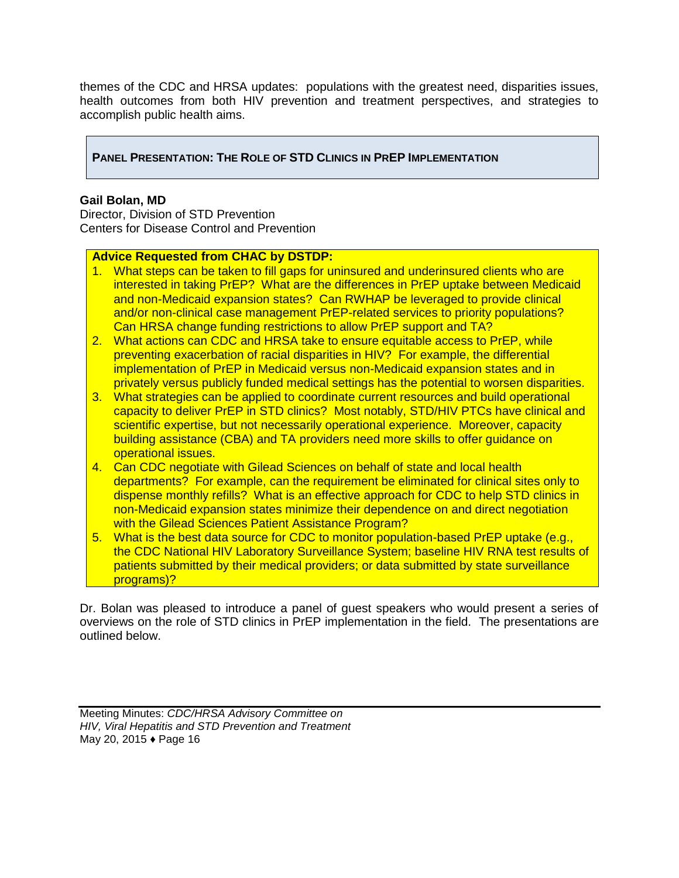themes of the CDC and HRSA updates: populations with the greatest need, disparities issues, health outcomes from both HIV prevention and treatment perspectives, and strategies to accomplish public health aims.

# **PANEL PRESENTATION: THE ROLE OF STD CLINICS IN PREP IMPLEMENTATION**

#### **Gail Bolan, MD**

Director, Division of STD Prevention Centers for Disease Control and Prevention

# **Advice Requested from CHAC by DSTDP:**

- 1. What steps can be taken to fill gaps for uninsured and underinsured clients who are interested in taking PrEP? What are the differences in PrEP uptake between Medicaid and non-Medicaid expansion states? Can RWHAP be leveraged to provide clinical and/or non-clinical case management PrEP-related services to priority populations? Can HRSA change funding restrictions to allow PrEP support and TA?
- 2. What actions can CDC and HRSA take to ensure equitable access to PrEP, while preventing exacerbation of racial disparities in HIV? For example, the differential implementation of PrEP in Medicaid versus non-Medicaid expansion states and in privately versus publicly funded medical settings has the potential to worsen disparities.
- 3. What strategies can be applied to coordinate current resources and build operational capacity to deliver PrEP in STD clinics? Most notably, STD/HIV PTCs have clinical and scientific expertise, but not necessarily operational experience. Moreover, capacity building assistance (CBA) and TA providers need more skills to offer guidance on operational issues.
- 4. Can CDC negotiate with Gilead Sciences on behalf of state and local health departments? For example, can the requirement be eliminated for clinical sites only to dispense monthly refills? What is an effective approach for CDC to help STD clinics in non-Medicaid expansion states minimize their dependence on and direct negotiation with the Gilead Sciences Patient Assistance Program?
- 5. What is the best data source for CDC to monitor population-based PrEP uptake (e.g., the CDC National HIV Laboratory Surveillance System; baseline HIV RNA test results of patients submitted by their medical providers; or data submitted by state surveillance programs)?

Dr. Bolan was pleased to introduce a panel of guest speakers who would present a series of overviews on the role of STD clinics in PrEP implementation in the field. The presentations are outlined below.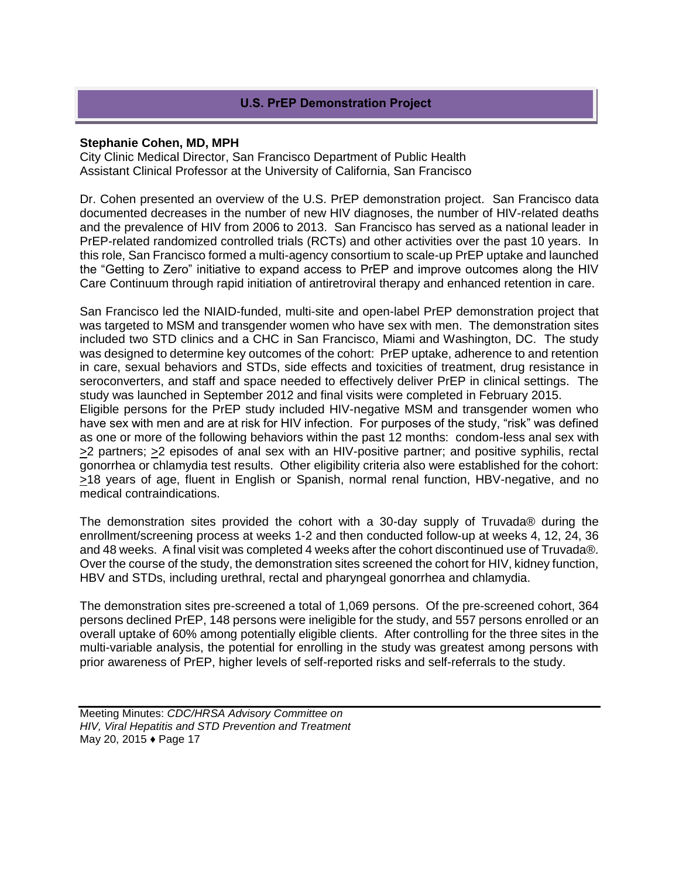# **U.S. PrEP Demonstration Project**

#### **Stephanie Cohen, MD, MPH**

City Clinic Medical Director, San Francisco Department of Public Health Assistant Clinical Professor at the University of California, San Francisco

Dr. Cohen presented an overview of the U.S. PrEP demonstration project. San Francisco data documented decreases in the number of new HIV diagnoses, the number of HIV-related deaths and the prevalence of HIV from 2006 to 2013. San Francisco has served as a national leader in PrEP-related randomized controlled trials (RCTs) and other activities over the past 10 years. In this role, San Francisco formed a multi-agency consortium to scale-up PrEP uptake and launched the "Getting to Zero" initiative to expand access to PrEP and improve outcomes along the HIV Care Continuum through rapid initiation of antiretroviral therapy and enhanced retention in care.

San Francisco led the NIAID-funded, multi-site and open-label PrEP demonstration project that was targeted to MSM and transgender women who have sex with men. The demonstration sites included two STD clinics and a CHC in San Francisco, Miami and Washington, DC. The study was designed to determine key outcomes of the cohort: PrEP uptake, adherence to and retention in care, sexual behaviors and STDs, side effects and toxicities of treatment, drug resistance in seroconverters, and staff and space needed to effectively deliver PrEP in clinical settings. The study was launched in September 2012 and final visits were completed in February 2015.

Eligible persons for the PrEP study included HIV-negative MSM and transgender women who have sex with men and are at risk for HIV infection. For purposes of the study, "risk" was defined as one or more of the following behaviors within the past 12 months: condom-less anal sex with  $\geq$ 2 partners;  $\geq$ 2 episodes of anal sex with an HIV-positive partner; and positive syphilis, rectal gonorrhea or chlamydia test results. Other eligibility criteria also were established for the cohort: >18 years of age, fluent in English or Spanish, normal renal function, HBV-negative, and no medical contraindications.

The demonstration sites provided the cohort with a 30-day supply of Truvada® during the enrollment/screening process at weeks 1-2 and then conducted follow-up at weeks 4, 12, 24, 36 and 48 weeks. A final visit was completed 4 weeks after the cohort discontinued use of Truvada®. Over the course of the study, the demonstration sites screened the cohort for HIV, kidney function, HBV and STDs, including urethral, rectal and pharyngeal gonorrhea and chlamydia.

The demonstration sites pre-screened a total of 1,069 persons. Of the pre-screened cohort, 364 persons declined PrEP, 148 persons were ineligible for the study, and 557 persons enrolled or an overall uptake of 60% among potentially eligible clients. After controlling for the three sites in the multi-variable analysis, the potential for enrolling in the study was greatest among persons with prior awareness of PrEP, higher levels of self-reported risks and self-referrals to the study.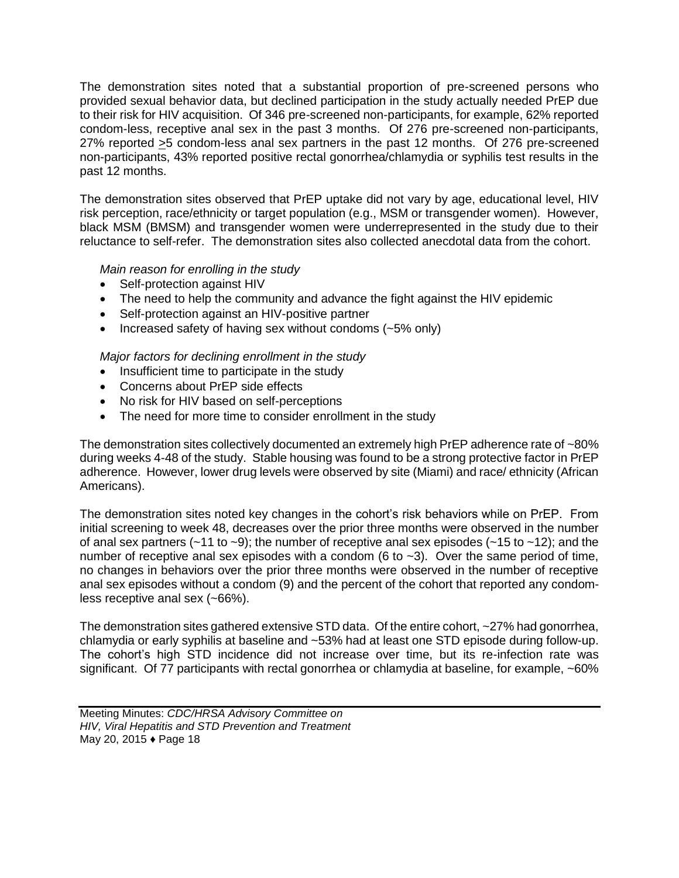The demonstration sites noted that a substantial proportion of pre-screened persons who provided sexual behavior data, but declined participation in the study actually needed PrEP due to their risk for HIV acquisition. Of 346 pre-screened non-participants, for example, 62% reported condom-less, receptive anal sex in the past 3 months. Of 276 pre-screened non-participants, 27% reported >5 condom-less anal sex partners in the past 12 months. Of 276 pre-screened non-participants, 43% reported positive rectal gonorrhea/chlamydia or syphilis test results in the past 12 months.

The demonstration sites observed that PrEP uptake did not vary by age, educational level, HIV risk perception, race/ethnicity or target population (e.g., MSM or transgender women). However, black MSM (BMSM) and transgender women were underrepresented in the study due to their reluctance to self-refer. The demonstration sites also collected anecdotal data from the cohort.

# *Main reason for enrolling in the study*

- Self-protection against HIV
- The need to help the community and advance the fight against the HIV epidemic
- Self-protection against an HIV-positive partner
- Increased safety of having sex without condoms (~5% only)

#### *Major factors for declining enrollment in the study*

- Insufficient time to participate in the study
- Concerns about PrEP side effects
- No risk for HIV based on self-perceptions
- The need for more time to consider enrollment in the study

The demonstration sites collectively documented an extremely high PrEP adherence rate of ~80% during weeks 4-48 of the study. Stable housing was found to be a strong protective factor in PrEP adherence. However, lower drug levels were observed by site (Miami) and race/ ethnicity (African Americans).

The demonstration sites noted key changes in the cohort's risk behaviors while on PrEP. From initial screening to week 48, decreases over the prior three months were observed in the number of anal sex partners ( $\sim$ 11 to  $\sim$ 9); the number of receptive anal sex episodes ( $\sim$ 15 to  $\sim$ 12); and the number of receptive anal sex episodes with a condom (6 to  $\sim$ 3). Over the same period of time, no changes in behaviors over the prior three months were observed in the number of receptive anal sex episodes without a condom (9) and the percent of the cohort that reported any condomless receptive anal sex (~66%).

The demonstration sites gathered extensive STD data. Of the entire cohort, ~27% had gonorrhea, chlamydia or early syphilis at baseline and ~53% had at least one STD episode during follow-up. The cohort's high STD incidence did not increase over time, but its re-infection rate was significant. Of 77 participants with rectal gonorrhea or chlamydia at baseline, for example, ~60%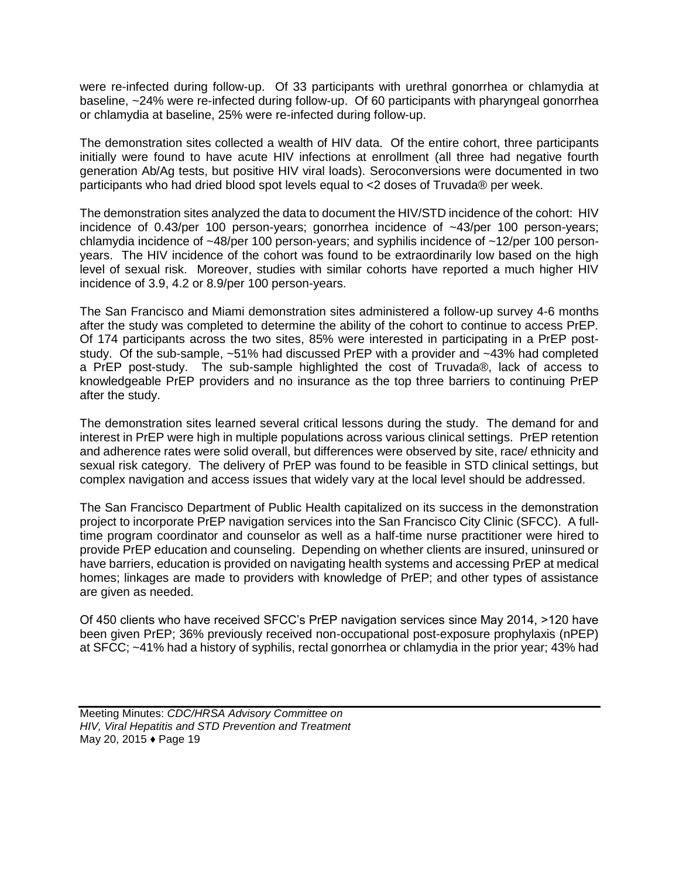were re-infected during follow-up. Of 33 participants with urethral gonorrhea or chlamydia at baseline, ~24% were re-infected during follow-up. Of 60 participants with pharyngeal gonorrhea or chlamydia at baseline, 25% were re-infected during follow-up.

The demonstration sites collected a wealth of HIV data. Of the entire cohort, three participants initially were found to have acute HIV infections at enrollment (all three had negative fourth generation Ab/Ag tests, but positive HIV viral loads). Seroconversions were documented in two participants who had dried blood spot levels equal to <2 doses of Truvada® per week.

The demonstration sites analyzed the data to document the HIV/STD incidence of the cohort: HIV incidence of 0.43/per 100 person-years; gonorrhea incidence of ~43/per 100 person-years; chlamydia incidence of  $\sim$ 48/per 100 person-years; and syphilis incidence of  $\sim$ 12/per 100 personyears. The HIV incidence of the cohort was found to be extraordinarily low based on the high level of sexual risk. Moreover, studies with similar cohorts have reported a much higher HIV incidence of 3.9, 4.2 or 8.9/per 100 person-years.

The San Francisco and Miami demonstration sites administered a follow-up survey 4-6 months after the study was completed to determine the ability of the cohort to continue to access PrEP. Of 174 participants across the two sites, 85% were interested in participating in a PrEP poststudy. Of the sub-sample, ~51% had discussed PrEP with a provider and ~43% had completed a PrEP post-study. The sub-sample highlighted the cost of Truvada®, lack of access to knowledgeable PrEP providers and no insurance as the top three barriers to continuing PrEP after the study.

The demonstration sites learned several critical lessons during the study. The demand for and interest in PrEP were high in multiple populations across various clinical settings. PrEP retention and adherence rates were solid overall, but differences were observed by site, race/ ethnicity and sexual risk category. The delivery of PrEP was found to be feasible in STD clinical settings, but complex navigation and access issues that widely vary at the local level should be addressed.

The San Francisco Department of Public Health capitalized on its success in the demonstration project to incorporate PrEP navigation services into the San Francisco City Clinic (SFCC). A fulltime program coordinator and counselor as well as a half-time nurse practitioner were hired to provide PrEP education and counseling. Depending on whether clients are insured, uninsured or have barriers, education is provided on navigating health systems and accessing PrEP at medical homes; linkages are made to providers with knowledge of PrEP; and other types of assistance are given as needed.

Of 450 clients who have received SFCC's PrEP navigation services since May 2014, >120 have been given PrEP; 36% previously received non-occupational post-exposure prophylaxis (nPEP) at SFCC; ~41% had a history of syphilis, rectal gonorrhea or chlamydia in the prior year; 43% had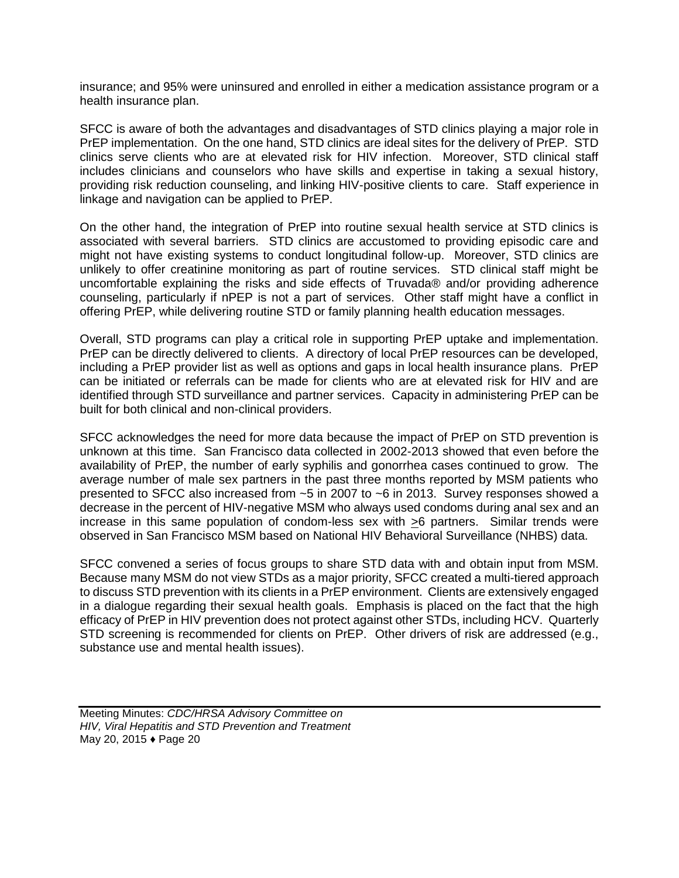insurance; and 95% were uninsured and enrolled in either a medication assistance program or a health insurance plan.

SFCC is aware of both the advantages and disadvantages of STD clinics playing a major role in PrEP implementation. On the one hand, STD clinics are ideal sites for the delivery of PrEP. STD clinics serve clients who are at elevated risk for HIV infection. Moreover, STD clinical staff includes clinicians and counselors who have skills and expertise in taking a sexual history, providing risk reduction counseling, and linking HIV-positive clients to care. Staff experience in linkage and navigation can be applied to PrEP.

On the other hand, the integration of PrEP into routine sexual health service at STD clinics is associated with several barriers. STD clinics are accustomed to providing episodic care and might not have existing systems to conduct longitudinal follow-up. Moreover, STD clinics are unlikely to offer creatinine monitoring as part of routine services. STD clinical staff might be uncomfortable explaining the risks and side effects of Truvada® and/or providing adherence counseling, particularly if nPEP is not a part of services. Other staff might have a conflict in offering PrEP, while delivering routine STD or family planning health education messages.

Overall, STD programs can play a critical role in supporting PrEP uptake and implementation. PrEP can be directly delivered to clients. A directory of local PrEP resources can be developed, including a PrEP provider list as well as options and gaps in local health insurance plans. PrEP can be initiated or referrals can be made for clients who are at elevated risk for HIV and are identified through STD surveillance and partner services. Capacity in administering PrEP can be built for both clinical and non-clinical providers.

SFCC acknowledges the need for more data because the impact of PrEP on STD prevention is unknown at this time. San Francisco data collected in 2002-2013 showed that even before the availability of PrEP, the number of early syphilis and gonorrhea cases continued to grow. The average number of male sex partners in the past three months reported by MSM patients who presented to SFCC also increased from ~5 in 2007 to ~6 in 2013. Survey responses showed a decrease in the percent of HIV-negative MSM who always used condoms during anal sex and an increase in this same population of condom-less sex with >6 partners. Similar trends were observed in San Francisco MSM based on National HIV Behavioral Surveillance (NHBS) data.

SFCC convened a series of focus groups to share STD data with and obtain input from MSM. Because many MSM do not view STDs as a major priority, SFCC created a multi-tiered approach to discuss STD prevention with its clients in a PrEP environment. Clients are extensively engaged in a dialogue regarding their sexual health goals. Emphasis is placed on the fact that the high efficacy of PrEP in HIV prevention does not protect against other STDs, including HCV. Quarterly STD screening is recommended for clients on PrEP. Other drivers of risk are addressed (e.g., substance use and mental health issues).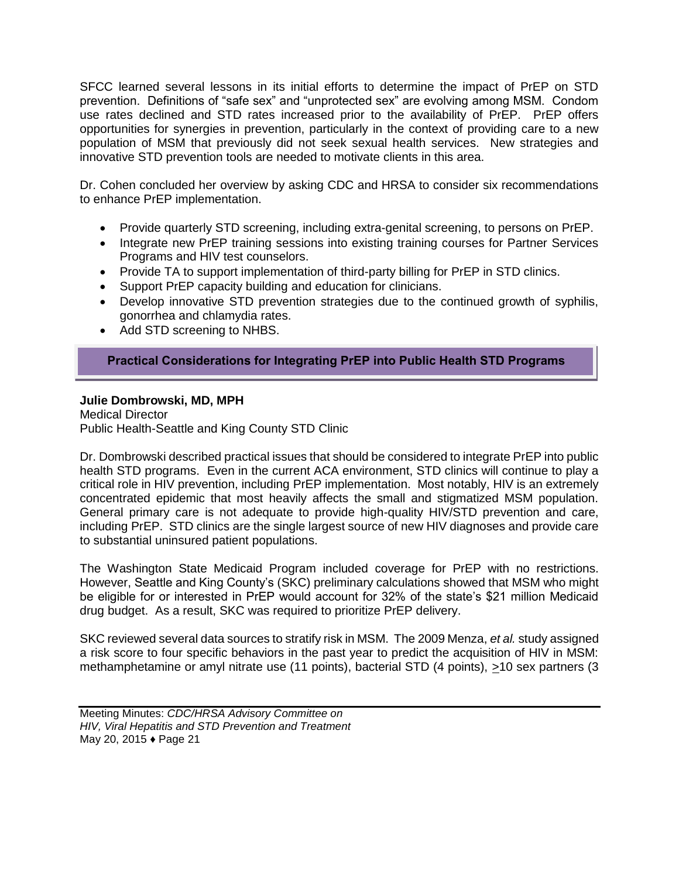SFCC learned several lessons in its initial efforts to determine the impact of PrEP on STD prevention. Definitions of "safe sex" and "unprotected sex" are evolving among MSM. Condom use rates declined and STD rates increased prior to the availability of PrEP. PrEP offers opportunities for synergies in prevention, particularly in the context of providing care to a new population of MSM that previously did not seek sexual health services. New strategies and innovative STD prevention tools are needed to motivate clients in this area.

Dr. Cohen concluded her overview by asking CDC and HRSA to consider six recommendations to enhance PrEP implementation.

- Provide quarterly STD screening, including extra-genital screening, to persons on PrEP.
- Integrate new PrEP training sessions into existing training courses for Partner Services Programs and HIV test counselors.
- Provide TA to support implementation of third-party billing for PrEP in STD clinics.
- Support PrEP capacity building and education for clinicians.
- Develop innovative STD prevention strategies due to the continued growth of syphilis, gonorrhea and chlamydia rates.
- Add STD screening to NHBS.

# **Practical Considerations for Integrating PrEP into Public Health STD Programs**

#### **Julie Dombrowski, MD, MPH**

Medical Director Public Health-Seattle and King County STD Clinic

Dr. Dombrowski described practical issues that should be considered to integrate PrEP into public health STD programs. Even in the current ACA environment, STD clinics will continue to play a critical role in HIV prevention, including PrEP implementation. Most notably, HIV is an extremely concentrated epidemic that most heavily affects the small and stigmatized MSM population. General primary care is not adequate to provide high-quality HIV/STD prevention and care, including PrEP. STD clinics are the single largest source of new HIV diagnoses and provide care to substantial uninsured patient populations.

The Washington State Medicaid Program included coverage for PrEP with no restrictions. However, Seattle and King County's (SKC) preliminary calculations showed that MSM who might be eligible for or interested in PrEP would account for 32% of the state's \$21 million Medicaid drug budget. As a result, SKC was required to prioritize PrEP delivery.

SKC reviewed several data sources to stratify risk in MSM. The 2009 Menza, *et al.* study assigned a risk score to four specific behaviors in the past year to predict the acquisition of HIV in MSM: methamphetamine or amyl nitrate use (11 points), bacterial STD (4 points), >10 sex partners (3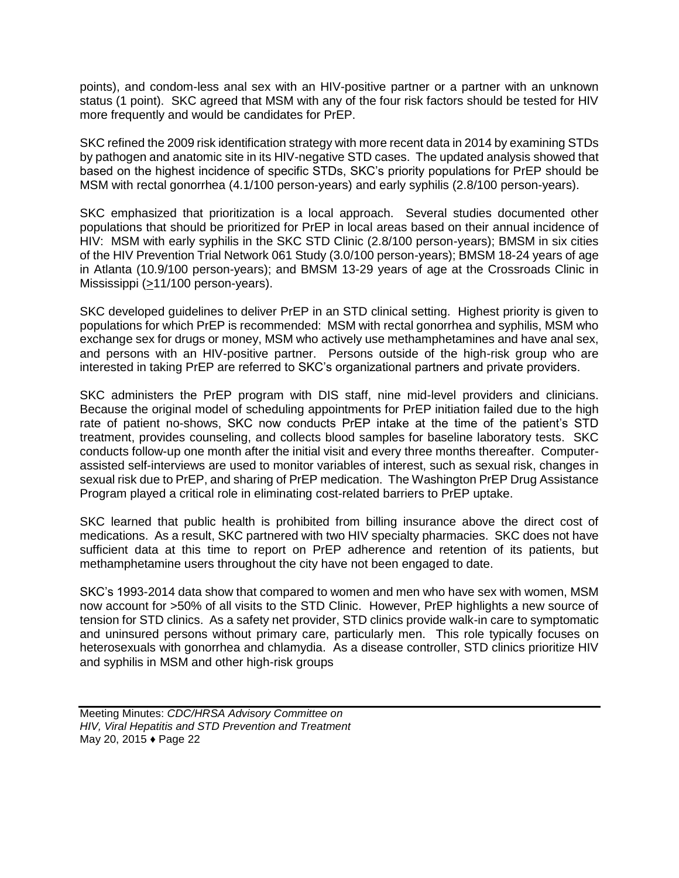points), and condom-less anal sex with an HIV-positive partner or a partner with an unknown status (1 point). SKC agreed that MSM with any of the four risk factors should be tested for HIV more frequently and would be candidates for PrEP.

SKC refined the 2009 risk identification strategy with more recent data in 2014 by examining STDs by pathogen and anatomic site in its HIV-negative STD cases. The updated analysis showed that based on the highest incidence of specific STDs, SKC's priority populations for PrEP should be MSM with rectal gonorrhea (4.1/100 person-years) and early syphilis (2.8/100 person-years).

SKC emphasized that prioritization is a local approach. Several studies documented other populations that should be prioritized for PrEP in local areas based on their annual incidence of HIV: MSM with early syphilis in the SKC STD Clinic (2.8/100 person-years); BMSM in six cities of the HIV Prevention Trial Network 061 Study (3.0/100 person-years); BMSM 18-24 years of age in Atlanta (10.9/100 person-years); and BMSM 13-29 years of age at the Crossroads Clinic in Mississippi (>11/100 person-years).

SKC developed guidelines to deliver PrEP in an STD clinical setting. Highest priority is given to populations for which PrEP is recommended: MSM with rectal gonorrhea and syphilis, MSM who exchange sex for drugs or money, MSM who actively use methamphetamines and have anal sex, and persons with an HIV-positive partner. Persons outside of the high-risk group who are interested in taking PrEP are referred to SKC's organizational partners and private providers.

SKC administers the PrEP program with DIS staff, nine mid-level providers and clinicians. Because the original model of scheduling appointments for PrEP initiation failed due to the high rate of patient no-shows, SKC now conducts PrEP intake at the time of the patient's STD treatment, provides counseling, and collects blood samples for baseline laboratory tests. SKC conducts follow-up one month after the initial visit and every three months thereafter. Computerassisted self-interviews are used to monitor variables of interest, such as sexual risk, changes in sexual risk due to PrEP, and sharing of PrEP medication. The Washington PrEP Drug Assistance Program played a critical role in eliminating cost-related barriers to PrEP uptake.

SKC learned that public health is prohibited from billing insurance above the direct cost of medications. As a result, SKC partnered with two HIV specialty pharmacies. SKC does not have sufficient data at this time to report on PrEP adherence and retention of its patients, but methamphetamine users throughout the city have not been engaged to date.

SKC's 1993-2014 data show that compared to women and men who have sex with women, MSM now account for >50% of all visits to the STD Clinic. However, PrEP highlights a new source of tension for STD clinics. As a safety net provider, STD clinics provide walk-in care to symptomatic and uninsured persons without primary care, particularly men. This role typically focuses on heterosexuals with gonorrhea and chlamydia. As a disease controller, STD clinics prioritize HIV and syphilis in MSM and other high-risk groups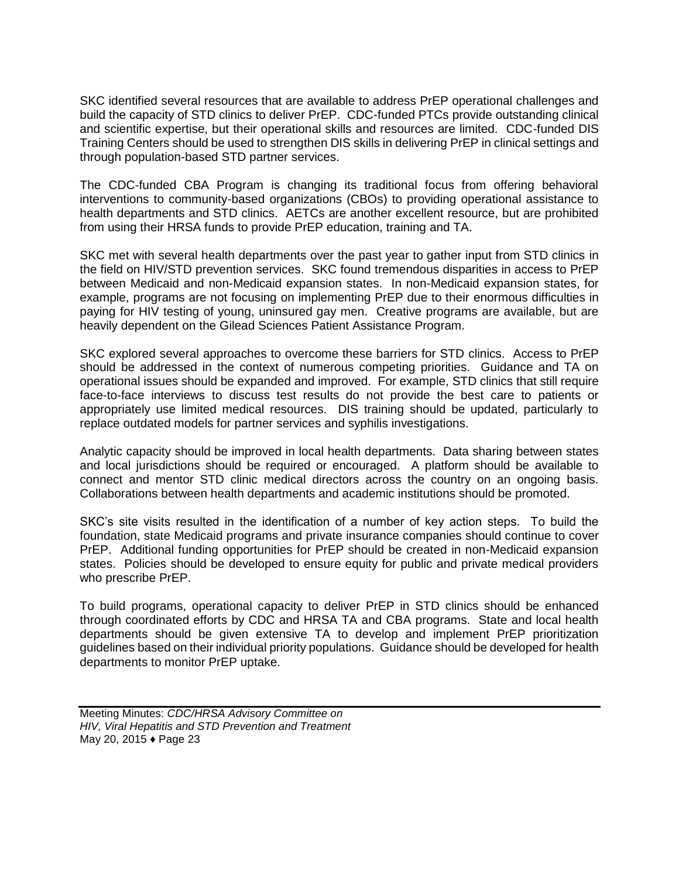SKC identified several resources that are available to address PrEP operational challenges and build the capacity of STD clinics to deliver PrEP. CDC-funded PTCs provide outstanding clinical and scientific expertise, but their operational skills and resources are limited. CDC-funded DIS Training Centers should be used to strengthen DIS skills in delivering PrEP in clinical settings and through population-based STD partner services.

The CDC-funded CBA Program is changing its traditional focus from offering behavioral interventions to community-based organizations (CBOs) to providing operational assistance to health departments and STD clinics. AETCs are another excellent resource, but are prohibited from using their HRSA funds to provide PrEP education, training and TA.

SKC met with several health departments over the past year to gather input from STD clinics in the field on HIV/STD prevention services. SKC found tremendous disparities in access to PrEP between Medicaid and non-Medicaid expansion states. In non-Medicaid expansion states, for example, programs are not focusing on implementing PrEP due to their enormous difficulties in paying for HIV testing of young, uninsured gay men. Creative programs are available, but are heavily dependent on the Gilead Sciences Patient Assistance Program.

SKC explored several approaches to overcome these barriers for STD clinics. Access to PrEP should be addressed in the context of numerous competing priorities. Guidance and TA on operational issues should be expanded and improved. For example, STD clinics that still require face-to-face interviews to discuss test results do not provide the best care to patients or appropriately use limited medical resources. DIS training should be updated, particularly to replace outdated models for partner services and syphilis investigations.

Analytic capacity should be improved in local health departments. Data sharing between states and local jurisdictions should be required or encouraged. A platform should be available to connect and mentor STD clinic medical directors across the country on an ongoing basis. Collaborations between health departments and academic institutions should be promoted.

SKC's site visits resulted in the identification of a number of key action steps. To build the foundation, state Medicaid programs and private insurance companies should continue to cover PrEP. Additional funding opportunities for PrEP should be created in non-Medicaid expansion states. Policies should be developed to ensure equity for public and private medical providers who prescribe PrEP.

To build programs, operational capacity to deliver PrEP in STD clinics should be enhanced through coordinated efforts by CDC and HRSA TA and CBA programs. State and local health departments should be given extensive TA to develop and implement PrEP prioritization guidelines based on their individual priority populations. Guidance should be developed for health departments to monitor PrEP uptake.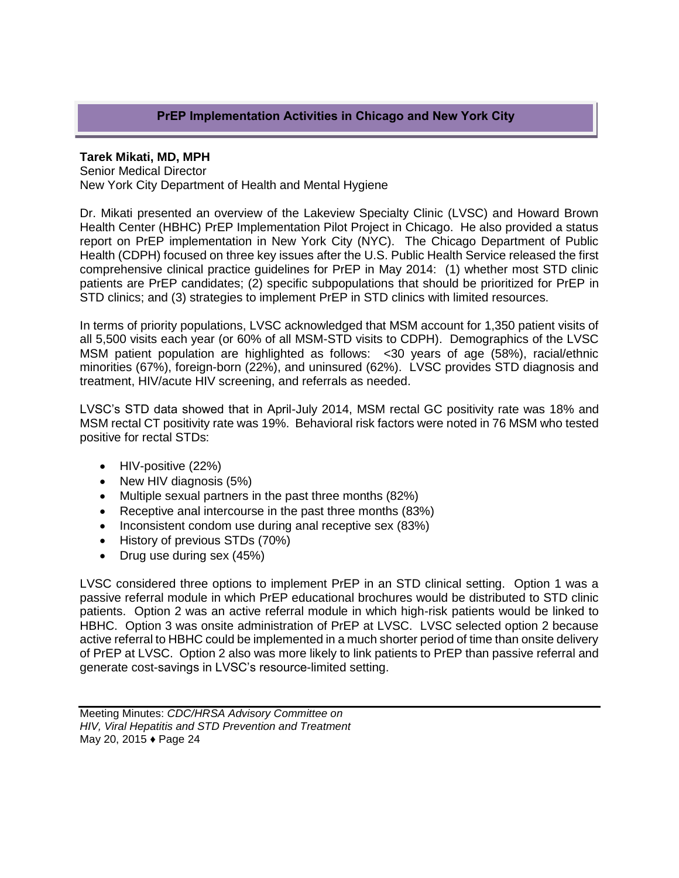# **PrEP Implementation Activities in Chicago and New York City**

#### **Tarek Mikati, MD, MPH**

Senior Medical Director New York City Department of Health and Mental Hygiene

Dr. Mikati presented an overview of the Lakeview Specialty Clinic (LVSC) and Howard Brown Health Center (HBHC) PrEP Implementation Pilot Project in Chicago. He also provided a status report on PrEP implementation in New York City (NYC). The Chicago Department of Public Health (CDPH) focused on three key issues after the U.S. Public Health Service released the first comprehensive clinical practice guidelines for PrEP in May 2014: (1) whether most STD clinic patients are PrEP candidates; (2) specific subpopulations that should be prioritized for PrEP in STD clinics; and (3) strategies to implement PrEP in STD clinics with limited resources.

In terms of priority populations, LVSC acknowledged that MSM account for 1,350 patient visits of all 5,500 visits each year (or 60% of all MSM-STD visits to CDPH). Demographics of the LVSC MSM patient population are highlighted as follows: <30 years of age (58%), racial/ethnic minorities (67%), foreign-born (22%), and uninsured (62%). LVSC provides STD diagnosis and treatment, HIV/acute HIV screening, and referrals as needed.

LVSC's STD data showed that in April-July 2014, MSM rectal GC positivity rate was 18% and MSM rectal CT positivity rate was 19%. Behavioral risk factors were noted in 76 MSM who tested positive for rectal STDs:

- HIV-positive (22%)
- New HIV diagnosis (5%)
- Multiple sexual partners in the past three months (82%)
- Receptive anal intercourse in the past three months (83%)
- Inconsistent condom use during anal receptive sex (83%)
- History of previous STDs (70%)
- Drug use during sex (45%)

LVSC considered three options to implement PrEP in an STD clinical setting. Option 1 was a passive referral module in which PrEP educational brochures would be distributed to STD clinic patients. Option 2 was an active referral module in which high-risk patients would be linked to HBHC. Option 3 was onsite administration of PrEP at LVSC. LVSC selected option 2 because active referral to HBHC could be implemented in a much shorter period of time than onsite delivery of PrEP at LVSC. Option 2 also was more likely to link patients to PrEP than passive referral and generate cost-savings in LVSC's resource-limited setting.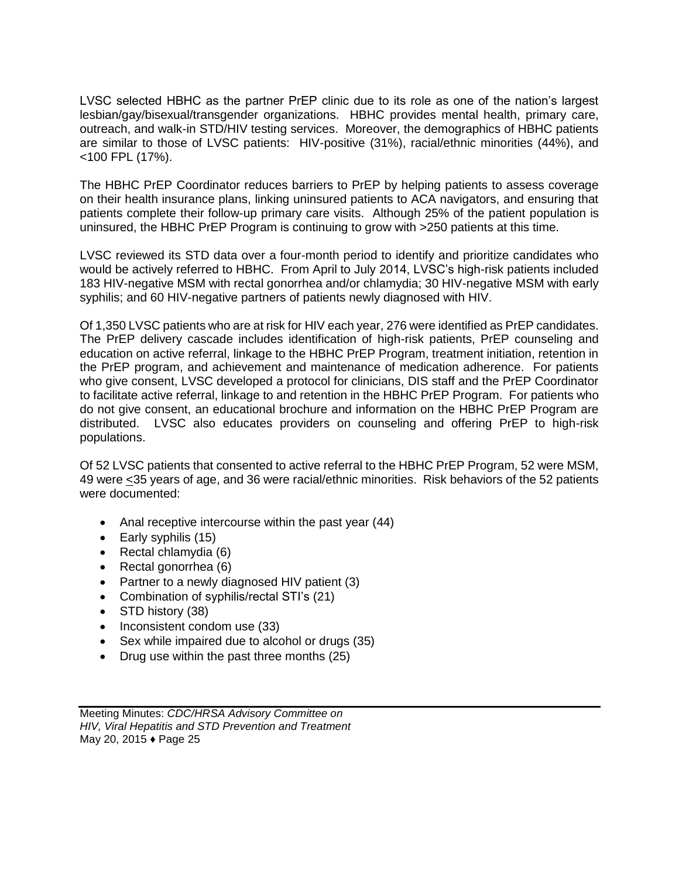LVSC selected HBHC as the partner PrEP clinic due to its role as one of the nation's largest lesbian/gay/bisexual/transgender organizations. HBHC provides mental health, primary care, outreach, and walk-in STD/HIV testing services. Moreover, the demographics of HBHC patients are similar to those of LVSC patients: HIV-positive (31%), racial/ethnic minorities (44%), and <100 FPL (17%).

The HBHC PrEP Coordinator reduces barriers to PrEP by helping patients to assess coverage on their health insurance plans, linking uninsured patients to ACA navigators, and ensuring that patients complete their follow-up primary care visits. Although 25% of the patient population is uninsured, the HBHC PrEP Program is continuing to grow with >250 patients at this time.

LVSC reviewed its STD data over a four-month period to identify and prioritize candidates who would be actively referred to HBHC. From April to July 2014, LVSC's high-risk patients included 183 HIV-negative MSM with rectal gonorrhea and/or chlamydia; 30 HIV-negative MSM with early syphilis; and 60 HIV-negative partners of patients newly diagnosed with HIV.

Of 1,350 LVSC patients who are at risk for HIV each year, 276 were identified as PrEP candidates. The PrEP delivery cascade includes identification of high-risk patients, PrEP counseling and education on active referral, linkage to the HBHC PrEP Program, treatment initiation, retention in the PrEP program, and achievement and maintenance of medication adherence. For patients who give consent, LVSC developed a protocol for clinicians, DIS staff and the PrEP Coordinator to facilitate active referral, linkage to and retention in the HBHC PrEP Program. For patients who do not give consent, an educational brochure and information on the HBHC PrEP Program are distributed. LVSC also educates providers on counseling and offering PrEP to high-risk populations.

Of 52 LVSC patients that consented to active referral to the HBHC PrEP Program, 52 were MSM, 49 were <35 years of age, and 36 were racial/ethnic minorities. Risk behaviors of the 52 patients were documented:

- Anal receptive intercourse within the past year (44)
- Early syphilis (15)
- Rectal chlamydia  $(6)$
- Rectal gonorrhea (6)
- Partner to a newly diagnosed HIV patient (3)
- Combination of syphilis/rectal STI's (21)
- STD history (38)
- Inconsistent condom use (33)
- Sex while impaired due to alcohol or drugs (35)
- Drug use within the past three months (25)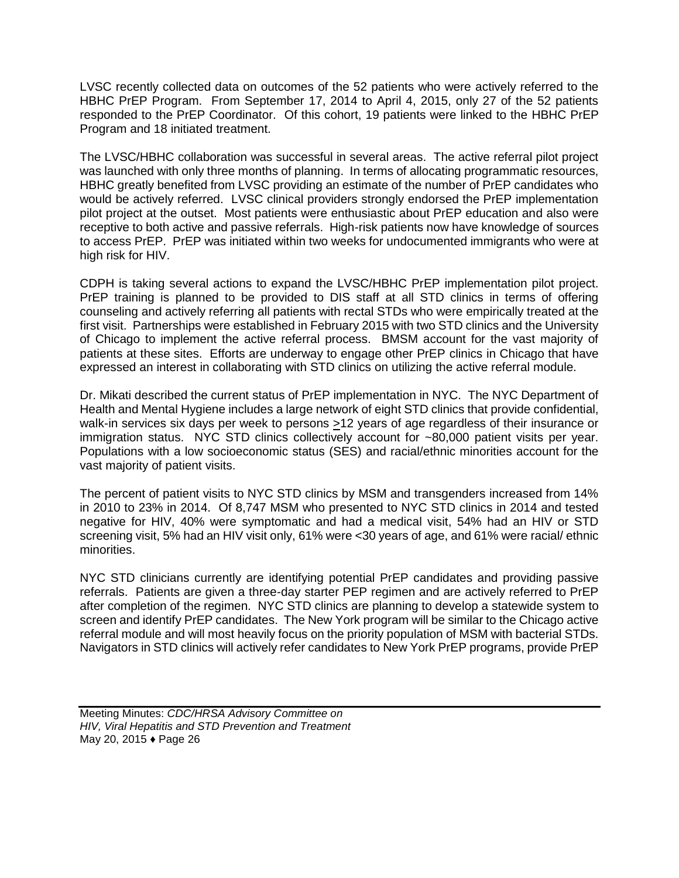LVSC recently collected data on outcomes of the 52 patients who were actively referred to the HBHC PrEP Program. From September 17, 2014 to April 4, 2015, only 27 of the 52 patients responded to the PrEP Coordinator. Of this cohort, 19 patients were linked to the HBHC PrEP Program and 18 initiated treatment.

The LVSC/HBHC collaboration was successful in several areas. The active referral pilot project was launched with only three months of planning. In terms of allocating programmatic resources, HBHC greatly benefited from LVSC providing an estimate of the number of PrEP candidates who would be actively referred. LVSC clinical providers strongly endorsed the PrEP implementation pilot project at the outset. Most patients were enthusiastic about PrEP education and also were receptive to both active and passive referrals. High-risk patients now have knowledge of sources to access PrEP. PrEP was initiated within two weeks for undocumented immigrants who were at high risk for HIV.

CDPH is taking several actions to expand the LVSC/HBHC PrEP implementation pilot project. PrEP training is planned to be provided to DIS staff at all STD clinics in terms of offering counseling and actively referring all patients with rectal STDs who were empirically treated at the first visit. Partnerships were established in February 2015 with two STD clinics and the University of Chicago to implement the active referral process. BMSM account for the vast majority of patients at these sites. Efforts are underway to engage other PrEP clinics in Chicago that have expressed an interest in collaborating with STD clinics on utilizing the active referral module.

Dr. Mikati described the current status of PrEP implementation in NYC. The NYC Department of Health and Mental Hygiene includes a large network of eight STD clinics that provide confidential, walk-in services six days per week to persons >12 years of age regardless of their insurance or immigration status. NYC STD clinics collectively account for ~80,000 patient visits per year. Populations with a low socioeconomic status (SES) and racial/ethnic minorities account for the vast majority of patient visits.

The percent of patient visits to NYC STD clinics by MSM and transgenders increased from 14% in 2010 to 23% in 2014. Of 8,747 MSM who presented to NYC STD clinics in 2014 and tested negative for HIV, 40% were symptomatic and had a medical visit, 54% had an HIV or STD screening visit, 5% had an HIV visit only, 61% were <30 years of age, and 61% were racial/ ethnic minorities.

NYC STD clinicians currently are identifying potential PrEP candidates and providing passive referrals. Patients are given a three-day starter PEP regimen and are actively referred to PrEP after completion of the regimen. NYC STD clinics are planning to develop a statewide system to screen and identify PrEP candidates. The New York program will be similar to the Chicago active referral module and will most heavily focus on the priority population of MSM with bacterial STDs. Navigators in STD clinics will actively refer candidates to New York PrEP programs, provide PrEP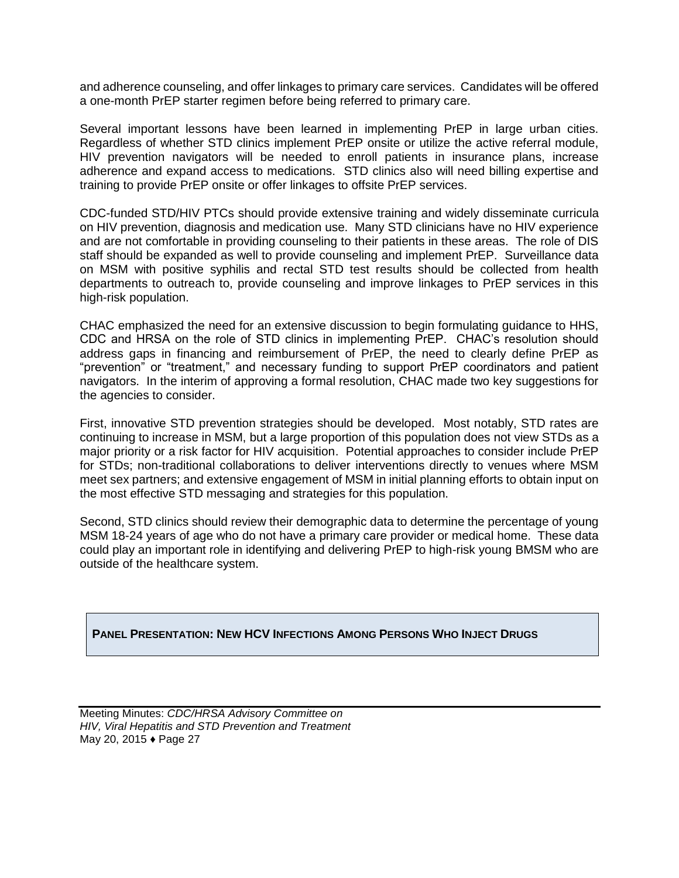and adherence counseling, and offer linkages to primary care services. Candidates will be offered a one-month PrEP starter regimen before being referred to primary care.

Several important lessons have been learned in implementing PrEP in large urban cities. Regardless of whether STD clinics implement PrEP onsite or utilize the active referral module, HIV prevention navigators will be needed to enroll patients in insurance plans, increase adherence and expand access to medications. STD clinics also will need billing expertise and training to provide PrEP onsite or offer linkages to offsite PrEP services.

CDC-funded STD/HIV PTCs should provide extensive training and widely disseminate curricula on HIV prevention, diagnosis and medication use. Many STD clinicians have no HIV experience and are not comfortable in providing counseling to their patients in these areas. The role of DIS staff should be expanded as well to provide counseling and implement PrEP. Surveillance data on MSM with positive syphilis and rectal STD test results should be collected from health departments to outreach to, provide counseling and improve linkages to PrEP services in this high-risk population.

CHAC emphasized the need for an extensive discussion to begin formulating guidance to HHS, CDC and HRSA on the role of STD clinics in implementing PrEP. CHAC's resolution should address gaps in financing and reimbursement of PrEP, the need to clearly define PrEP as "prevention" or "treatment," and necessary funding to support PrEP coordinators and patient navigators. In the interim of approving a formal resolution, CHAC made two key suggestions for the agencies to consider.

First, innovative STD prevention strategies should be developed. Most notably, STD rates are continuing to increase in MSM, but a large proportion of this population does not view STDs as a major priority or a risk factor for HIV acquisition. Potential approaches to consider include PrEP for STDs; non-traditional collaborations to deliver interventions directly to venues where MSM meet sex partners; and extensive engagement of MSM in initial planning efforts to obtain input on the most effective STD messaging and strategies for this population.

Second, STD clinics should review their demographic data to determine the percentage of young MSM 18-24 years of age who do not have a primary care provider or medical home. These data could play an important role in identifying and delivering PrEP to high-risk young BMSM who are outside of the healthcare system.

# **PANEL PRESENTATION: NEW HCV INFECTIONS AMONG PERSONS WHO INJECT DRUGS**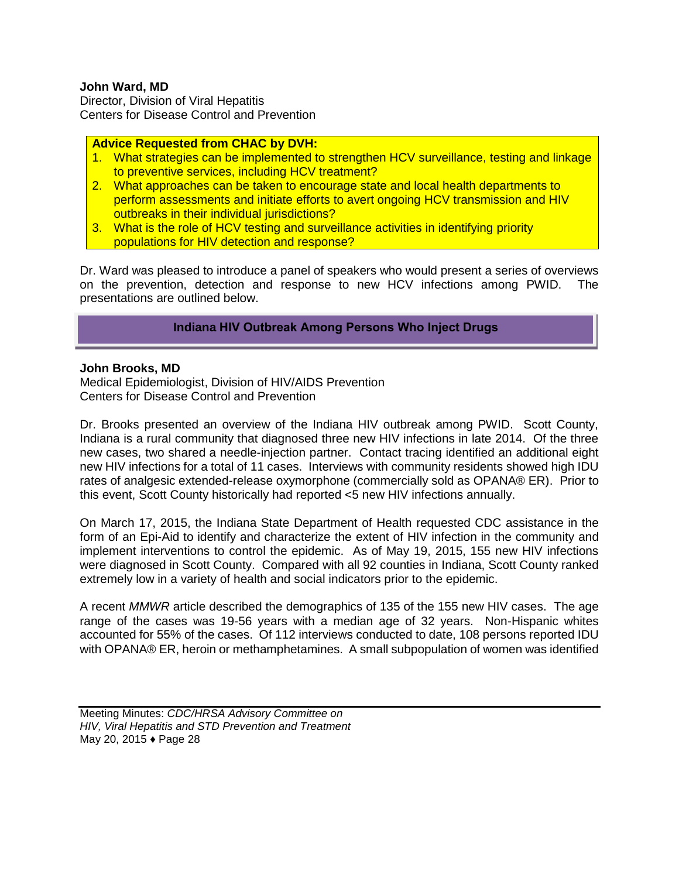#### **John Ward, MD**

Director, Division of Viral Hepatitis Centers for Disease Control and Prevention

#### **Advice Requested from CHAC by DVH:**

- 1. What strategies can be implemented to strengthen HCV surveillance, testing and linkage to preventive services, including HCV treatment?
- 2. What approaches can be taken to encourage state and local health departments to perform assessments and initiate efforts to avert ongoing HCV transmission and HIV outbreaks in their individual jurisdictions?
- 3. What is the role of HCV testing and surveillance activities in identifying priority populations for HIV detection and response?

Dr. Ward was pleased to introduce a panel of speakers who would present a series of overviews on the prevention, detection and response to new HCV infections among PWID. The presentations are outlined below.

# **Indiana HIV Outbreak Among Persons Who Inject Drugs**

#### **John Brooks, MD**

Medical Epidemiologist, Division of HIV/AIDS Prevention Centers for Disease Control and Prevention

Dr. Brooks presented an overview of the Indiana HIV outbreak among PWID. Scott County, Indiana is a rural community that diagnosed three new HIV infections in late 2014. Of the three new cases, two shared a needle-injection partner. Contact tracing identified an additional eight new HIV infections for a total of 11 cases. Interviews with community residents showed high IDU rates of analgesic extended-release oxymorphone (commercially sold as OPANA® ER). Prior to this event, Scott County historically had reported <5 new HIV infections annually.

On March 17, 2015, the Indiana State Department of Health requested CDC assistance in the form of an Epi-Aid to identify and characterize the extent of HIV infection in the community and implement interventions to control the epidemic. As of May 19, 2015, 155 new HIV infections were diagnosed in Scott County. Compared with all 92 counties in Indiana, Scott County ranked extremely low in a variety of health and social indicators prior to the epidemic.

A recent *MMWR* article described the demographics of 135 of the 155 new HIV cases. The age range of the cases was 19-56 years with a median age of 32 years. Non-Hispanic whites accounted for 55% of the cases. Of 112 interviews conducted to date, 108 persons reported IDU with OPANA® ER, heroin or methamphetamines. A small subpopulation of women was identified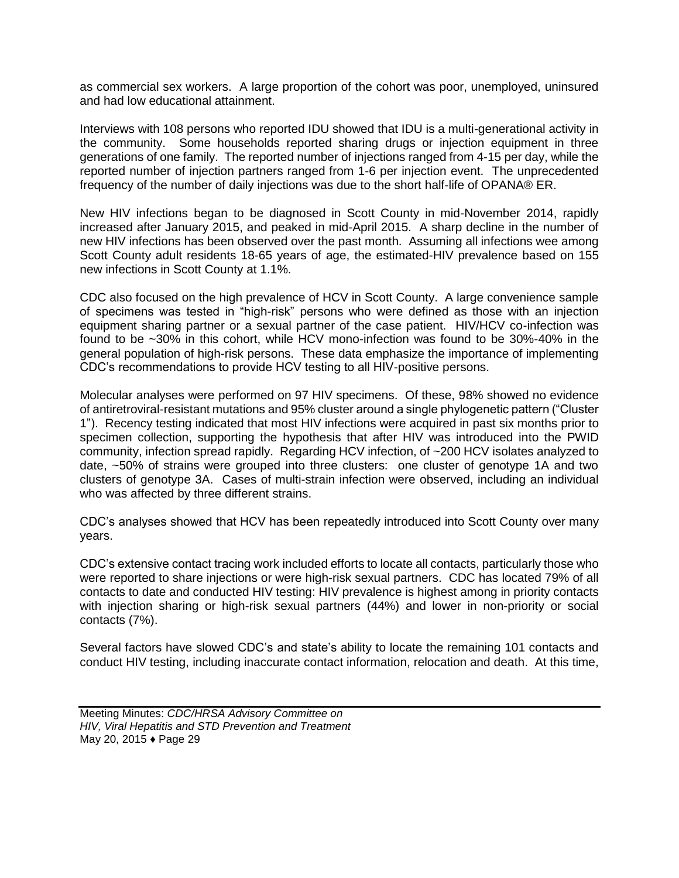as commercial sex workers. A large proportion of the cohort was poor, unemployed, uninsured and had low educational attainment.

Interviews with 108 persons who reported IDU showed that IDU is a multi-generational activity in the community. Some households reported sharing drugs or injection equipment in three generations of one family. The reported number of injections ranged from 4-15 per day, while the reported number of injection partners ranged from 1-6 per injection event. The unprecedented frequency of the number of daily injections was due to the short half-life of OPANA® ER.

New HIV infections began to be diagnosed in Scott County in mid-November 2014, rapidly increased after January 2015, and peaked in mid-April 2015. A sharp decline in the number of new HIV infections has been observed over the past month. Assuming all infections wee among Scott County adult residents 18-65 years of age, the estimated-HIV prevalence based on 155 new infections in Scott County at 1.1%.

CDC also focused on the high prevalence of HCV in Scott County. A large convenience sample of specimens was tested in "high-risk" persons who were defined as those with an injection equipment sharing partner or a sexual partner of the case patient. HIV/HCV co-infection was found to be ~30% in this cohort, while HCV mono-infection was found to be 30%-40% in the general population of high-risk persons. These data emphasize the importance of implementing CDC's recommendations to provide HCV testing to all HIV-positive persons.

Molecular analyses were performed on 97 HIV specimens. Of these, 98% showed no evidence of antiretroviral-resistant mutations and 95% cluster around a single phylogenetic pattern ("Cluster 1"). Recency testing indicated that most HIV infections were acquired in past six months prior to specimen collection, supporting the hypothesis that after HIV was introduced into the PWID community, infection spread rapidly. Regarding HCV infection, of ~200 HCV isolates analyzed to date, ~50% of strains were grouped into three clusters: one cluster of genotype 1A and two clusters of genotype 3A. Cases of multi-strain infection were observed, including an individual who was affected by three different strains.

CDC's analyses showed that HCV has been repeatedly introduced into Scott County over many years.

CDC's extensive contact tracing work included efforts to locate all contacts, particularly those who were reported to share injections or were high-risk sexual partners. CDC has located 79% of all contacts to date and conducted HIV testing: HIV prevalence is highest among in priority contacts with injection sharing or high-risk sexual partners (44%) and lower in non-priority or social contacts (7%).

Several factors have slowed CDC's and state's ability to locate the remaining 101 contacts and conduct HIV testing, including inaccurate contact information, relocation and death. At this time,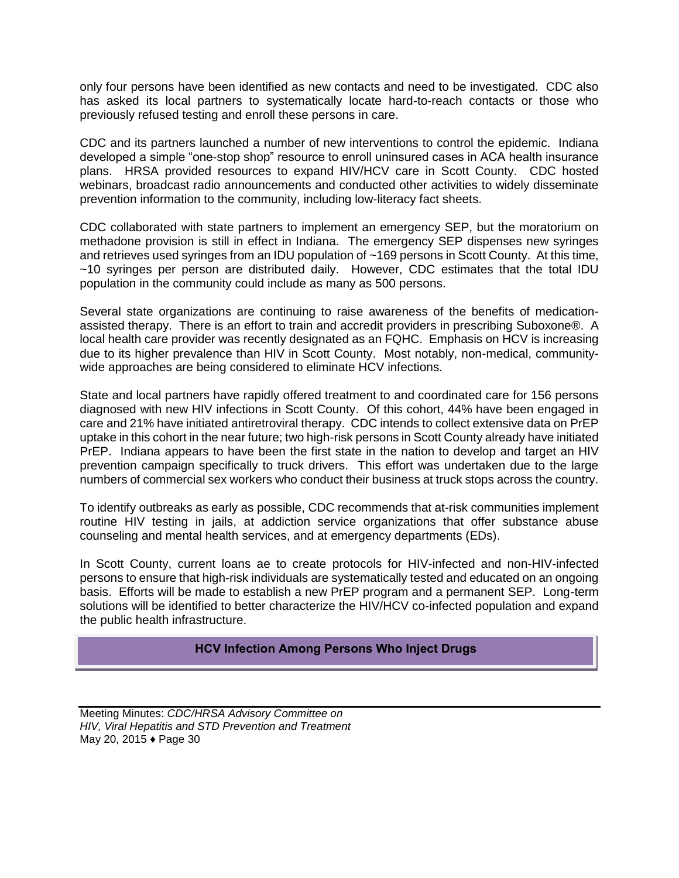only four persons have been identified as new contacts and need to be investigated. CDC also has asked its local partners to systematically locate hard-to-reach contacts or those who previously refused testing and enroll these persons in care.

CDC and its partners launched a number of new interventions to control the epidemic. Indiana developed a simple "one-stop shop" resource to enroll uninsured cases in ACA health insurance plans. HRSA provided resources to expand HIV/HCV care in Scott County. CDC hosted webinars, broadcast radio announcements and conducted other activities to widely disseminate prevention information to the community, including low-literacy fact sheets.

CDC collaborated with state partners to implement an emergency SEP, but the moratorium on methadone provision is still in effect in Indiana. The emergency SEP dispenses new syringes and retrieves used syringes from an IDU population of ~169 persons in Scott County. At this time, ~10 syringes per person are distributed daily. However, CDC estimates that the total IDU population in the community could include as many as 500 persons.

Several state organizations are continuing to raise awareness of the benefits of medicationassisted therapy. There is an effort to train and accredit providers in prescribing Suboxone®. A local health care provider was recently designated as an FQHC. Emphasis on HCV is increasing due to its higher prevalence than HIV in Scott County. Most notably, non-medical, communitywide approaches are being considered to eliminate HCV infections.

State and local partners have rapidly offered treatment to and coordinated care for 156 persons diagnosed with new HIV infections in Scott County. Of this cohort, 44% have been engaged in care and 21% have initiated antiretroviral therapy. CDC intends to collect extensive data on PrEP uptake in this cohort in the near future; two high-risk persons in Scott County already have initiated PrEP. Indiana appears to have been the first state in the nation to develop and target an HIV prevention campaign specifically to truck drivers. This effort was undertaken due to the large numbers of commercial sex workers who conduct their business at truck stops across the country.

To identify outbreaks as early as possible, CDC recommends that at-risk communities implement routine HIV testing in jails, at addiction service organizations that offer substance abuse counseling and mental health services, and at emergency departments (EDs).

In Scott County, current loans ae to create protocols for HIV-infected and non-HIV-infected persons to ensure that high-risk individuals are systematically tested and educated on an ongoing basis. Efforts will be made to establish a new PrEP program and a permanent SEP. Long-term solutions will be identified to better characterize the HIV/HCV co-infected population and expand the public health infrastructure.

# **HCV Infection Among Persons Who Inject Drugs**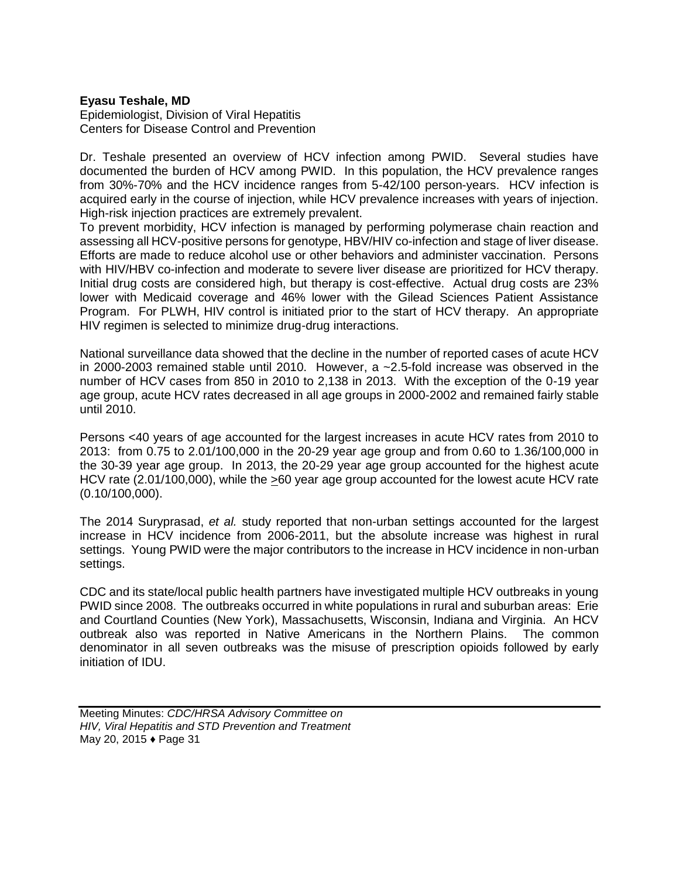#### **Eyasu Teshale, MD**

Epidemiologist, Division of Viral Hepatitis Centers for Disease Control and Prevention

Dr. Teshale presented an overview of HCV infection among PWID. Several studies have documented the burden of HCV among PWID. In this population, the HCV prevalence ranges from 30%-70% and the HCV incidence ranges from 5-42/100 person-years. HCV infection is acquired early in the course of injection, while HCV prevalence increases with years of injection. High-risk injection practices are extremely prevalent.

To prevent morbidity, HCV infection is managed by performing polymerase chain reaction and assessing all HCV-positive persons for genotype, HBV/HIV co-infection and stage of liver disease. Efforts are made to reduce alcohol use or other behaviors and administer vaccination. Persons with HIV/HBV co-infection and moderate to severe liver disease are prioritized for HCV therapy. Initial drug costs are considered high, but therapy is cost-effective. Actual drug costs are 23% lower with Medicaid coverage and 46% lower with the Gilead Sciences Patient Assistance Program. For PLWH, HIV control is initiated prior to the start of HCV therapy. An appropriate HIV regimen is selected to minimize drug-drug interactions.

National surveillance data showed that the decline in the number of reported cases of acute HCV in 2000-2003 remained stable until 2010. However, a ~2.5-fold increase was observed in the number of HCV cases from 850 in 2010 to 2,138 in 2013. With the exception of the 0-19 year age group, acute HCV rates decreased in all age groups in 2000-2002 and remained fairly stable until 2010.

Persons <40 years of age accounted for the largest increases in acute HCV rates from 2010 to 2013: from 0.75 to 2.01/100,000 in the 20-29 year age group and from 0.60 to 1.36/100,000 in the 30-39 year age group. In 2013, the 20-29 year age group accounted for the highest acute HCV rate (2.01/100,000), while the >60 year age group accounted for the lowest acute HCV rate (0.10/100,000).

The 2014 Suryprasad, *et al.* study reported that non-urban settings accounted for the largest increase in HCV incidence from 2006-2011, but the absolute increase was highest in rural settings. Young PWID were the major contributors to the increase in HCV incidence in non-urban settings.

CDC and its state/local public health partners have investigated multiple HCV outbreaks in young PWID since 2008. The outbreaks occurred in white populations in rural and suburban areas: Erie and Courtland Counties (New York), Massachusetts, Wisconsin, Indiana and Virginia. An HCV outbreak also was reported in Native Americans in the Northern Plains. The common denominator in all seven outbreaks was the misuse of prescription opioids followed by early initiation of IDU.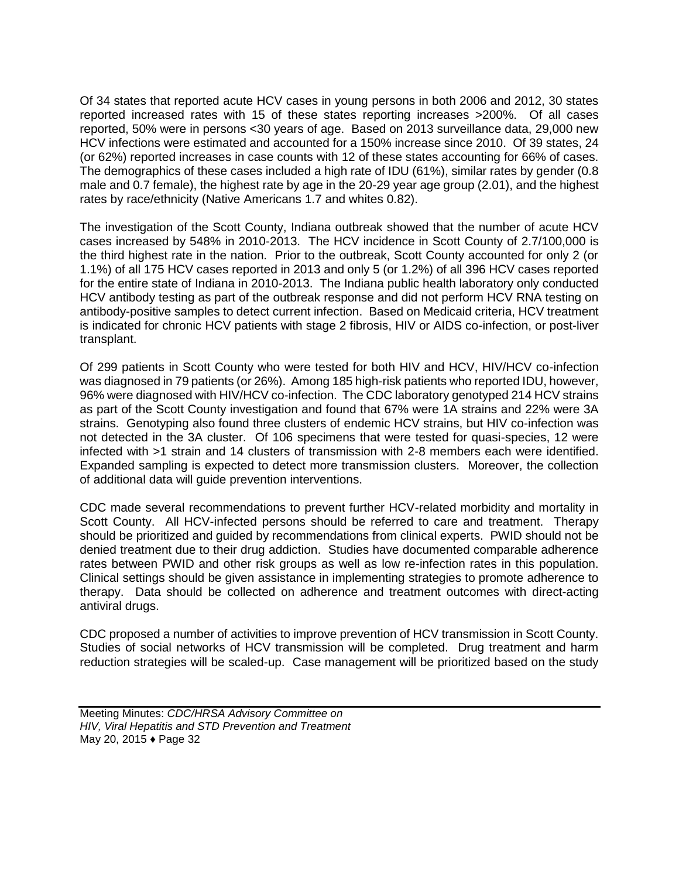Of 34 states that reported acute HCV cases in young persons in both 2006 and 2012, 30 states reported increased rates with 15 of these states reporting increases >200%. Of all cases reported, 50% were in persons <30 years of age. Based on 2013 surveillance data, 29,000 new HCV infections were estimated and accounted for a 150% increase since 2010. Of 39 states, 24 (or 62%) reported increases in case counts with 12 of these states accounting for 66% of cases. The demographics of these cases included a high rate of IDU (61%), similar rates by gender (0.8 male and 0.7 female), the highest rate by age in the 20-29 year age group (2.01), and the highest rates by race/ethnicity (Native Americans 1.7 and whites 0.82).

The investigation of the Scott County, Indiana outbreak showed that the number of acute HCV cases increased by 548% in 2010-2013. The HCV incidence in Scott County of 2.7/100,000 is the third highest rate in the nation. Prior to the outbreak, Scott County accounted for only 2 (or 1.1%) of all 175 HCV cases reported in 2013 and only 5 (or 1.2%) of all 396 HCV cases reported for the entire state of Indiana in 2010-2013. The Indiana public health laboratory only conducted HCV antibody testing as part of the outbreak response and did not perform HCV RNA testing on antibody-positive samples to detect current infection. Based on Medicaid criteria, HCV treatment is indicated for chronic HCV patients with stage 2 fibrosis, HIV or AIDS co-infection, or post-liver transplant.

Of 299 patients in Scott County who were tested for both HIV and HCV, HIV/HCV co-infection was diagnosed in 79 patients (or 26%). Among 185 high-risk patients who reported IDU, however, 96% were diagnosed with HIV/HCV co-infection. The CDC laboratory genotyped 214 HCV strains as part of the Scott County investigation and found that 67% were 1A strains and 22% were 3A strains. Genotyping also found three clusters of endemic HCV strains, but HIV co-infection was not detected in the 3A cluster. Of 106 specimens that were tested for quasi-species, 12 were infected with >1 strain and 14 clusters of transmission with 2-8 members each were identified. Expanded sampling is expected to detect more transmission clusters. Moreover, the collection of additional data will guide prevention interventions.

CDC made several recommendations to prevent further HCV-related morbidity and mortality in Scott County. All HCV-infected persons should be referred to care and treatment. Therapy should be prioritized and guided by recommendations from clinical experts. PWID should not be denied treatment due to their drug addiction. Studies have documented comparable adherence rates between PWID and other risk groups as well as low re-infection rates in this population. Clinical settings should be given assistance in implementing strategies to promote adherence to therapy. Data should be collected on adherence and treatment outcomes with direct-acting antiviral drugs.

CDC proposed a number of activities to improve prevention of HCV transmission in Scott County. Studies of social networks of HCV transmission will be completed. Drug treatment and harm reduction strategies will be scaled-up. Case management will be prioritized based on the study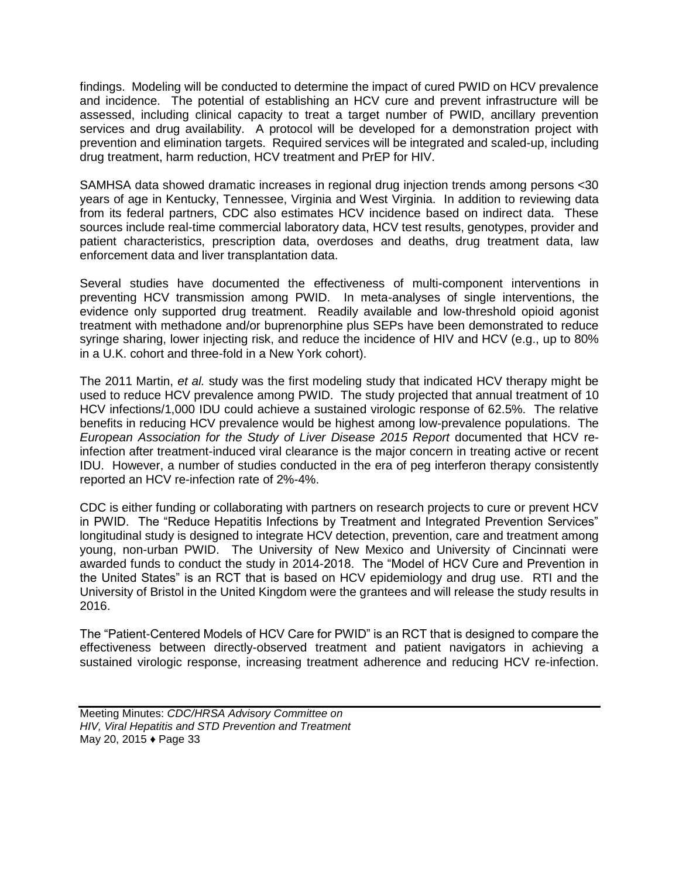findings. Modeling will be conducted to determine the impact of cured PWID on HCV prevalence and incidence. The potential of establishing an HCV cure and prevent infrastructure will be assessed, including clinical capacity to treat a target number of PWID, ancillary prevention services and drug availability. A protocol will be developed for a demonstration project with prevention and elimination targets. Required services will be integrated and scaled-up, including drug treatment, harm reduction, HCV treatment and PrEP for HIV.

SAMHSA data showed dramatic increases in regional drug injection trends among persons <30 years of age in Kentucky, Tennessee, Virginia and West Virginia. In addition to reviewing data from its federal partners, CDC also estimates HCV incidence based on indirect data. These sources include real-time commercial laboratory data, HCV test results, genotypes, provider and patient characteristics, prescription data, overdoses and deaths, drug treatment data, law enforcement data and liver transplantation data.

Several studies have documented the effectiveness of multi-component interventions in preventing HCV transmission among PWID. In meta-analyses of single interventions, the evidence only supported drug treatment. Readily available and low-threshold opioid agonist treatment with methadone and/or buprenorphine plus SEPs have been demonstrated to reduce syringe sharing, lower injecting risk, and reduce the incidence of HIV and HCV (e.g., up to 80% in a U.K. cohort and three-fold in a New York cohort).

The 2011 Martin, *et al.* study was the first modeling study that indicated HCV therapy might be used to reduce HCV prevalence among PWID. The study projected that annual treatment of 10 HCV infections/1,000 IDU could achieve a sustained virologic response of 62.5%. The relative benefits in reducing HCV prevalence would be highest among low-prevalence populations. The *European Association for the Study of Liver Disease 2015 Report* documented that HCV reinfection after treatment-induced viral clearance is the major concern in treating active or recent IDU. However, a number of studies conducted in the era of peg interferon therapy consistently reported an HCV re-infection rate of 2%-4%.

CDC is either funding or collaborating with partners on research projects to cure or prevent HCV in PWID. The "Reduce Hepatitis Infections by Treatment and Integrated Prevention Services" longitudinal study is designed to integrate HCV detection, prevention, care and treatment among young, non-urban PWID. The University of New Mexico and University of Cincinnati were awarded funds to conduct the study in 2014-2018. The "Model of HCV Cure and Prevention in the United States" is an RCT that is based on HCV epidemiology and drug use. RTI and the University of Bristol in the United Kingdom were the grantees and will release the study results in 2016.

The "Patient-Centered Models of HCV Care for PWID" is an RCT that is designed to compare the effectiveness between directly-observed treatment and patient navigators in achieving a sustained virologic response, increasing treatment adherence and reducing HCV re-infection.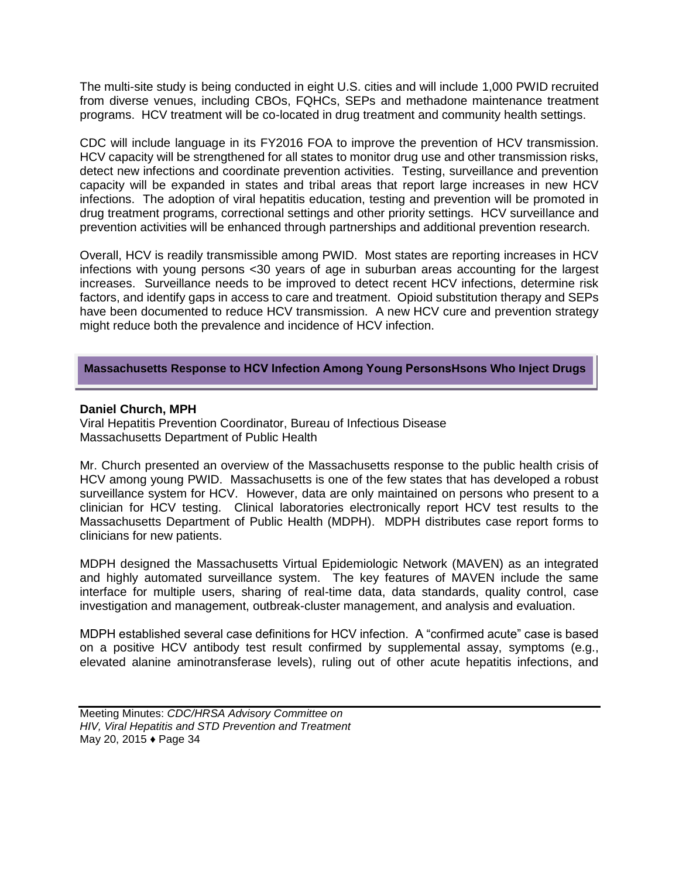The multi-site study is being conducted in eight U.S. cities and will include 1,000 PWID recruited from diverse venues, including CBOs, FQHCs, SEPs and methadone maintenance treatment programs. HCV treatment will be co-located in drug treatment and community health settings.

CDC will include language in its FY2016 FOA to improve the prevention of HCV transmission. HCV capacity will be strengthened for all states to monitor drug use and other transmission risks, detect new infections and coordinate prevention activities. Testing, surveillance and prevention capacity will be expanded in states and tribal areas that report large increases in new HCV infections. The adoption of viral hepatitis education, testing and prevention will be promoted in drug treatment programs, correctional settings and other priority settings. HCV surveillance and prevention activities will be enhanced through partnerships and additional prevention research.

Overall, HCV is readily transmissible among PWID. Most states are reporting increases in HCV infections with young persons <30 years of age in suburban areas accounting for the largest increases. Surveillance needs to be improved to detect recent HCV infections, determine risk factors, and identify gaps in access to care and treatment. Opioid substitution therapy and SEPs have been documented to reduce HCV transmission. A new HCV cure and prevention strategy might reduce both the prevalence and incidence of HCV infection.

#### **Massachusetts Response to HCV Infection Among Young PersonsHsons Who Inject Drugs**

#### **Daniel Church, MPH**

Viral Hepatitis Prevention Coordinator, Bureau of Infectious Disease Massachusetts Department of Public Health

Mr. Church presented an overview of the Massachusetts response to the public health crisis of HCV among young PWID. Massachusetts is one of the few states that has developed a robust surveillance system for HCV. However, data are only maintained on persons who present to a clinician for HCV testing. Clinical laboratories electronically report HCV test results to the Massachusetts Department of Public Health (MDPH). MDPH distributes case report forms to clinicians for new patients.

MDPH designed the Massachusetts Virtual Epidemiologic Network (MAVEN) as an integrated and highly automated surveillance system. The key features of MAVEN include the same interface for multiple users, sharing of real-time data, data standards, quality control, case investigation and management, outbreak-cluster management, and analysis and evaluation.

MDPH established several case definitions for HCV infection. A "confirmed acute" case is based on a positive HCV antibody test result confirmed by supplemental assay, symptoms (e.g., elevated alanine aminotransferase levels), ruling out of other acute hepatitis infections, and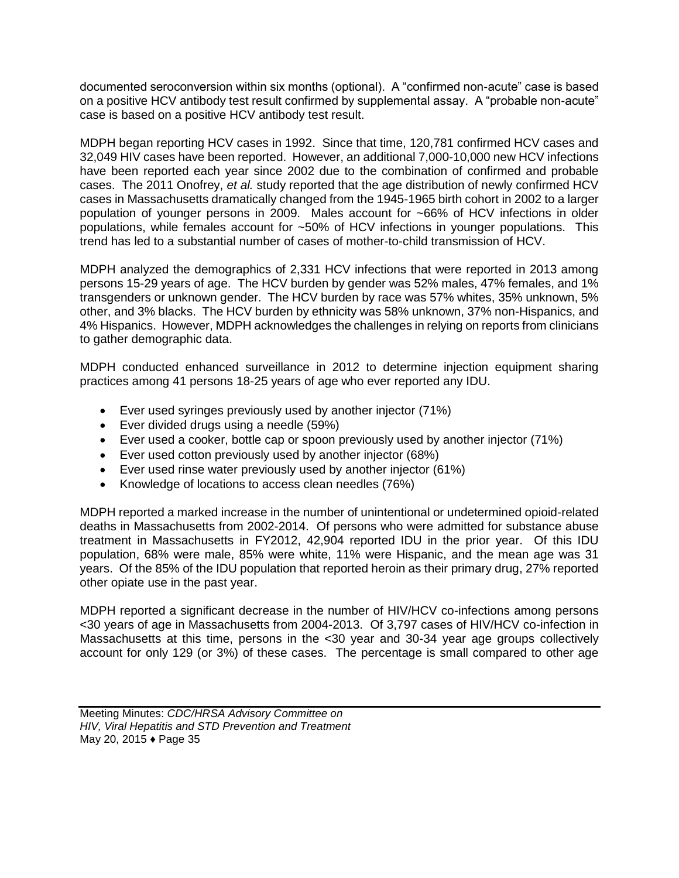documented seroconversion within six months (optional). A "confirmed non-acute" case is based on a positive HCV antibody test result confirmed by supplemental assay. A "probable non-acute" case is based on a positive HCV antibody test result.

MDPH began reporting HCV cases in 1992. Since that time, 120,781 confirmed HCV cases and 32,049 HIV cases have been reported. However, an additional 7,000-10,000 new HCV infections have been reported each year since 2002 due to the combination of confirmed and probable cases. The 2011 Onofrey, *et al.* study reported that the age distribution of newly confirmed HCV cases in Massachusetts dramatically changed from the 1945-1965 birth cohort in 2002 to a larger population of younger persons in 2009. Males account for ~66% of HCV infections in older populations, while females account for ~50% of HCV infections in younger populations. This trend has led to a substantial number of cases of mother-to-child transmission of HCV.

MDPH analyzed the demographics of 2,331 HCV infections that were reported in 2013 among persons 15-29 years of age. The HCV burden by gender was 52% males, 47% females, and 1% transgenders or unknown gender. The HCV burden by race was 57% whites, 35% unknown, 5% other, and 3% blacks. The HCV burden by ethnicity was 58% unknown, 37% non-Hispanics, and 4% Hispanics. However, MDPH acknowledges the challenges in relying on reports from clinicians to gather demographic data.

MDPH conducted enhanced surveillance in 2012 to determine injection equipment sharing practices among 41 persons 18-25 years of age who ever reported any IDU.

- Ever used syringes previously used by another injector (71%)
- Ever divided drugs using a needle (59%)
- Ever used a cooker, bottle cap or spoon previously used by another injector (71%)
- Ever used cotton previously used by another injector (68%)
- Ever used rinse water previously used by another injector (61%)
- Knowledge of locations to access clean needles (76%)

MDPH reported a marked increase in the number of unintentional or undetermined opioid-related deaths in Massachusetts from 2002-2014. Of persons who were admitted for substance abuse treatment in Massachusetts in FY2012, 42,904 reported IDU in the prior year. Of this IDU population, 68% were male, 85% were white, 11% were Hispanic, and the mean age was 31 years. Of the 85% of the IDU population that reported heroin as their primary drug, 27% reported other opiate use in the past year.

MDPH reported a significant decrease in the number of HIV/HCV co-infections among persons <30 years of age in Massachusetts from 2004-2013. Of 3,797 cases of HIV/HCV co-infection in Massachusetts at this time, persons in the <30 year and 30-34 year age groups collectively account for only 129 (or 3%) of these cases. The percentage is small compared to other age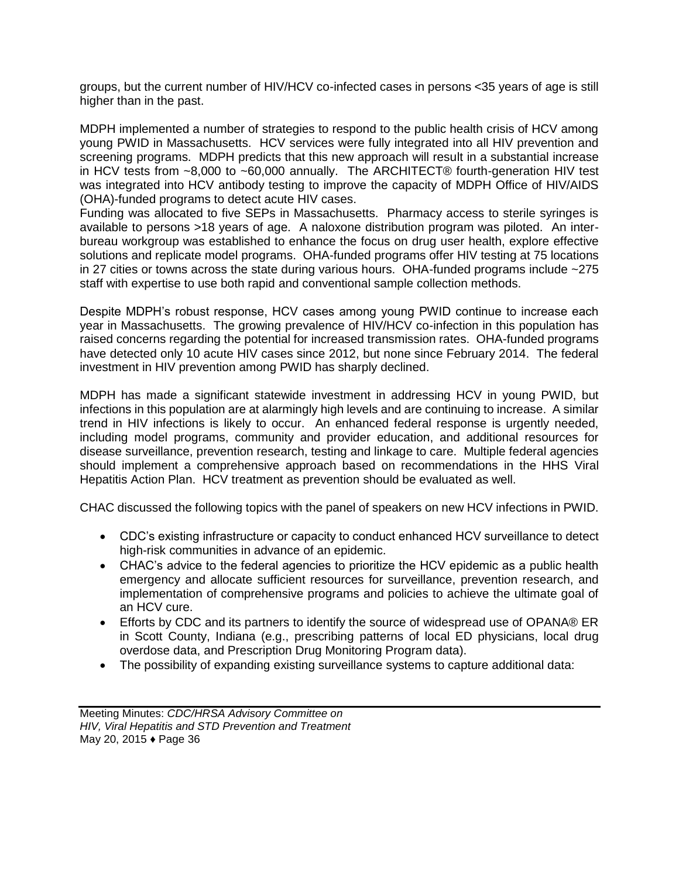groups, but the current number of HIV/HCV co-infected cases in persons <35 years of age is still higher than in the past.

MDPH implemented a number of strategies to respond to the public health crisis of HCV among young PWID in Massachusetts. HCV services were fully integrated into all HIV prevention and screening programs. MDPH predicts that this new approach will result in a substantial increase in HCV tests from ~8,000 to ~60,000 annually. The ARCHITECT® fourth-generation HIV test was integrated into HCV antibody testing to improve the capacity of MDPH Office of HIV/AIDS (OHA)-funded programs to detect acute HIV cases.

Funding was allocated to five SEPs in Massachusetts. Pharmacy access to sterile syringes is available to persons >18 years of age. A naloxone distribution program was piloted. An interbureau workgroup was established to enhance the focus on drug user health, explore effective solutions and replicate model programs. OHA-funded programs offer HIV testing at 75 locations in 27 cities or towns across the state during various hours. OHA-funded programs include ~275 staff with expertise to use both rapid and conventional sample collection methods.

Despite MDPH's robust response, HCV cases among young PWID continue to increase each year in Massachusetts. The growing prevalence of HIV/HCV co-infection in this population has raised concerns regarding the potential for increased transmission rates. OHA-funded programs have detected only 10 acute HIV cases since 2012, but none since February 2014. The federal investment in HIV prevention among PWID has sharply declined.

MDPH has made a significant statewide investment in addressing HCV in young PWID, but infections in this population are at alarmingly high levels and are continuing to increase. A similar trend in HIV infections is likely to occur. An enhanced federal response is urgently needed, including model programs, community and provider education, and additional resources for disease surveillance, prevention research, testing and linkage to care. Multiple federal agencies should implement a comprehensive approach based on recommendations in the HHS Viral Hepatitis Action Plan. HCV treatment as prevention should be evaluated as well.

CHAC discussed the following topics with the panel of speakers on new HCV infections in PWID.

- CDC's existing infrastructure or capacity to conduct enhanced HCV surveillance to detect high-risk communities in advance of an epidemic.
- CHAC's advice to the federal agencies to prioritize the HCV epidemic as a public health emergency and allocate sufficient resources for surveillance, prevention research, and implementation of comprehensive programs and policies to achieve the ultimate goal of an HCV cure.
- Efforts by CDC and its partners to identify the source of widespread use of OPANA® ER in Scott County, Indiana (e.g., prescribing patterns of local ED physicians, local drug overdose data, and Prescription Drug Monitoring Program data).
- The possibility of expanding existing surveillance systems to capture additional data: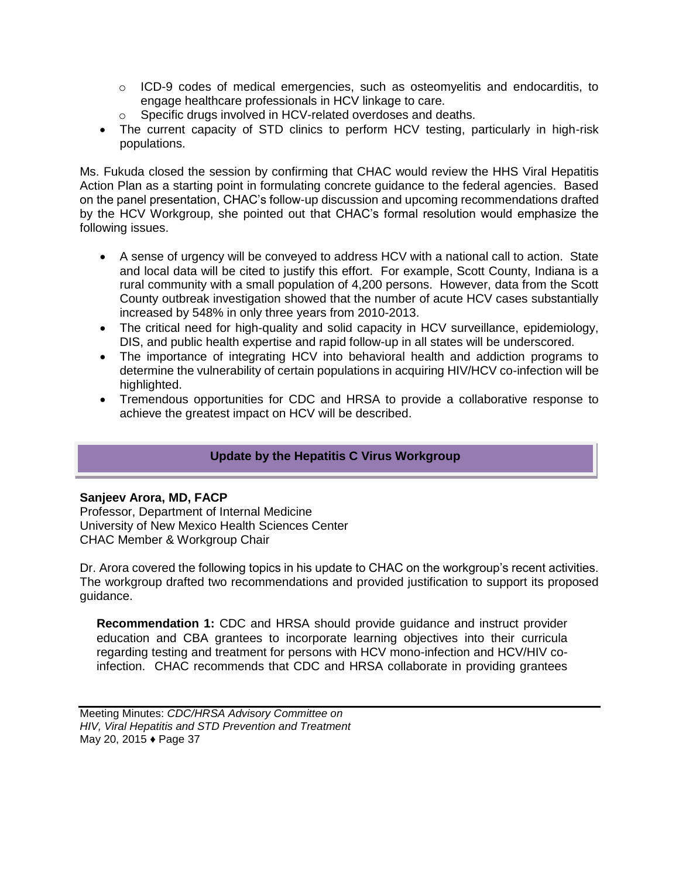- $\circ$  ICD-9 codes of medical emergencies, such as osteomyelitis and endocarditis, to engage healthcare professionals in HCV linkage to care.
- o Specific drugs involved in HCV-related overdoses and deaths.
- The current capacity of STD clinics to perform HCV testing, particularly in high-risk populations.

Ms. Fukuda closed the session by confirming that CHAC would review the HHS Viral Hepatitis Action Plan as a starting point in formulating concrete guidance to the federal agencies. Based on the panel presentation, CHAC's follow-up discussion and upcoming recommendations drafted by the HCV Workgroup, she pointed out that CHAC's formal resolution would emphasize the following issues.

- A sense of urgency will be conveyed to address HCV with a national call to action. State and local data will be cited to justify this effort. For example, Scott County, Indiana is a rural community with a small population of 4,200 persons. However, data from the Scott County outbreak investigation showed that the number of acute HCV cases substantially increased by 548% in only three years from 2010-2013.
- The critical need for high-quality and solid capacity in HCV surveillance, epidemiology, DIS, and public health expertise and rapid follow-up in all states will be underscored.
- The importance of integrating HCV into behavioral health and addiction programs to determine the vulnerability of certain populations in acquiring HIV/HCV co-infection will be highlighted.
- Tremendous opportunities for CDC and HRSA to provide a collaborative response to achieve the greatest impact on HCV will be described.

# **Update by the Hepatitis C Virus Workgroup**

# **Sanjeev Arora, MD, FACP**

Professor, Department of Internal Medicine University of New Mexico Health Sciences Center CHAC Member & Workgroup Chair

Dr. Arora covered the following topics in his update to CHAC on the workgroup's recent activities. The workgroup drafted two recommendations and provided justification to support its proposed guidance.

**Recommendation 1:** CDC and HRSA should provide guidance and instruct provider education and CBA grantees to incorporate learning objectives into their curricula regarding testing and treatment for persons with HCV mono-infection and HCV/HIV coinfection. CHAC recommends that CDC and HRSA collaborate in providing grantees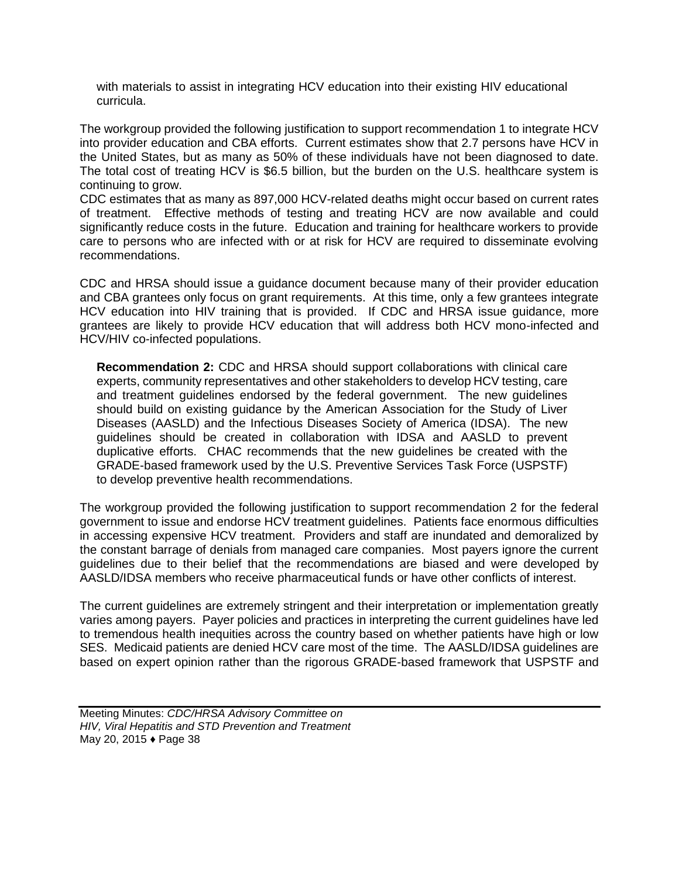with materials to assist in integrating HCV education into their existing HIV educational curricula.

The workgroup provided the following justification to support recommendation 1 to integrate HCV into provider education and CBA efforts. Current estimates show that 2.7 persons have HCV in the United States, but as many as 50% of these individuals have not been diagnosed to date. The total cost of treating HCV is \$6.5 billion, but the burden on the U.S. healthcare system is continuing to grow.

CDC estimates that as many as 897,000 HCV-related deaths might occur based on current rates of treatment. Effective methods of testing and treating HCV are now available and could significantly reduce costs in the future. Education and training for healthcare workers to provide care to persons who are infected with or at risk for HCV are required to disseminate evolving recommendations.

CDC and HRSA should issue a guidance document because many of their provider education and CBA grantees only focus on grant requirements. At this time, only a few grantees integrate HCV education into HIV training that is provided. If CDC and HRSA issue guidance, more grantees are likely to provide HCV education that will address both HCV mono-infected and HCV/HIV co-infected populations.

**Recommendation 2:** CDC and HRSA should support collaborations with clinical care experts, community representatives and other stakeholders to develop HCV testing, care and treatment guidelines endorsed by the federal government. The new guidelines should build on existing guidance by the American Association for the Study of Liver Diseases (AASLD) and the Infectious Diseases Society of America (IDSA). The new guidelines should be created in collaboration with IDSA and AASLD to prevent duplicative efforts. CHAC recommends that the new guidelines be created with the GRADE-based framework used by the U.S. Preventive Services Task Force (USPSTF) to develop preventive health recommendations.

The workgroup provided the following justification to support recommendation 2 for the federal government to issue and endorse HCV treatment guidelines. Patients face enormous difficulties in accessing expensive HCV treatment. Providers and staff are inundated and demoralized by the constant barrage of denials from managed care companies. Most payers ignore the current guidelines due to their belief that the recommendations are biased and were developed by AASLD/IDSA members who receive pharmaceutical funds or have other conflicts of interest.

The current guidelines are extremely stringent and their interpretation or implementation greatly varies among payers. Payer policies and practices in interpreting the current guidelines have led to tremendous health inequities across the country based on whether patients have high or low SES. Medicaid patients are denied HCV care most of the time. The AASLD/IDSA guidelines are based on expert opinion rather than the rigorous GRADE-based framework that USPSTF and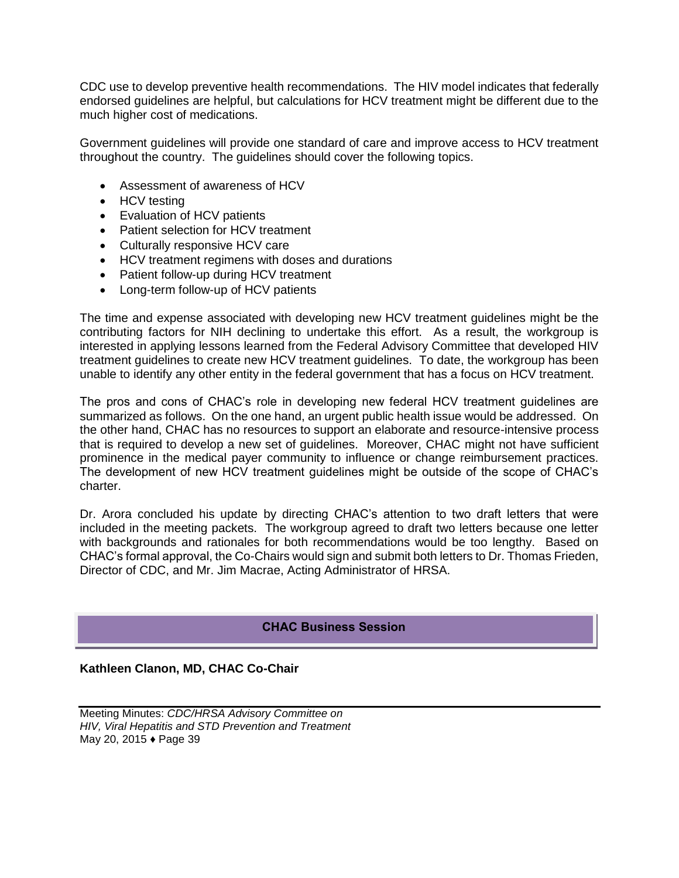CDC use to develop preventive health recommendations. The HIV model indicates that federally endorsed guidelines are helpful, but calculations for HCV treatment might be different due to the much higher cost of medications.

Government guidelines will provide one standard of care and improve access to HCV treatment throughout the country. The guidelines should cover the following topics.

- Assessment of awareness of HCV
- HCV testing
- Evaluation of HCV patients
- Patient selection for HCV treatment
- Culturally responsive HCV care
- HCV treatment regimens with doses and durations
- Patient follow-up during HCV treatment
- Long-term follow-up of HCV patients

The time and expense associated with developing new HCV treatment guidelines might be the contributing factors for NIH declining to undertake this effort. As a result, the workgroup is interested in applying lessons learned from the Federal Advisory Committee that developed HIV treatment guidelines to create new HCV treatment guidelines. To date, the workgroup has been unable to identify any other entity in the federal government that has a focus on HCV treatment.

The pros and cons of CHAC's role in developing new federal HCV treatment guidelines are summarized as follows. On the one hand, an urgent public health issue would be addressed. On the other hand, CHAC has no resources to support an elaborate and resource-intensive process that is required to develop a new set of guidelines. Moreover, CHAC might not have sufficient prominence in the medical payer community to influence or change reimbursement practices. The development of new HCV treatment guidelines might be outside of the scope of CHAC's charter.

Dr. Arora concluded his update by directing CHAC's attention to two draft letters that were included in the meeting packets. The workgroup agreed to draft two letters because one letter with backgrounds and rationales for both recommendations would be too lengthy. Based on CHAC's formal approval, the Co-Chairs would sign and submit both letters to Dr. Thomas Frieden, Director of CDC, and Mr. Jim Macrae, Acting Administrator of HRSA.

#### **CHAC Business Session**

#### **Kathleen Clanon, MD, CHAC Co-Chair**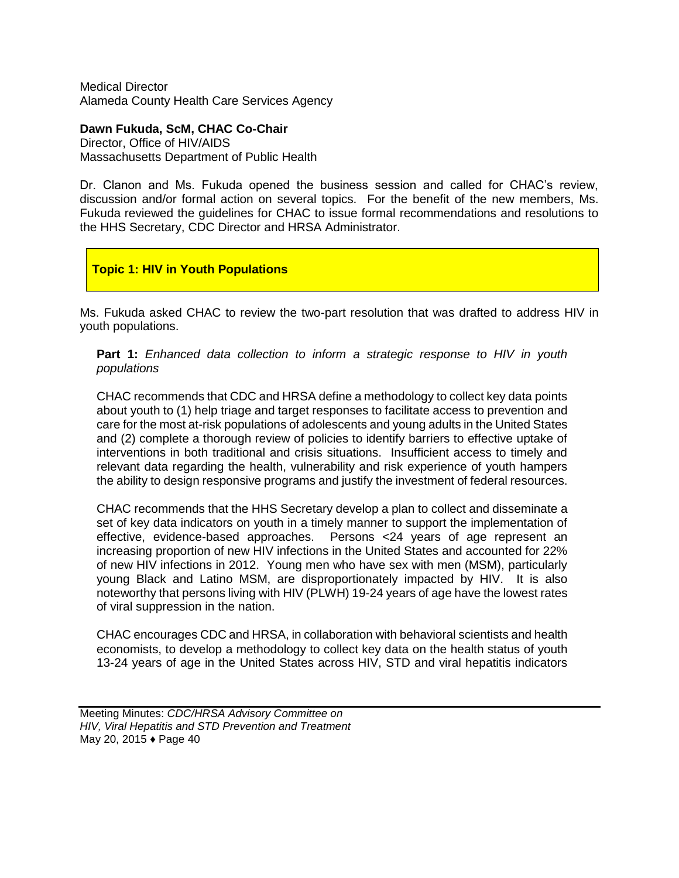Medical Director Alameda County Health Care Services Agency

**Dawn Fukuda, ScM, CHAC Co-Chair**  Director, Office of HIV/AIDS Massachusetts Department of Public Health

Dr. Clanon and Ms. Fukuda opened the business session and called for CHAC's review, discussion and/or formal action on several topics. For the benefit of the new members, Ms. Fukuda reviewed the guidelines for CHAC to issue formal recommendations and resolutions to the HHS Secretary, CDC Director and HRSA Administrator.

# **Topic 1: HIV in Youth Populations**

Ms. Fukuda asked CHAC to review the two-part resolution that was drafted to address HIV in youth populations.

**Part 1:** *Enhanced data collection to inform a strategic response to HIV in youth populations* 

CHAC recommends that CDC and HRSA define a methodology to collect key data points about youth to (1) help triage and target responses to facilitate access to prevention and care for the most at-risk populations of adolescents and young adults in the United States and (2) complete a thorough review of policies to identify barriers to effective uptake of interventions in both traditional and crisis situations. Insufficient access to timely and relevant data regarding the health, vulnerability and risk experience of youth hampers the ability to design responsive programs and justify the investment of federal resources.

CHAC recommends that the HHS Secretary develop a plan to collect and disseminate a set of key data indicators on youth in a timely manner to support the implementation of effective, evidence-based approaches. Persons <24 years of age represent an increasing proportion of new HIV infections in the United States and accounted for 22% of new HIV infections in 2012. Young men who have sex with men (MSM), particularly young Black and Latino MSM, are disproportionately impacted by HIV. It is also noteworthy that persons living with HIV (PLWH) 19-24 years of age have the lowest rates of viral suppression in the nation.

CHAC encourages CDC and HRSA, in collaboration with behavioral scientists and health economists, to develop a methodology to collect key data on the health status of youth 13-24 years of age in the United States across HIV, STD and viral hepatitis indicators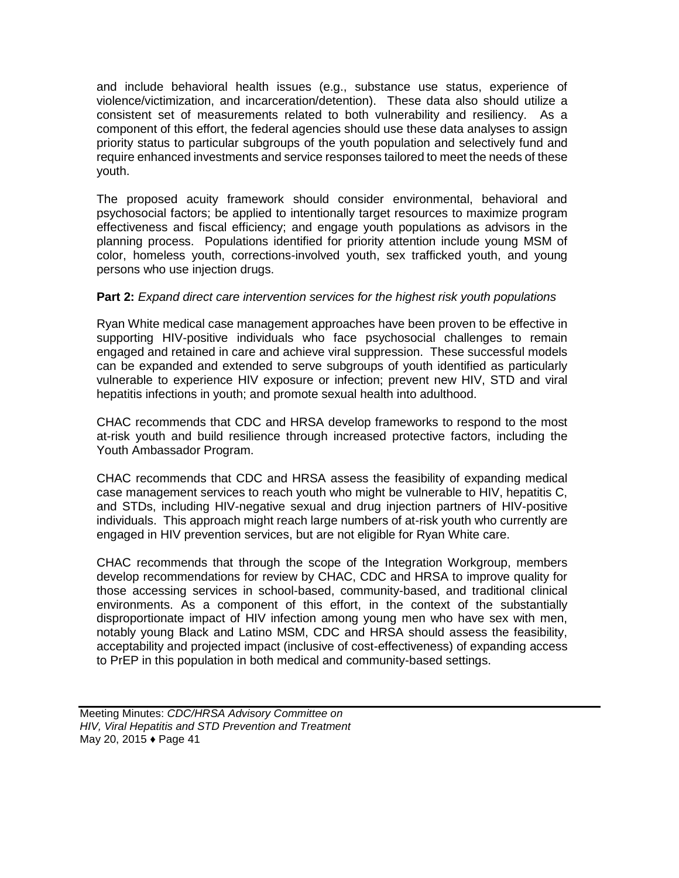and include behavioral health issues (e.g., substance use status, experience of violence/victimization, and incarceration/detention). These data also should utilize a consistent set of measurements related to both vulnerability and resiliency. As a component of this effort, the federal agencies should use these data analyses to assign priority status to particular subgroups of the youth population and selectively fund and require enhanced investments and service responses tailored to meet the needs of these youth.

The proposed acuity framework should consider environmental, behavioral and psychosocial factors; be applied to intentionally target resources to maximize program effectiveness and fiscal efficiency; and engage youth populations as advisors in the planning process. Populations identified for priority attention include young MSM of color, homeless youth, corrections-involved youth, sex trafficked youth, and young persons who use injection drugs.

# **Part 2:** *Expand direct care intervention services for the highest risk youth populations*

Ryan White medical case management approaches have been proven to be effective in supporting HIV-positive individuals who face psychosocial challenges to remain engaged and retained in care and achieve viral suppression. These successful models can be expanded and extended to serve subgroups of youth identified as particularly vulnerable to experience HIV exposure or infection; prevent new HIV, STD and viral hepatitis infections in youth; and promote sexual health into adulthood.

CHAC recommends that CDC and HRSA develop frameworks to respond to the most at-risk youth and build resilience through increased protective factors, including the Youth Ambassador Program.

CHAC recommends that CDC and HRSA assess the feasibility of expanding medical case management services to reach youth who might be vulnerable to HIV, hepatitis C, and STDs, including HIV-negative sexual and drug injection partners of HIV-positive individuals. This approach might reach large numbers of at-risk youth who currently are engaged in HIV prevention services, but are not eligible for Ryan White care.

CHAC recommends that through the scope of the Integration Workgroup, members develop recommendations for review by CHAC, CDC and HRSA to improve quality for those accessing services in school-based, community-based, and traditional clinical environments. As a component of this effort, in the context of the substantially disproportionate impact of HIV infection among young men who have sex with men, notably young Black and Latino MSM, CDC and HRSA should assess the feasibility, acceptability and projected impact (inclusive of cost-effectiveness) of expanding access to PrEP in this population in both medical and community-based settings.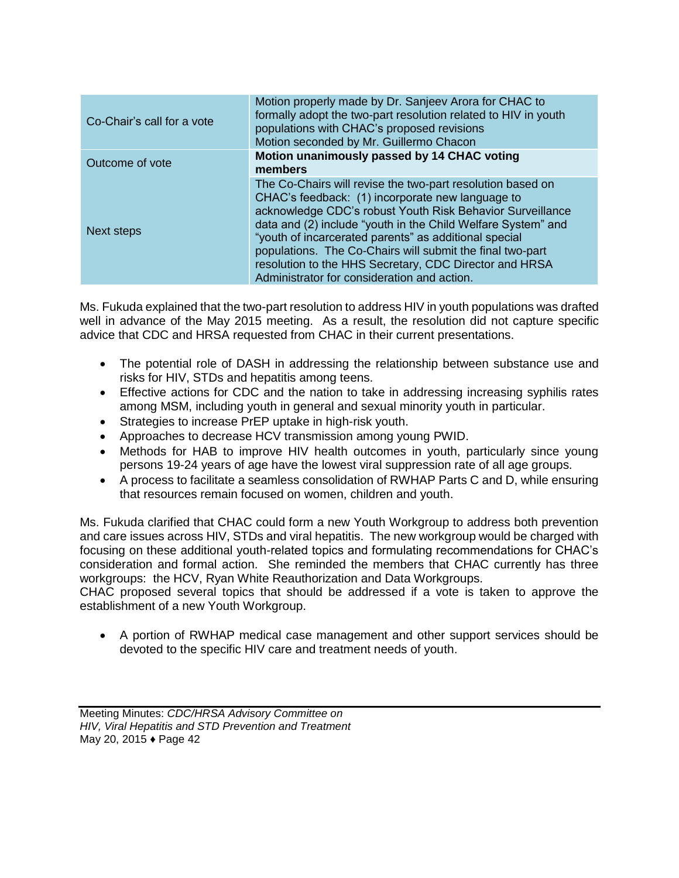| Co-Chair's call for a vote | Motion properly made by Dr. Sanjeev Arora for CHAC to<br>formally adopt the two-part resolution related to HIV in youth<br>populations with CHAC's proposed revisions<br>Motion seconded by Mr. Guillermo Chacon                                                                                                                                                                                                                                                           |
|----------------------------|----------------------------------------------------------------------------------------------------------------------------------------------------------------------------------------------------------------------------------------------------------------------------------------------------------------------------------------------------------------------------------------------------------------------------------------------------------------------------|
| Outcome of vote            | Motion unanimously passed by 14 CHAC voting<br>members                                                                                                                                                                                                                                                                                                                                                                                                                     |
| Next steps                 | The Co-Chairs will revise the two-part resolution based on<br>CHAC's feedback: (1) incorporate new language to<br>acknowledge CDC's robust Youth Risk Behavior Surveillance<br>data and (2) include "youth in the Child Welfare System" and<br>"youth of incarcerated parents" as additional special<br>populations. The Co-Chairs will submit the final two-part<br>resolution to the HHS Secretary, CDC Director and HRSA<br>Administrator for consideration and action. |

Ms. Fukuda explained that the two-part resolution to address HIV in youth populations was drafted well in advance of the May 2015 meeting. As a result, the resolution did not capture specific advice that CDC and HRSA requested from CHAC in their current presentations.

- The potential role of DASH in addressing the relationship between substance use and risks for HIV, STDs and hepatitis among teens.
- Effective actions for CDC and the nation to take in addressing increasing syphilis rates among MSM, including youth in general and sexual minority youth in particular.
- Strategies to increase PrEP uptake in high-risk youth.
- Approaches to decrease HCV transmission among young PWID.
- Methods for HAB to improve HIV health outcomes in youth, particularly since young persons 19-24 years of age have the lowest viral suppression rate of all age groups.
- A process to facilitate a seamless consolidation of RWHAP Parts C and D, while ensuring that resources remain focused on women, children and youth.

Ms. Fukuda clarified that CHAC could form a new Youth Workgroup to address both prevention and care issues across HIV, STDs and viral hepatitis. The new workgroup would be charged with focusing on these additional youth-related topics and formulating recommendations for CHAC's consideration and formal action. She reminded the members that CHAC currently has three workgroups: the HCV, Ryan White Reauthorization and Data Workgroups.

CHAC proposed several topics that should be addressed if a vote is taken to approve the establishment of a new Youth Workgroup.

 A portion of RWHAP medical case management and other support services should be devoted to the specific HIV care and treatment needs of youth.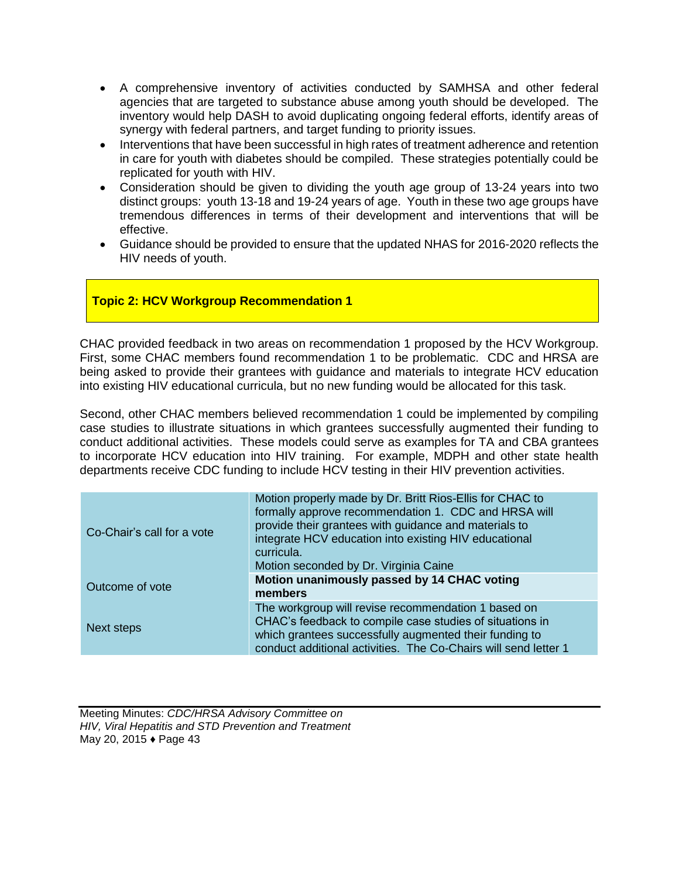- A comprehensive inventory of activities conducted by SAMHSA and other federal agencies that are targeted to substance abuse among youth should be developed. The inventory would help DASH to avoid duplicating ongoing federal efforts, identify areas of synergy with federal partners, and target funding to priority issues.
- Interventions that have been successful in high rates of treatment adherence and retention in care for youth with diabetes should be compiled. These strategies potentially could be replicated for youth with HIV.
- Consideration should be given to dividing the youth age group of 13-24 years into two distinct groups: youth 13-18 and 19-24 years of age. Youth in these two age groups have tremendous differences in terms of their development and interventions that will be effective.
- Guidance should be provided to ensure that the updated NHAS for 2016-2020 reflects the HIV needs of youth.

# **Topic 2: HCV Workgroup Recommendation 1**

CHAC provided feedback in two areas on recommendation 1 proposed by the HCV Workgroup. First, some CHAC members found recommendation 1 to be problematic. CDC and HRSA are being asked to provide their grantees with guidance and materials to integrate HCV education into existing HIV educational curricula, but no new funding would be allocated for this task.

Second, other CHAC members believed recommendation 1 could be implemented by compiling case studies to illustrate situations in which grantees successfully augmented their funding to conduct additional activities. These models could serve as examples for TA and CBA grantees to incorporate HCV education into HIV training. For example, MDPH and other state health departments receive CDC funding to include HCV testing in their HIV prevention activities.

| Co-Chair's call for a vote | Motion properly made by Dr. Britt Rios-Ellis for CHAC to<br>formally approve recommendation 1. CDC and HRSA will<br>provide their grantees with guidance and materials to<br>integrate HCV education into existing HIV educational<br>curricula.<br>Motion seconded by Dr. Virginia Caine |
|----------------------------|-------------------------------------------------------------------------------------------------------------------------------------------------------------------------------------------------------------------------------------------------------------------------------------------|
| Outcome of vote            | Motion unanimously passed by 14 CHAC voting<br>members                                                                                                                                                                                                                                    |
| Next steps                 | The workgroup will revise recommendation 1 based on<br>CHAC's feedback to compile case studies of situations in<br>which grantees successfully augmented their funding to<br>conduct additional activities. The Co-Chairs will send letter 1                                              |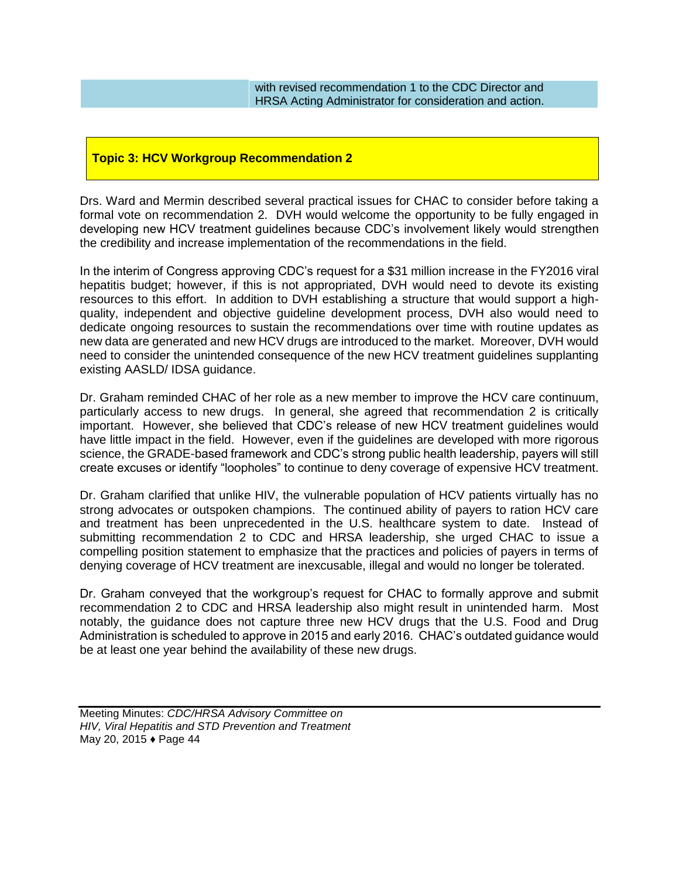with revised recommendation 1 to the CDC Director and HRSA Acting Administrator for consideration and action.

# **Topic 3: HCV Workgroup Recommendation 2**

Drs. Ward and Mermin described several practical issues for CHAC to consider before taking a formal vote on recommendation 2. DVH would welcome the opportunity to be fully engaged in developing new HCV treatment guidelines because CDC's involvement likely would strengthen the credibility and increase implementation of the recommendations in the field.

In the interim of Congress approving CDC's request for a \$31 million increase in the FY2016 viral hepatitis budget; however, if this is not appropriated, DVH would need to devote its existing resources to this effort. In addition to DVH establishing a structure that would support a highquality, independent and objective guideline development process, DVH also would need to dedicate ongoing resources to sustain the recommendations over time with routine updates as new data are generated and new HCV drugs are introduced to the market. Moreover, DVH would need to consider the unintended consequence of the new HCV treatment guidelines supplanting existing AASLD/ IDSA guidance.

Dr. Graham reminded CHAC of her role as a new member to improve the HCV care continuum, particularly access to new drugs. In general, she agreed that recommendation 2 is critically important. However, she believed that CDC's release of new HCV treatment guidelines would have little impact in the field. However, even if the guidelines are developed with more rigorous science, the GRADE-based framework and CDC's strong public health leadership, payers will still create excuses or identify "loopholes" to continue to deny coverage of expensive HCV treatment.

Dr. Graham clarified that unlike HIV, the vulnerable population of HCV patients virtually has no strong advocates or outspoken champions. The continued ability of payers to ration HCV care and treatment has been unprecedented in the U.S. healthcare system to date. Instead of submitting recommendation 2 to CDC and HRSA leadership, she urged CHAC to issue a compelling position statement to emphasize that the practices and policies of payers in terms of denying coverage of HCV treatment are inexcusable, illegal and would no longer be tolerated.

Dr. Graham conveyed that the workgroup's request for CHAC to formally approve and submit recommendation 2 to CDC and HRSA leadership also might result in unintended harm. Most notably, the guidance does not capture three new HCV drugs that the U.S. Food and Drug Administration is scheduled to approve in 2015 and early 2016. CHAC's outdated guidance would be at least one year behind the availability of these new drugs.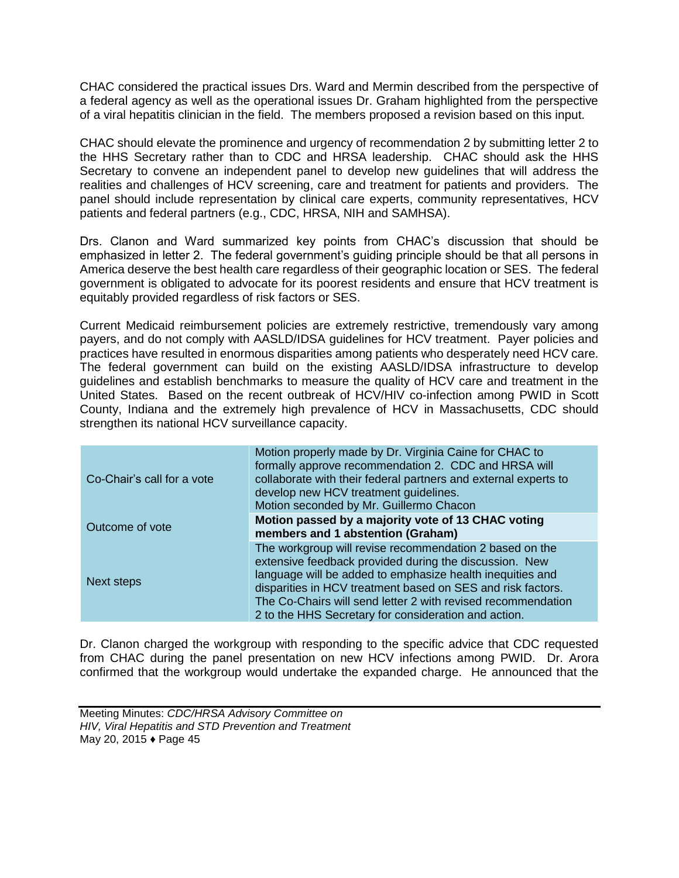CHAC considered the practical issues Drs. Ward and Mermin described from the perspective of a federal agency as well as the operational issues Dr. Graham highlighted from the perspective of a viral hepatitis clinician in the field. The members proposed a revision based on this input.

CHAC should elevate the prominence and urgency of recommendation 2 by submitting letter 2 to the HHS Secretary rather than to CDC and HRSA leadership. CHAC should ask the HHS Secretary to convene an independent panel to develop new guidelines that will address the realities and challenges of HCV screening, care and treatment for patients and providers. The panel should include representation by clinical care experts, community representatives, HCV patients and federal partners (e.g., CDC, HRSA, NIH and SAMHSA).

Drs. Clanon and Ward summarized key points from CHAC's discussion that should be emphasized in letter 2. The federal government's guiding principle should be that all persons in America deserve the best health care regardless of their geographic location or SES. The federal government is obligated to advocate for its poorest residents and ensure that HCV treatment is equitably provided regardless of risk factors or SES.

Current Medicaid reimbursement policies are extremely restrictive, tremendously vary among payers, and do not comply with AASLD/IDSA guidelines for HCV treatment. Payer policies and practices have resulted in enormous disparities among patients who desperately need HCV care. The federal government can build on the existing AASLD/IDSA infrastructure to develop guidelines and establish benchmarks to measure the quality of HCV care and treatment in the United States. Based on the recent outbreak of HCV/HIV co-infection among PWID in Scott County, Indiana and the extremely high prevalence of HCV in Massachusetts, CDC should strengthen its national HCV surveillance capacity.

| Co-Chair's call for a vote | Motion properly made by Dr. Virginia Caine for CHAC to<br>formally approve recommendation 2. CDC and HRSA will<br>collaborate with their federal partners and external experts to<br>develop new HCV treatment guidelines.<br>Motion seconded by Mr. Guillermo Chacon                                                                                                 |
|----------------------------|-----------------------------------------------------------------------------------------------------------------------------------------------------------------------------------------------------------------------------------------------------------------------------------------------------------------------------------------------------------------------|
| Outcome of vote            | Motion passed by a majority vote of 13 CHAC voting<br>members and 1 abstention (Graham)                                                                                                                                                                                                                                                                               |
| Next steps                 | The workgroup will revise recommendation 2 based on the<br>extensive feedback provided during the discussion. New<br>language will be added to emphasize health inequities and<br>disparities in HCV treatment based on SES and risk factors.<br>The Co-Chairs will send letter 2 with revised recommendation<br>2 to the HHS Secretary for consideration and action. |

Dr. Clanon charged the workgroup with responding to the specific advice that CDC requested from CHAC during the panel presentation on new HCV infections among PWID. Dr. Arora confirmed that the workgroup would undertake the expanded charge. He announced that the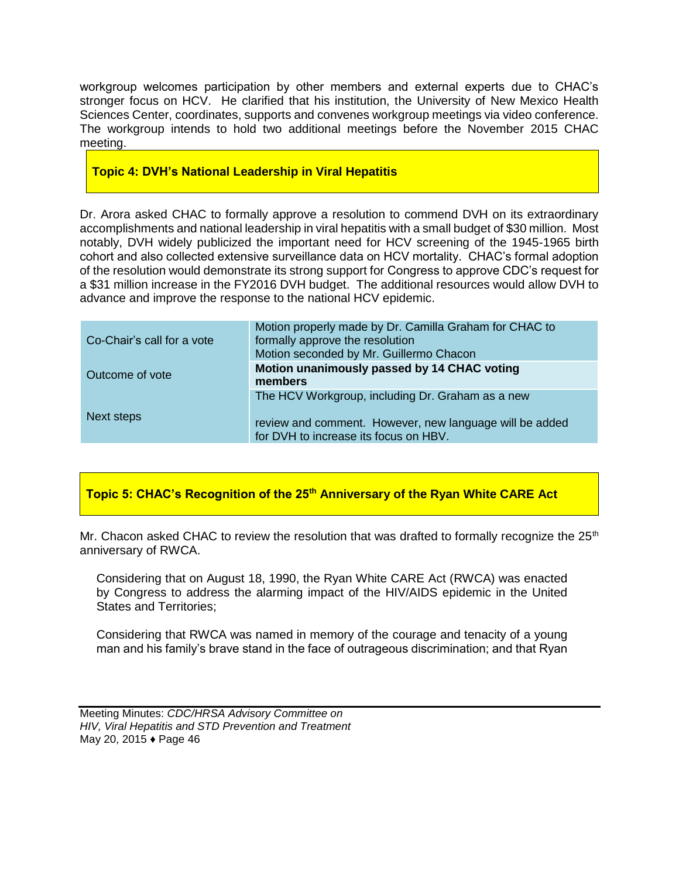workgroup welcomes participation by other members and external experts due to CHAC's stronger focus on HCV. He clarified that his institution, the University of New Mexico Health Sciences Center, coordinates, supports and convenes workgroup meetings via video conference. The workgroup intends to hold two additional meetings before the November 2015 CHAC meeting.

# **Topic 4: DVH's National Leadership in Viral Hepatitis**

Dr. Arora asked CHAC to formally approve a resolution to commend DVH on its extraordinary accomplishments and national leadership in viral hepatitis with a small budget of \$30 million. Most notably, DVH widely publicized the important need for HCV screening of the 1945-1965 birth cohort and also collected extensive surveillance data on HCV mortality. CHAC's formal adoption of the resolution would demonstrate its strong support for Congress to approve CDC's request for a \$31 million increase in the FY2016 DVH budget. The additional resources would allow DVH to advance and improve the response to the national HCV epidemic.

| Co-Chair's call for a vote | Motion properly made by Dr. Camilla Graham for CHAC to<br>formally approve the resolution<br>Motion seconded by Mr. Guillermo Chacon                 |
|----------------------------|------------------------------------------------------------------------------------------------------------------------------------------------------|
| Outcome of vote            | Motion unanimously passed by 14 CHAC voting<br>members                                                                                               |
| Next steps                 | The HCV Workgroup, including Dr. Graham as a new<br>review and comment. However, new language will be added<br>for DVH to increase its focus on HBV. |

# **Topic 5: CHAC's Recognition of the 25th Anniversary of the Ryan White CARE Act**

Mr. Chacon asked CHAC to review the resolution that was drafted to formally recognize the  $25<sup>th</sup>$ anniversary of RWCA.

Considering that on August 18, 1990, the Ryan White CARE Act (RWCA) was enacted by Congress to address the alarming impact of the HIV/AIDS epidemic in the United States and Territories;

Considering that RWCA was named in memory of the courage and tenacity of a young man and his family's brave stand in the face of outrageous discrimination; and that Ryan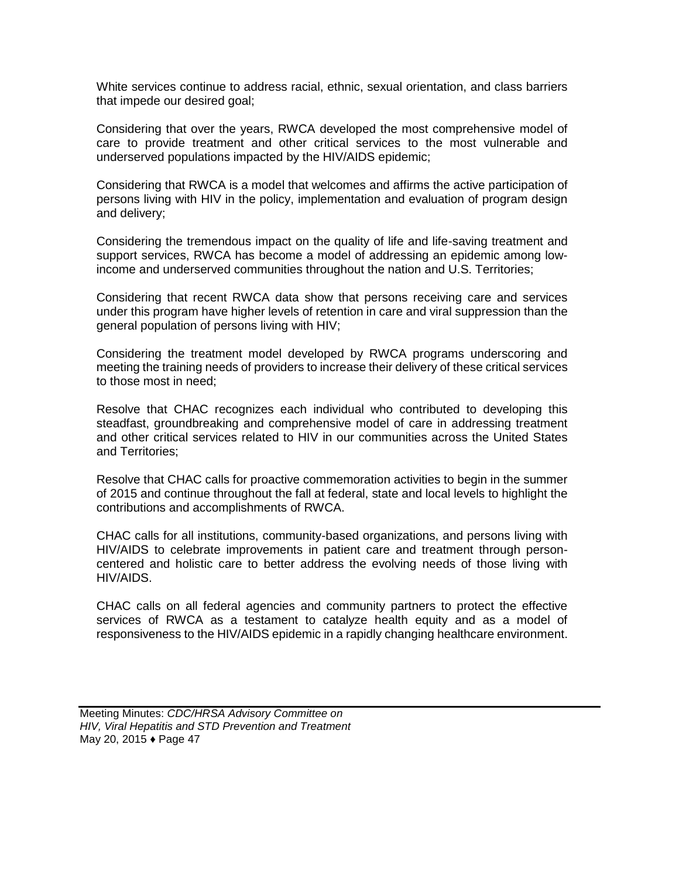White services continue to address racial, ethnic, sexual orientation, and class barriers that impede our desired goal;

Considering that over the years, RWCA developed the most comprehensive model of care to provide treatment and other critical services to the most vulnerable and underserved populations impacted by the HIV/AIDS epidemic;

Considering that RWCA is a model that welcomes and affirms the active participation of persons living with HIV in the policy, implementation and evaluation of program design and delivery;

Considering the tremendous impact on the quality of life and life-saving treatment and support services, RWCA has become a model of addressing an epidemic among lowincome and underserved communities throughout the nation and U.S. Territories;

Considering that recent RWCA data show that persons receiving care and services under this program have higher levels of retention in care and viral suppression than the general population of persons living with HIV;

Considering the treatment model developed by RWCA programs underscoring and meeting the training needs of providers to increase their delivery of these critical services to those most in need;

Resolve that CHAC recognizes each individual who contributed to developing this steadfast, groundbreaking and comprehensive model of care in addressing treatment and other critical services related to HIV in our communities across the United States and Territories;

Resolve that CHAC calls for proactive commemoration activities to begin in the summer of 2015 and continue throughout the fall at federal, state and local levels to highlight the contributions and accomplishments of RWCA.

CHAC calls for all institutions, community-based organizations, and persons living with HIV/AIDS to celebrate improvements in patient care and treatment through personcentered and holistic care to better address the evolving needs of those living with HIV/AIDS.

CHAC calls on all federal agencies and community partners to protect the effective services of RWCA as a testament to catalyze health equity and as a model of responsiveness to the HIV/AIDS epidemic in a rapidly changing healthcare environment.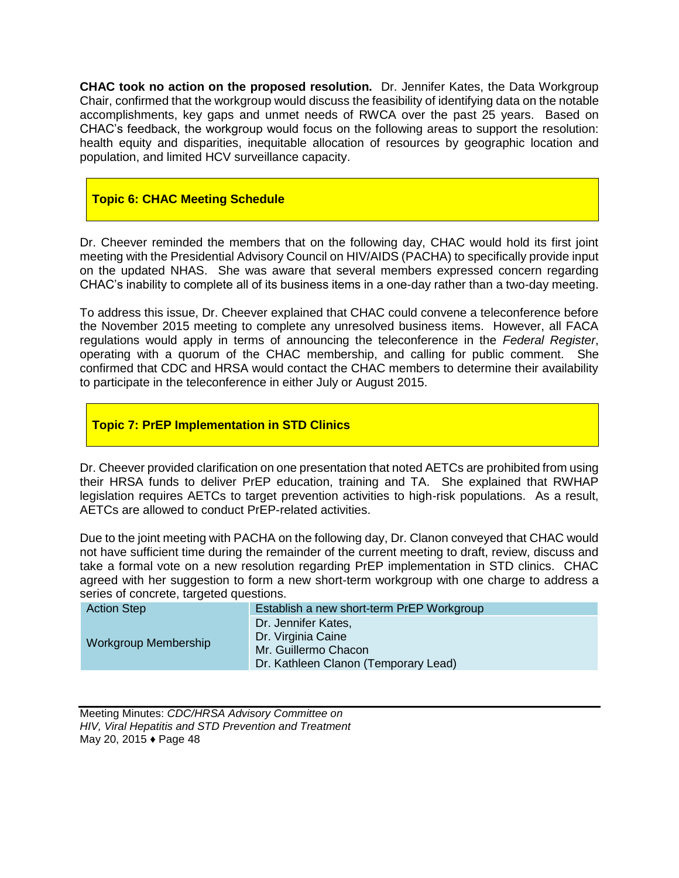**CHAC took no action on the proposed resolution.** Dr. Jennifer Kates, the Data Workgroup Chair, confirmed that the workgroup would discuss the feasibility of identifying data on the notable accomplishments, key gaps and unmet needs of RWCA over the past 25 years. Based on CHAC's feedback, the workgroup would focus on the following areas to support the resolution: health equity and disparities, inequitable allocation of resources by geographic location and population, and limited HCV surveillance capacity.

# **Topic 6: CHAC Meeting Schedule**

Dr. Cheever reminded the members that on the following day, CHAC would hold its first joint meeting with the Presidential Advisory Council on HIV/AIDS (PACHA) to specifically provide input on the updated NHAS. She was aware that several members expressed concern regarding CHAC's inability to complete all of its business items in a one-day rather than a two-day meeting.

To address this issue, Dr. Cheever explained that CHAC could convene a teleconference before the November 2015 meeting to complete any unresolved business items. However, all FACA regulations would apply in terms of announcing the teleconference in the *Federal Register*, operating with a quorum of the CHAC membership, and calling for public comment. She confirmed that CDC and HRSA would contact the CHAC members to determine their availability to participate in the teleconference in either July or August 2015.

# **Topic 7: PrEP Implementation in STD Clinics**

Dr. Cheever provided clarification on one presentation that noted AETCs are prohibited from using their HRSA funds to deliver PrEP education, training and TA. She explained that RWHAP legislation requires AETCs to target prevention activities to high-risk populations. As a result, AETCs are allowed to conduct PrEP-related activities.

Due to the joint meeting with PACHA on the following day, Dr. Clanon conveyed that CHAC would not have sufficient time during the remainder of the current meeting to draft, review, discuss and take a formal vote on a new resolution regarding PrEP implementation in STD clinics. CHAC agreed with her suggestion to form a new short-term workgroup with one charge to address a series of concrete, targeted questions.

| <b>Action Step</b>          | Establish a new short-term PrEP Workgroup                                                                 |
|-----------------------------|-----------------------------------------------------------------------------------------------------------|
| <b>Workgroup Membership</b> | Dr. Jennifer Kates,<br>Dr. Virginia Caine<br>Mr. Guillermo Chacon<br>Dr. Kathleen Clanon (Temporary Lead) |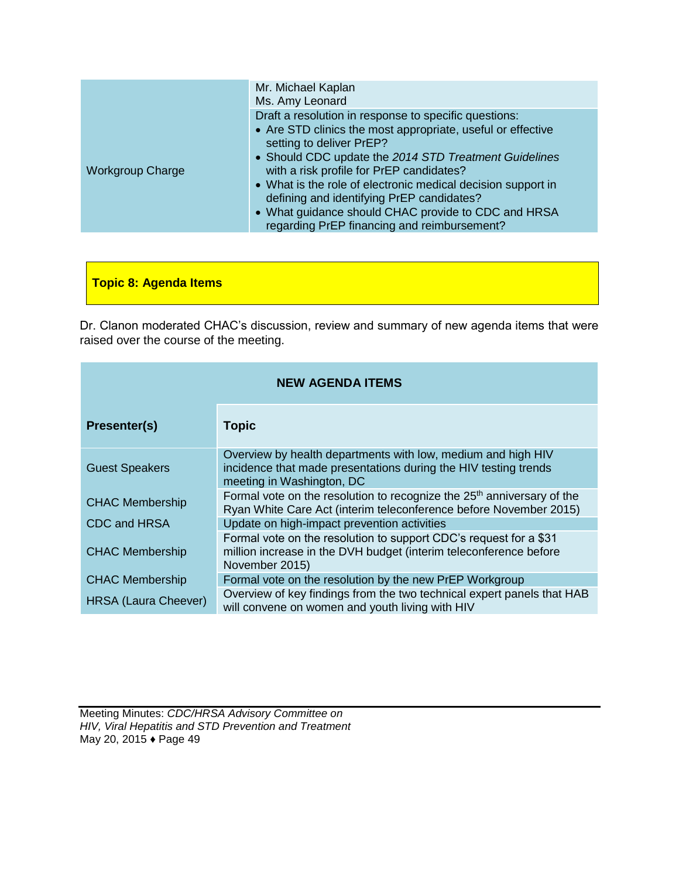| Draft a resolution in response to specific questions:<br>• Are STD clinics the most appropriate, useful or effective<br>setting to deliver PrEP?<br>• Should CDC update the 2014 STD Treatment Guidelines<br>with a risk profile for PrEP candidates?<br><b>Workgroup Charge</b><br>• What is the role of electronic medical decision support in<br>defining and identifying PrEP candidates?<br>• What guidance should CHAC provide to CDC and HRSA<br>regarding PrEP financing and reimbursement? | Mr. Michael Kaplan<br>Ms. Amy Leonard |
|-----------------------------------------------------------------------------------------------------------------------------------------------------------------------------------------------------------------------------------------------------------------------------------------------------------------------------------------------------------------------------------------------------------------------------------------------------------------------------------------------------|---------------------------------------|
|                                                                                                                                                                                                                                                                                                                                                                                                                                                                                                     |                                       |

**Topic 8: Agenda Items**

Dr. Clanon moderated CHAC's discussion, review and summary of new agenda items that were raised over the course of the meeting.

| <b>NEW AGENDA ITEMS</b>     |                                                                                                                                                              |  |
|-----------------------------|--------------------------------------------------------------------------------------------------------------------------------------------------------------|--|
| Presenter(s)                | <b>Topic</b>                                                                                                                                                 |  |
| <b>Guest Speakers</b>       | Overview by health departments with low, medium and high HIV<br>incidence that made presentations during the HIV testing trends<br>meeting in Washington, DC |  |
| <b>CHAC Membership</b>      | Formal vote on the resolution to recognize the $25th$ anniversary of the<br>Ryan White Care Act (interim teleconference before November 2015)                |  |
| CDC and HRSA                | Update on high-impact prevention activities                                                                                                                  |  |
| <b>CHAC Membership</b>      | Formal vote on the resolution to support CDC's request for a \$31<br>million increase in the DVH budget (interim teleconference before<br>November 2015)     |  |
| <b>CHAC Membership</b>      | Formal vote on the resolution by the new PrEP Workgroup                                                                                                      |  |
| <b>HRSA (Laura Cheever)</b> | Overview of key findings from the two technical expert panels that HAB<br>will convene on women and youth living with HIV                                    |  |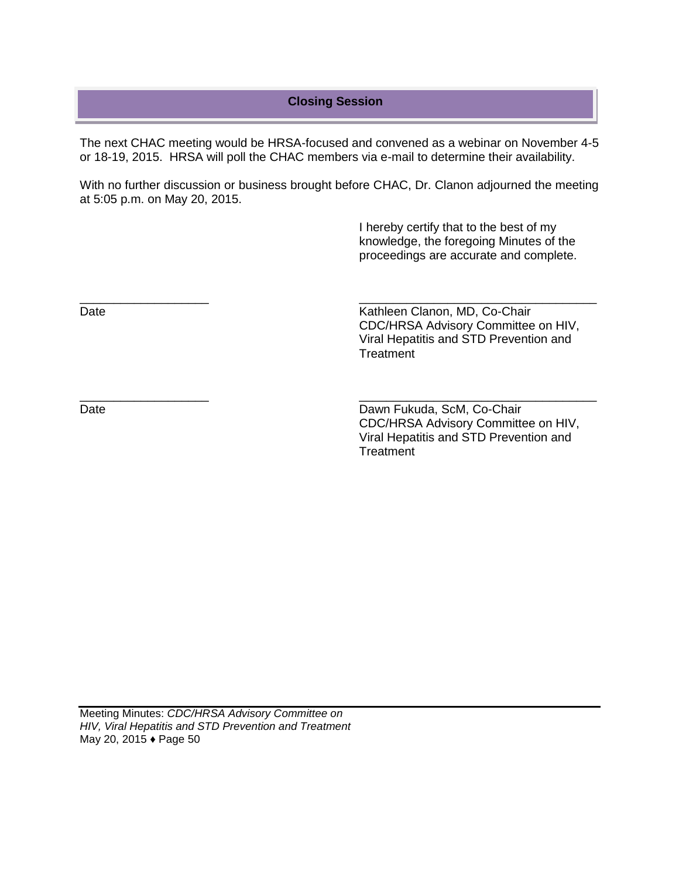# **Closing Session**

The next CHAC meeting would be HRSA-focused and convened as a webinar on November 4-5 or 18-19, 2015. HRSA will poll the CHAC members via e-mail to determine their availability.

With no further discussion or business brought before CHAC, Dr. Clanon adjourned the meeting at 5:05 p.m. on May 20, 2015.

\_\_\_\_\_\_\_\_\_\_\_\_\_\_\_\_\_\_\_ \_\_\_\_\_\_\_\_\_\_\_\_\_\_\_\_\_\_\_\_\_\_\_\_\_\_\_\_\_\_\_\_\_\_\_

\_\_\_\_\_\_\_\_\_\_\_\_\_\_\_\_\_\_\_ \_\_\_\_\_\_\_\_\_\_\_\_\_\_\_\_\_\_\_\_\_\_\_\_\_\_\_\_\_\_\_\_\_\_\_

 I hereby certify that to the best of my knowledge, the foregoing Minutes of the proceedings are accurate and complete.

Date **Date Clanon**, MD, Co-Chair CDC/HRSA Advisory Committee on HIV, Viral Hepatitis and STD Prevention and **Treatment** 

Date Date Dawn Fukuda, ScM, Co-Chair CDC/HRSA Advisory Committee on HIV, Viral Hepatitis and STD Prevention and **Treatment**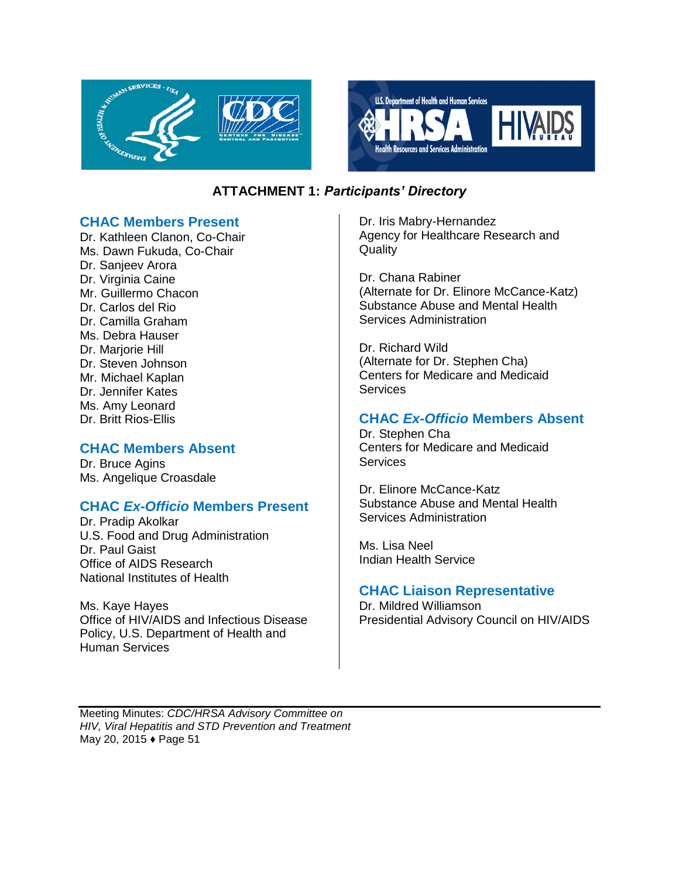



# **ATTACHMENT 1:** *Participants' Directory*

# **CHAC Members Present**

Dr. Kathleen Clanon, Co-Chair Ms. Dawn Fukuda, Co-Chair Dr. Sanjeev Arora Dr. Virginia Caine Mr. Guillermo Chacon Dr. Carlos del Rio Dr. Camilla Graham Ms. Debra Hauser Dr. Marjorie Hill Dr. Steven Johnson Mr. Michael Kaplan Dr. Jennifer Kates Ms. Amy Leonard Dr. Britt Rios-Ellis

# **CHAC Members Absent**

Dr. Bruce Agins Ms. Angelique Croasdale

# **CHAC** *Ex-Officio* **Members Present**

Dr. Pradip Akolkar U.S. Food and Drug Administration Dr. Paul Gaist Office of AIDS Research National Institutes of Health

Ms. Kaye Hayes Office of HIV/AIDS and Infectious Disease Policy, U.S. Department of Health and Human Services

Dr. Iris Mabry-Hernandez Agency for Healthcare Research and **Quality** 

Dr. Chana Rabiner (Alternate for Dr. Elinore McCance-Katz) Substance Abuse and Mental Health Services Administration

Dr. Richard Wild (Alternate for Dr. Stephen Cha) Centers for Medicare and Medicaid **Services** 

# **CHAC** *Ex-Officio* **Members Absent**

Dr. Stephen Cha Centers for Medicare and Medicaid **Services** 

Dr. Elinore McCance-Katz Substance Abuse and Mental Health Services Administration

Ms. Lisa Neel Indian Health Service

# **CHAC Liaison Representative**

Dr. Mildred Williamson Presidential Advisory Council on HIV/AIDS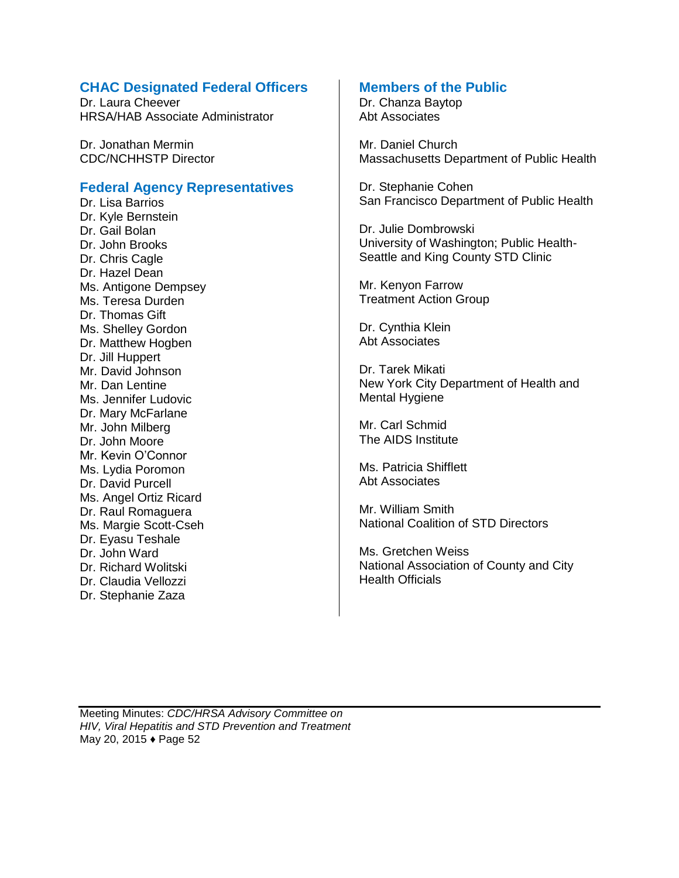# **CHAC Designated Federal Officers**

Dr. Laura Cheever HRSA/HAB Associate Administrator

Dr. Jonathan Mermin CDC/NCHHSTP Director

# **Federal Agency Representatives**

Dr. Lisa Barrios Dr. Kyle Bernstein Dr. Gail Bolan Dr. John Brooks Dr. Chris Cagle Dr. Hazel Dean Ms. Antigone Dempsey Ms. Teresa Durden Dr. Thomas Gift Ms. Shelley Gordon Dr. Matthew Hogben Dr. Jill Huppert Mr. David Johnson Mr. Dan Lentine Ms. Jennifer Ludovic Dr. Mary McFarlane Mr. John Milberg Dr. John Moore Mr. Kevin O'Connor Ms. Lydia Poromon Dr. David Purcell Ms. Angel Ortiz Ricard Dr. Raul Romaguera Ms. Margie Scott-Cseh Dr. Eyasu Teshale Dr. John Ward Dr. Richard Wolitski Dr. Claudia Vellozzi Dr. Stephanie Zaza

# **Members of the Public**

Dr. Chanza Baytop Abt Associates

Mr. Daniel Church Massachusetts Department of Public Health

Dr. Stephanie Cohen San Francisco Department of Public Health

Dr. Julie Dombrowski University of Washington; Public Health-Seattle and King County STD Clinic

Mr. Kenyon Farrow Treatment Action Group

Dr. Cynthia Klein Abt Associates

Dr. Tarek Mikati New York City Department of Health and Mental Hygiene

Mr. Carl Schmid The AIDS Institute

Ms. Patricia Shifflett Abt Associates

Mr. William Smith National Coalition of STD Directors

Ms. Gretchen Weiss National Association of County and City Health Officials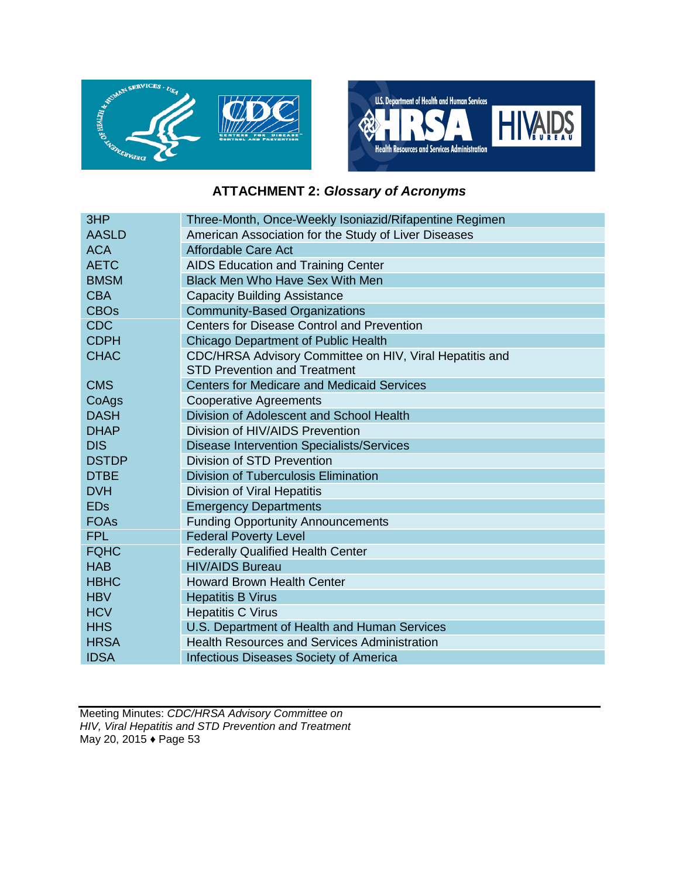



# **ATTACHMENT 2:** *Glossary of Acronyms*

| 3HP          | Three-Month, Once-Weekly Isoniazid/Rifapentine Regimen  |
|--------------|---------------------------------------------------------|
| <b>AASLD</b> | American Association for the Study of Liver Diseases    |
| <b>ACA</b>   | Affordable Care Act                                     |
| <b>AETC</b>  | <b>AIDS Education and Training Center</b>               |
| <b>BMSM</b>  | <b>Black Men Who Have Sex With Men</b>                  |
| <b>CBA</b>   | <b>Capacity Building Assistance</b>                     |
| <b>CBOs</b>  | <b>Community-Based Organizations</b>                    |
| <b>CDC</b>   | <b>Centers for Disease Control and Prevention</b>       |
| <b>CDPH</b>  | Chicago Department of Public Health                     |
| <b>CHAC</b>  | CDC/HRSA Advisory Committee on HIV, Viral Hepatitis and |
|              | <b>STD Prevention and Treatment</b>                     |
| <b>CMS</b>   | <b>Centers for Medicare and Medicaid Services</b>       |
| CoAgs        | <b>Cooperative Agreements</b>                           |
| <b>DASH</b>  | Division of Adolescent and School Health                |
| <b>DHAP</b>  | Division of HIV/AIDS Prevention                         |
| <b>DIS</b>   | <b>Disease Intervention Specialists/Services</b>        |
| <b>DSTDP</b> | Division of STD Prevention                              |
| <b>DTBE</b>  | <b>Division of Tuberculosis Elimination</b>             |
| <b>DVH</b>   | <b>Division of Viral Hepatitis</b>                      |
| <b>EDs</b>   | <b>Emergency Departments</b>                            |
| <b>FOAs</b>  | <b>Funding Opportunity Announcements</b>                |
| <b>FPL</b>   | <b>Federal Poverty Level</b>                            |
| <b>FQHC</b>  | <b>Federally Qualified Health Center</b>                |
| <b>HAB</b>   | <b>HIV/AIDS Bureau</b>                                  |
| <b>HBHC</b>  | <b>Howard Brown Health Center</b>                       |
| <b>HBV</b>   | <b>Hepatitis B Virus</b>                                |
| <b>HCV</b>   | <b>Hepatitis C Virus</b>                                |
| <b>HHS</b>   | U.S. Department of Health and Human Services            |
| <b>HRSA</b>  | <b>Health Resources and Services Administration</b>     |
| <b>IDSA</b>  | Infectious Diseases Society of America                  |